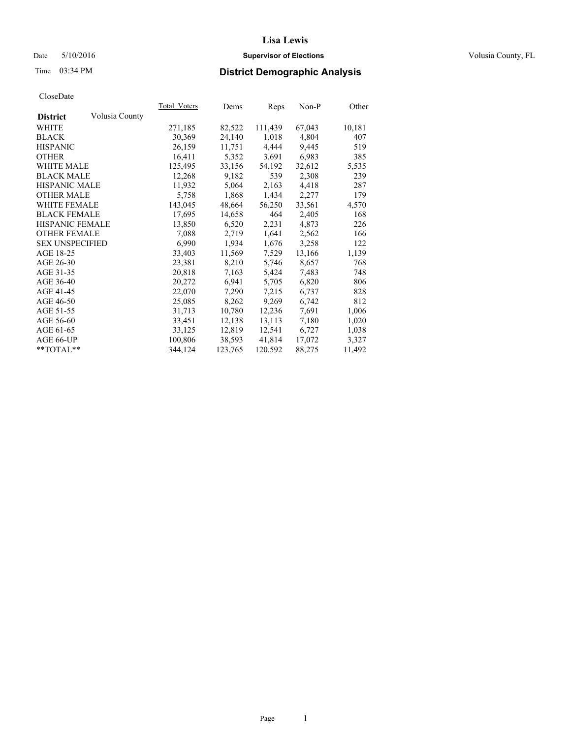## Date 5/10/2016 **Supervisor of Elections Supervisor of Elections** Volusia County, FL

## Time 03:34 PM **District Demographic Analysis**

|                        |                | <b>Total Voters</b> | Dems    | Reps    | $Non-P$ | Other  |
|------------------------|----------------|---------------------|---------|---------|---------|--------|
| <b>District</b>        | Volusia County |                     |         |         |         |        |
| WHITE                  |                | 271,185             | 82,522  | 111,439 | 67,043  | 10,181 |
| <b>BLACK</b>           |                | 30,369              | 24,140  | 1,018   | 4,804   | 407    |
| <b>HISPANIC</b>        |                | 26,159              | 11,751  | 4,444   | 9,445   | 519    |
| <b>OTHER</b>           |                | 16,411              | 5,352   | 3,691   | 6,983   | 385    |
| WHITE MALE             |                | 125,495             | 33,156  | 54,192  | 32,612  | 5,535  |
| <b>BLACK MALE</b>      |                | 12,268              | 9,182   | 539     | 2,308   | 239    |
| <b>HISPANIC MALE</b>   |                | 11,932              | 5,064   | 2,163   | 4,418   | 287    |
| <b>OTHER MALE</b>      |                | 5,758               | 1,868   | 1,434   | 2,277   | 179    |
| WHITE FEMALE           |                | 143,045             | 48,664  | 56,250  | 33,561  | 4,570  |
| <b>BLACK FEMALE</b>    |                | 17,695              | 14,658  | 464     | 2,405   | 168    |
| HISPANIC FEMALE        |                | 13,850              | 6,520   | 2,231   | 4,873   | 226    |
| <b>OTHER FEMALE</b>    |                | 7,088               | 2,719   | 1,641   | 2,562   | 166    |
| <b>SEX UNSPECIFIED</b> |                | 6,990               | 1,934   | 1,676   | 3,258   | 122    |
| AGE 18-25              |                | 33,403              | 11,569  | 7,529   | 13,166  | 1,139  |
| AGE 26-30              |                | 23,381              | 8,210   | 5,746   | 8,657   | 768    |
| AGE 31-35              |                | 20,818              | 7,163   | 5,424   | 7,483   | 748    |
| AGE 36-40              |                | 20,272              | 6,941   | 5,705   | 6,820   | 806    |
| AGE 41-45              |                | 22,070              | 7,290   | 7.215   | 6,737   | 828    |
| AGE 46-50              |                | 25,085              | 8,262   | 9,269   | 6,742   | 812    |
| AGE 51-55              |                | 31,713              | 10,780  | 12,236  | 7,691   | 1,006  |
| AGE 56-60              |                | 33,451              | 12,138  | 13,113  | 7,180   | 1,020  |
| AGE 61-65              |                | 33,125              | 12,819  | 12,541  | 6,727   | 1,038  |
| AGE 66-UP              |                | 100,806             | 38,593  | 41,814  | 17,072  | 3,327  |
| $*$ $TOTAL**$          |                | 344,124             | 123,765 | 120,592 | 88,275  | 11,492 |
|                        |                |                     |         |         |         |        |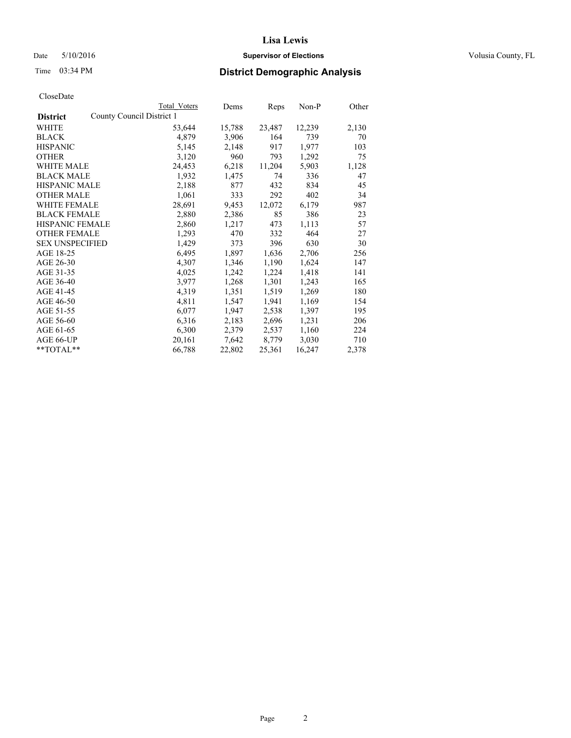## Date 5/10/2016 **Supervisor of Elections Supervisor of Elections** Volusia County, FL

|                                              | Total Voters | Dems   | Reps   | Non-P  | Other |
|----------------------------------------------|--------------|--------|--------|--------|-------|
| County Council District 1<br><b>District</b> |              |        |        |        |       |
| WHITE                                        | 53,644       | 15,788 | 23,487 | 12,239 | 2,130 |
| <b>BLACK</b>                                 | 4,879        | 3,906  | 164    | 739    | 70    |
| <b>HISPANIC</b>                              | 5,145        | 2,148  | 917    | 1,977  | 103   |
| <b>OTHER</b>                                 | 3,120        | 960    | 793    | 1,292  | 75    |
| WHITE MALE                                   | 24,453       | 6,218  | 11,204 | 5,903  | 1,128 |
| <b>BLACK MALE</b>                            | 1,932        | 1,475  | 74     | 336    | 47    |
| <b>HISPANIC MALE</b>                         | 2,188        | 877    | 432    | 834    | 45    |
| <b>OTHER MALE</b>                            | 1,061        | 333    | 292    | 402    | 34    |
| WHITE FEMALE                                 | 28,691       | 9,453  | 12,072 | 6,179  | 987   |
| <b>BLACK FEMALE</b>                          | 2,880        | 2,386  | 85     | 386    | 23    |
| HISPANIC FEMALE                              | 2,860        | 1,217  | 473    | 1,113  | 57    |
| <b>OTHER FEMALE</b>                          | 1,293        | 470    | 332    | 464    | 27    |
| <b>SEX UNSPECIFIED</b>                       | 1,429        | 373    | 396    | 630    | 30    |
| AGE 18-25                                    | 6,495        | 1,897  | 1,636  | 2,706  | 256   |
| AGE 26-30                                    | 4,307        | 1,346  | 1,190  | 1,624  | 147   |
| AGE 31-35                                    | 4,025        | 1,242  | 1,224  | 1,418  | 141   |
| AGE 36-40                                    | 3,977        | 1,268  | 1,301  | 1,243  | 165   |
| AGE 41-45                                    | 4,319        | 1,351  | 1,519  | 1,269  | 180   |
| AGE 46-50                                    | 4,811        | 1,547  | 1,941  | 1,169  | 154   |
| AGE 51-55                                    | 6,077        | 1,947  | 2,538  | 1,397  | 195   |
| AGE 56-60                                    | 6,316        | 2,183  | 2,696  | 1,231  | 206   |
| AGE 61-65                                    | 6,300        | 2,379  | 2,537  | 1,160  | 224   |
| AGE 66-UP                                    | 20,161       | 7,642  | 8,779  | 3,030  | 710   |
| $*$ TOTAL $*$                                | 66,788       | 22,802 | 25,361 | 16,247 | 2,378 |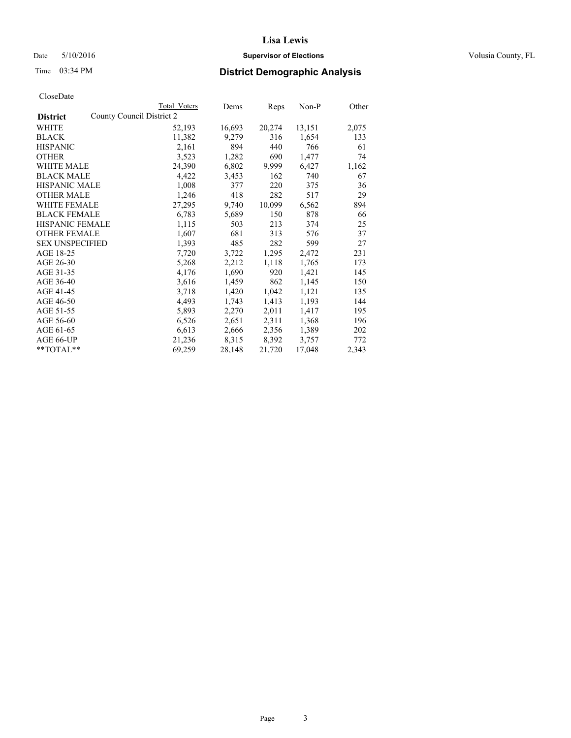## Date 5/10/2016 **Supervisor of Elections Supervisor of Elections** Volusia County, FL

| Total Voters | Dems                      |        | Non-P  | Other |
|--------------|---------------------------|--------|--------|-------|
|              |                           |        |        |       |
| 52,193       | 16,693                    | 20,274 | 13,151 | 2,075 |
| 11,382       | 9,279                     | 316    | 1,654  | 133   |
| 2,161        | 894                       | 440    | 766    | 61    |
| 3,523        | 1,282                     | 690    | 1,477  | 74    |
| 24,390       | 6,802                     | 9,999  | 6,427  | 1,162 |
| 4,422        | 3,453                     | 162    | 740    | 67    |
| 1,008        | 377                       | 220    | 375    | 36    |
| 1,246        | 418                       | 282    | 517    | 29    |
| 27,295       | 9,740                     | 10,099 | 6,562  | 894   |
| 6,783        | 5,689                     | 150    | 878    | 66    |
| 1,115        | 503                       | 213    | 374    | 25    |
| 1,607        | 681                       | 313    | 576    | 37    |
| 1,393        | 485                       | 282    | 599    | 27    |
| 7,720        | 3,722                     | 1,295  | 2,472  | 231   |
| 5,268        | 2,212                     | 1,118  | 1,765  | 173   |
| 4,176        | 1,690                     | 920    | 1,421  | 145   |
| 3,616        | 1,459                     | 862    | 1,145  | 150   |
| 3,718        | 1,420                     | 1,042  | 1,121  | 135   |
| 4,493        | 1,743                     | 1,413  | 1,193  | 144   |
| 5,893        | 2,270                     | 2,011  | 1,417  | 195   |
| 6,526        | 2,651                     | 2,311  | 1,368  | 196   |
| 6,613        | 2,666                     | 2,356  | 1,389  | 202   |
| 21,236       | 8,315                     | 8,392  | 3,757  | 772   |
| 69,259       | 28,148                    | 21,720 | 17,048 | 2,343 |
|              | County Council District 2 |        | Reps   |       |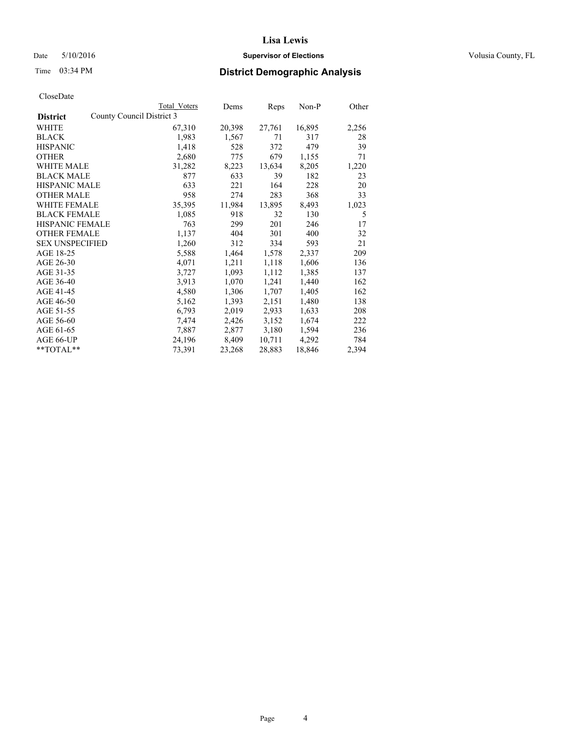## Date 5/10/2016 **Supervisor of Elections Supervisor of Elections** Volusia County, FL

## Time 03:34 PM **District Demographic Analysis**

|                        |                           | Total Voters | Dems   | <b>Reps</b> | Non-P  | Other |
|------------------------|---------------------------|--------------|--------|-------------|--------|-------|
| <b>District</b>        | County Council District 3 |              |        |             |        |       |
| WHITE                  |                           | 67,310       | 20,398 | 27,761      | 16,895 | 2,256 |
| <b>BLACK</b>           |                           | 1,983        | 1,567  | 71          | 317    | 28    |
| <b>HISPANIC</b>        |                           | 1,418        | 528    | 372         | 479    | 39    |
| <b>OTHER</b>           |                           | 2,680        | 775    | 679         | 1,155  | 71    |
| <b>WHITE MALE</b>      |                           | 31,282       | 8,223  | 13,634      | 8,205  | 1,220 |
| <b>BLACK MALE</b>      |                           | 877          | 633    | 39          | 182    | 23    |
| <b>HISPANIC MALE</b>   |                           | 633          | 221    | 164         | 228    | 20    |
| <b>OTHER MALE</b>      |                           | 958          | 274    | 283         | 368    | 33    |
| <b>WHITE FEMALE</b>    |                           | 35,395       | 11,984 | 13,895      | 8,493  | 1,023 |
| <b>BLACK FEMALE</b>    |                           | 1,085        | 918    | 32          | 130    | 5     |
| <b>HISPANIC FEMALE</b> |                           | 763          | 299    | 201         | 246    | 17    |
| <b>OTHER FEMALE</b>    |                           | 1,137        | 404    | 301         | 400    | 32    |
| <b>SEX UNSPECIFIED</b> |                           | 1,260        | 312    | 334         | 593    | 21    |
| AGE 18-25              |                           | 5,588        | 1,464  | 1,578       | 2,337  | 209   |
| AGE 26-30              |                           | 4,071        | 1,211  | 1,118       | 1,606  | 136   |
| AGE 31-35              |                           | 3,727        | 1,093  | 1,112       | 1,385  | 137   |
| AGE 36-40              |                           | 3,913        | 1,070  | 1,241       | 1,440  | 162   |
| AGE 41-45              |                           | 4,580        | 1,306  | 1,707       | 1,405  | 162   |
| AGE 46-50              |                           | 5,162        | 1,393  | 2,151       | 1,480  | 138   |
| AGE 51-55              |                           | 6,793        | 2,019  | 2,933       | 1,633  | 208   |
| AGE 56-60              |                           | 7,474        | 2,426  | 3,152       | 1,674  | 222   |
| AGE 61-65              |                           | 7,887        | 2,877  | 3,180       | 1,594  | 236   |
| AGE 66-UP              |                           | 24,196       | 8,409  | 10,711      | 4,292  | 784   |
| $*$ $TOTAL**$          |                           | 73,391       | 23,268 | 28,883      | 18,846 | 2,394 |
|                        |                           |              |        |             |        |       |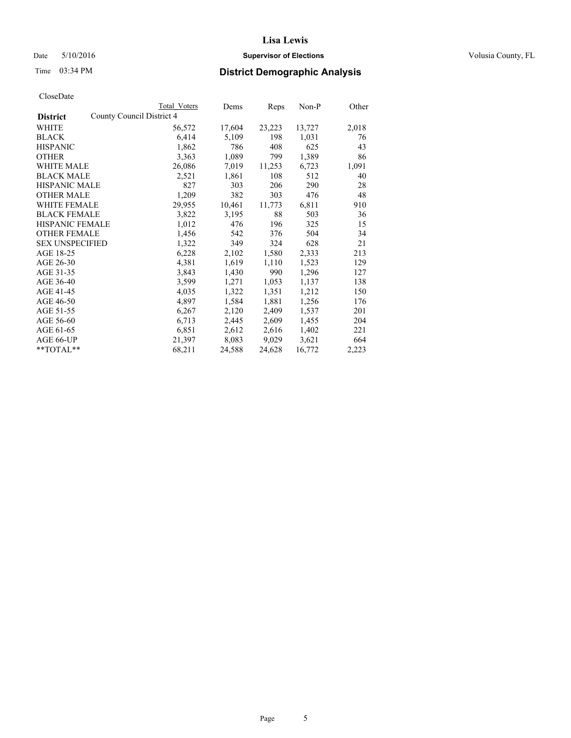## Date 5/10/2016 **Supervisor of Elections Supervisor of Elections** Volusia County, FL

|                                              | <b>Total Voters</b> | Dems   | Reps   | Non-P  | Other |
|----------------------------------------------|---------------------|--------|--------|--------|-------|
| County Council District 4<br><b>District</b> |                     |        |        |        |       |
| WHITE                                        | 56,572              | 17,604 | 23,223 | 13,727 | 2,018 |
| <b>BLACK</b>                                 | 6,414               | 5,109  | 198    | 1,031  | 76    |
| <b>HISPANIC</b>                              | 1,862               | 786    | 408    | 625    | 43    |
| <b>OTHER</b>                                 | 3,363               | 1,089  | 799    | 1,389  | 86    |
| WHITE MALE                                   | 26,086              | 7,019  | 11,253 | 6,723  | 1,091 |
| <b>BLACK MALE</b>                            | 2,521               | 1,861  | 108    | 512    | 40    |
| <b>HISPANIC MALE</b>                         | 827                 | 303    | 206    | 290    | 28    |
| <b>OTHER MALE</b>                            | 1,209               | 382    | 303    | 476    | 48    |
| <b>WHITE FEMALE</b>                          | 29,955              | 10,461 | 11,773 | 6,811  | 910   |
| <b>BLACK FEMALE</b>                          | 3,822               | 3,195  | 88     | 503    | 36    |
| HISPANIC FEMALE                              | 1,012               | 476    | 196    | 325    | 15    |
| <b>OTHER FEMALE</b>                          | 1,456               | 542    | 376    | 504    | 34    |
| <b>SEX UNSPECIFIED</b>                       | 1,322               | 349    | 324    | 628    | 21    |
| AGE 18-25                                    | 6,228               | 2,102  | 1,580  | 2,333  | 213   |
| AGE 26-30                                    | 4,381               | 1,619  | 1,110  | 1,523  | 129   |
| AGE 31-35                                    | 3,843               | 1,430  | 990    | 1,296  | 127   |
| AGE 36-40                                    | 3,599               | 1,271  | 1,053  | 1,137  | 138   |
| AGE 41-45                                    | 4,035               | 1,322  | 1,351  | 1,212  | 150   |
| AGE 46-50                                    | 4,897               | 1,584  | 1,881  | 1,256  | 176   |
| AGE 51-55                                    | 6,267               | 2,120  | 2,409  | 1,537  | 201   |
| AGE 56-60                                    | 6,713               | 2,445  | 2,609  | 1,455  | 204   |
| AGE 61-65                                    | 6,851               | 2,612  | 2,616  | 1,402  | 221   |
| AGE 66-UP                                    | 21,397              | 8,083  | 9,029  | 3,621  | 664   |
| $*$ TOTAL $*$                                | 68,211              | 24,588 | 24,628 | 16,772 | 2,223 |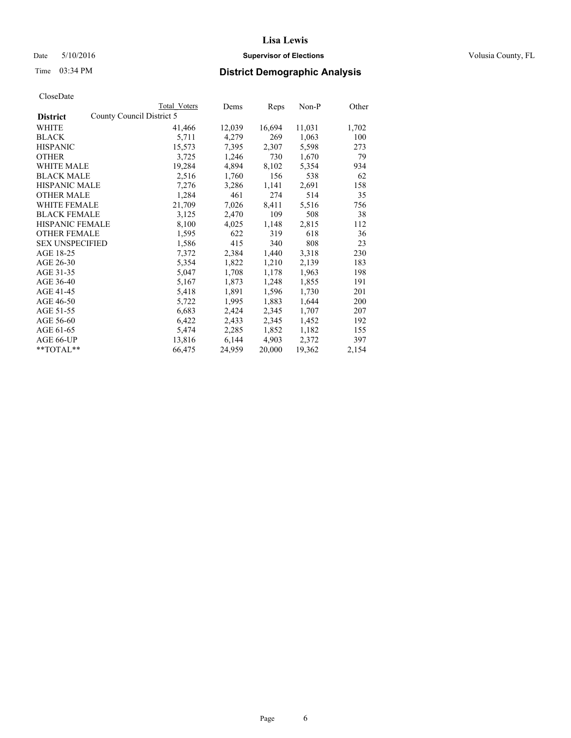#### Date 5/10/2016 **Supervisor of Elections Supervisor of Elections** Volusia County, FL

|                        |                           | <b>Total Voters</b> | Dems   | Reps   | Non-P  | Other |
|------------------------|---------------------------|---------------------|--------|--------|--------|-------|
| <b>District</b>        | County Council District 5 |                     |        |        |        |       |
| <b>WHITE</b>           |                           | 41,466              | 12,039 | 16,694 | 11,031 | 1,702 |
| <b>BLACK</b>           |                           | 5,711               | 4,279  | 269    | 1,063  | 100   |
| <b>HISPANIC</b>        |                           | 15,573              | 7,395  | 2,307  | 5,598  | 273   |
| <b>OTHER</b>           |                           | 3,725               | 1,246  | 730    | 1,670  | 79    |
| WHITE MALE             |                           | 19,284              | 4,894  | 8,102  | 5,354  | 934   |
| <b>BLACK MALE</b>      |                           | 2,516               | 1.760  | 156    | 538    | 62    |
| <b>HISPANIC MALE</b>   |                           | 7,276               | 3,286  | 1,141  | 2,691  | 158   |
| <b>OTHER MALE</b>      |                           | 1,284               | 461    | 274    | 514    | 35    |
| <b>WHITE FEMALE</b>    |                           | 21,709              | 7,026  | 8.411  | 5.516  | 756   |
| <b>BLACK FEMALE</b>    |                           | 3,125               | 2,470  | 109    | 508    | 38    |
| <b>HISPANIC FEMALE</b> |                           | 8,100               | 4,025  | 1,148  | 2,815  | 112   |
| <b>OTHER FEMALE</b>    |                           | 1,595               | 622    | 319    | 618    | 36    |
| <b>SEX UNSPECIFIED</b> |                           | 1,586               | 415    | 340    | 808    | 23    |
| AGE 18-25              |                           | 7,372               | 2,384  | 1,440  | 3,318  | 230   |
| AGE 26-30              |                           | 5.354               | 1.822  | 1,210  | 2.139  | 183   |
| AGE 31-35              |                           | 5,047               | 1,708  | 1,178  | 1,963  | 198   |
| AGE 36-40              |                           | 5,167               | 1,873  | 1,248  | 1,855  | 191   |
| AGE 41-45              |                           | 5,418               | 1,891  | 1.596  | 1,730  | 201   |
| AGE 46-50              |                           | 5,722               | 1,995  | 1,883  | 1,644  | 200   |
| AGE 51-55              |                           | 6,683               | 2,424  | 2.345  | 1.707  | 207   |
| AGE 56-60              |                           | 6,422               | 2,433  | 2,345  | 1,452  | 192   |
| AGE 61-65              |                           | 5,474               | 2,285  | 1,852  | 1,182  | 155   |
| AGE 66-UP              |                           | 13,816              | 6.144  | 4,903  | 2,372  | 397   |
| $*$ TOTAL $*$          |                           | 66,475              | 24,959 | 20,000 | 19,362 | 2,154 |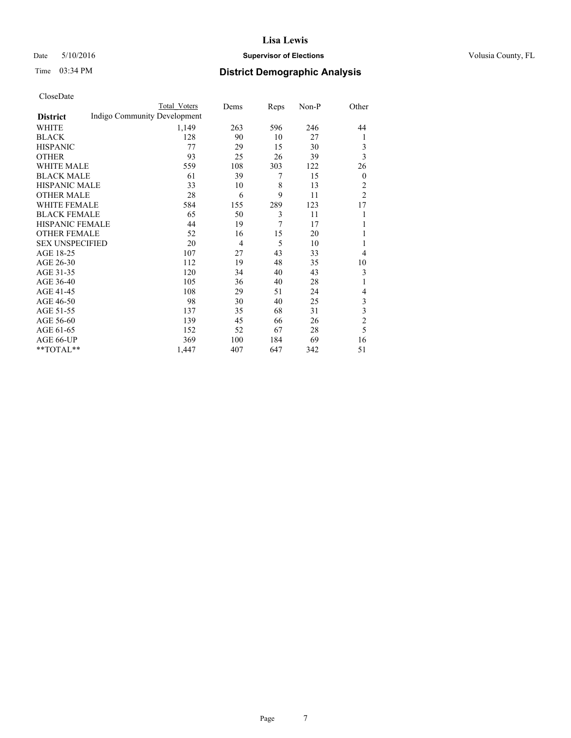#### Date 5/10/2016 **Supervisor of Elections Supervisor of Elections** Volusia County, FL

## Time 03:34 PM **District Demographic Analysis**

|                        |                              | <b>Total Voters</b> | Dems           | Reps | Non-P | Other            |
|------------------------|------------------------------|---------------------|----------------|------|-------|------------------|
| <b>District</b>        | Indigo Community Development |                     |                |      |       |                  |
| WHITE                  |                              | 1,149               | 263            | 596  | 246   | 44               |
| <b>BLACK</b>           |                              | 128                 | 90             | 10   | 27    | 1                |
| <b>HISPANIC</b>        |                              | 77                  | 29             | 15   | 30    | 3                |
| <b>OTHER</b>           |                              | 93                  | 25             | 26   | 39    | 3                |
| WHITE MALE             |                              | 559                 | 108            | 303  | 122   | 26               |
| <b>BLACK MALE</b>      |                              | 61                  | 39             | 7    | 15    | $\boldsymbol{0}$ |
| <b>HISPANIC MALE</b>   |                              | 33                  | 10             | 8    | 13    | $\overline{2}$   |
| <b>OTHER MALE</b>      |                              | 28                  | 6              | 9    | 11    | $\overline{2}$   |
| WHITE FEMALE           |                              | 584                 | 155            | 289  | 123   | 17               |
| <b>BLACK FEMALE</b>    |                              | 65                  | 50             | 3    | 11    | 1                |
| <b>HISPANIC FEMALE</b> |                              | 44                  | 19             | 7    | 17    | 1                |
| <b>OTHER FEMALE</b>    |                              | 52                  | 16             | 15   | 20    |                  |
| <b>SEX UNSPECIFIED</b> |                              | 20                  | $\overline{4}$ | 5    | 10    | 1                |
| AGE 18-25              |                              | 107                 | 27             | 43   | 33    | 4                |
| AGE 26-30              |                              | 112                 | 19             | 48   | 35    | 10               |
| AGE 31-35              |                              | 120                 | 34             | 40   | 43    | 3                |
| AGE 36-40              |                              | 105                 | 36             | 40   | 28    | 1                |
| AGE 41-45              |                              | 108                 | 29             | 51   | 24    | 4                |
| AGE 46-50              |                              | 98                  | 30             | 40   | 25    | 3                |
| AGE 51-55              |                              | 137                 | 35             | 68   | 31    | 3                |
| AGE 56-60              |                              | 139                 | 45             | 66   | 26    | $\overline{c}$   |
| AGE 61-65              |                              | 152                 | 52             | 67   | 28    | 5                |
| AGE 66-UP              |                              | 369                 | 100            | 184  | 69    | 16               |
| **TOTAL**              |                              | 1,447               | 407            | 647  | 342   | 51               |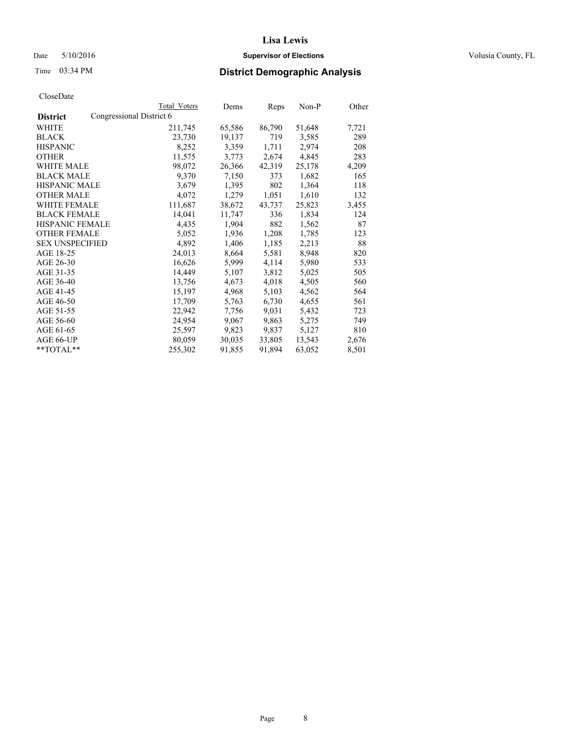## Date 5/10/2016 **Supervisor of Elections Supervisor of Elections** Volusia County, FL

## Time 03:34 PM **District Demographic Analysis**

|                        |                          | Total Voters | Dems   | Reps   | Non-P  | Other |
|------------------------|--------------------------|--------------|--------|--------|--------|-------|
| <b>District</b>        | Congressional District 6 |              |        |        |        |       |
| WHITE                  |                          | 211,745      | 65,586 | 86,790 | 51,648 | 7,721 |
| <b>BLACK</b>           |                          | 23,730       | 19,137 | 719    | 3,585  | 289   |
| <b>HISPANIC</b>        |                          | 8,252        | 3,359  | 1,711  | 2,974  | 208   |
| <b>OTHER</b>           |                          | 11,575       | 3,773  | 2,674  | 4,845  | 283   |
| WHITE MALE             |                          | 98,072       | 26,366 | 42,319 | 25,178 | 4,209 |
| <b>BLACK MALE</b>      |                          | 9,370        | 7,150  | 373    | 1,682  | 165   |
| <b>HISPANIC MALE</b>   |                          | 3,679        | 1,395  | 802    | 1,364  | 118   |
| <b>OTHER MALE</b>      |                          | 4,072        | 1,279  | 1,051  | 1,610  | 132   |
| WHITE FEMALE           |                          | 111,687      | 38,672 | 43,737 | 25,823 | 3,455 |
| <b>BLACK FEMALE</b>    |                          | 14,041       | 11,747 | 336    | 1,834  | 124   |
| HISPANIC FEMALE        |                          | 4,435        | 1,904  | 882    | 1,562  | 87    |
| <b>OTHER FEMALE</b>    |                          | 5,052        | 1,936  | 1,208  | 1,785  | 123   |
| <b>SEX UNSPECIFIED</b> |                          | 4,892        | 1,406  | 1,185  | 2,213  | 88    |
| AGE 18-25              |                          | 24,013       | 8,664  | 5,581  | 8,948  | 820   |
| AGE 26-30              |                          | 16,626       | 5,999  | 4,114  | 5,980  | 533   |
| AGE 31-35              |                          | 14,449       | 5,107  | 3,812  | 5,025  | 505   |
| AGE 36-40              |                          | 13,756       | 4,673  | 4,018  | 4,505  | 560   |
| AGE 41-45              |                          | 15,197       | 4,968  | 5,103  | 4,562  | 564   |
| AGE 46-50              |                          | 17,709       | 5,763  | 6,730  | 4,655  | 561   |
| AGE 51-55              |                          | 22,942       | 7,756  | 9,031  | 5,432  | 723   |
| AGE 56-60              |                          | 24,954       | 9,067  | 9,863  | 5,275  | 749   |
| AGE 61-65              |                          | 25,597       | 9,823  | 9,837  | 5,127  | 810   |
| AGE 66-UP              |                          | 80,059       | 30,035 | 33,805 | 13,543 | 2,676 |
| $*$ $TOTAL**$          |                          | 255,302      | 91,855 | 91,894 | 63,052 | 8,501 |
|                        |                          |              |        |        |        |       |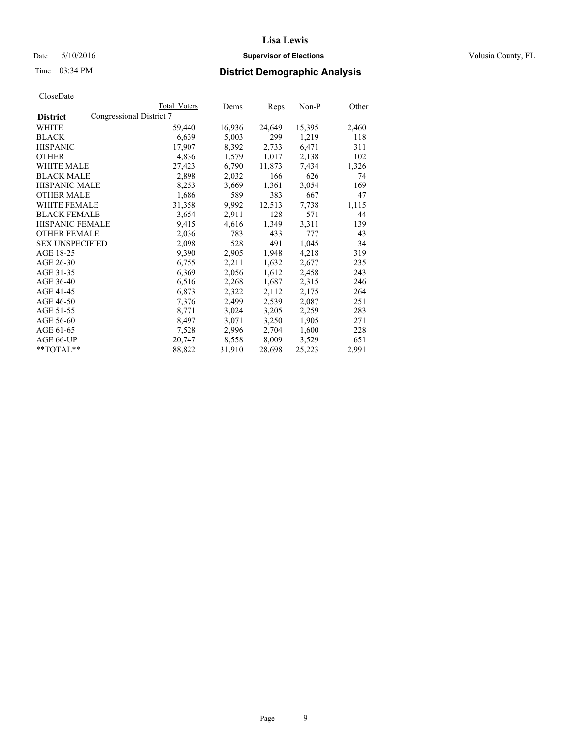## Date 5/10/2016 **Supervisor of Elections Supervisor of Elections** Volusia County, FL

## Time 03:34 PM **District Demographic Analysis**

|                        | <b>Total Voters</b>      | Dems   | Reps   | Non-P  | Other |
|------------------------|--------------------------|--------|--------|--------|-------|
| <b>District</b>        | Congressional District 7 |        |        |        |       |
| WHITE                  | 59,440                   | 16,936 | 24,649 | 15,395 | 2,460 |
| <b>BLACK</b>           | 6,639                    | 5,003  | 299    | 1,219  | 118   |
| <b>HISPANIC</b>        | 17,907                   | 8,392  | 2,733  | 6,471  | 311   |
| <b>OTHER</b>           | 4,836                    | 1,579  | 1,017  | 2,138  | 102   |
| WHITE MALE             | 27,423                   | 6,790  | 11,873 | 7,434  | 1,326 |
| <b>BLACK MALE</b>      | 2,898                    | 2,032  | 166    | 626    | 74    |
| <b>HISPANIC MALE</b>   | 8,253                    | 3,669  | 1,361  | 3,054  | 169   |
| <b>OTHER MALE</b>      | 1,686                    | 589    | 383    | 667    | 47    |
| <b>WHITE FEMALE</b>    | 31,358                   | 9,992  | 12,513 | 7,738  | 1,115 |
| <b>BLACK FEMALE</b>    | 3,654                    | 2,911  | 128    | 571    | 44    |
| <b>HISPANIC FEMALE</b> | 9,415                    | 4,616  | 1,349  | 3,311  | 139   |
| <b>OTHER FEMALE</b>    | 2,036                    | 783    | 433    | 777    | 43    |
| <b>SEX UNSPECIFIED</b> | 2,098                    | 528    | 491    | 1,045  | 34    |
| AGE 18-25              | 9,390                    | 2,905  | 1,948  | 4,218  | 319   |
| AGE 26-30              | 6,755                    | 2,211  | 1,632  | 2,677  | 235   |
| AGE 31-35              | 6,369                    | 2,056  | 1,612  | 2,458  | 243   |
| AGE 36-40              | 6,516                    | 2,268  | 1,687  | 2,315  | 246   |
| AGE 41-45              | 6,873                    | 2,322  | 2,112  | 2,175  | 264   |
| AGE 46-50              | 7,376                    | 2,499  | 2,539  | 2,087  | 251   |
| AGE 51-55              | 8,771                    | 3,024  | 3,205  | 2,259  | 283   |
| AGE 56-60              | 8,497                    | 3,071  | 3,250  | 1,905  | 271   |
| AGE 61-65              | 7,528                    | 2,996  | 2,704  | 1,600  | 228   |
| AGE 66-UP              | 20,747                   | 8,558  | 8,009  | 3,529  | 651   |
| **TOTAL**              | 88,822                   | 31,910 | 28,698 | 25,223 | 2,991 |
|                        |                          |        |        |        |       |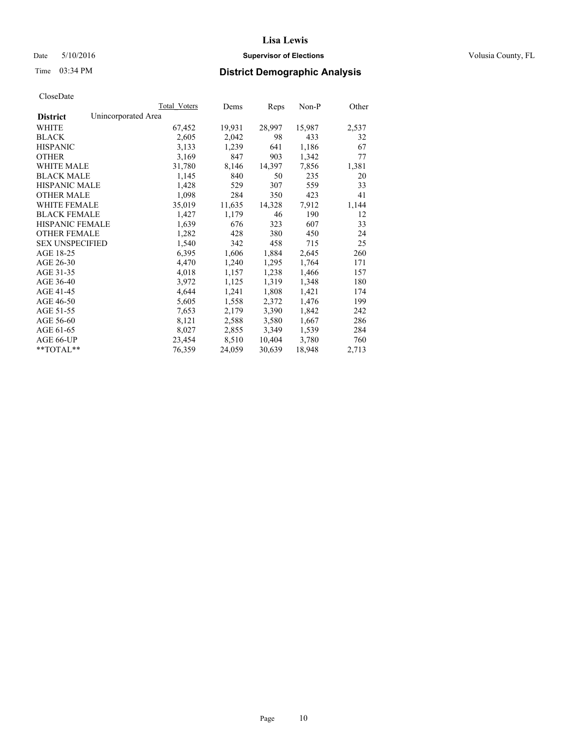#### Date 5/10/2016 **Supervisor of Elections Supervisor of Elections** Volusia County, FL

## Time 03:34 PM **District Demographic Analysis**

|                                        | Total Voters | Dems   | <b>Reps</b> | $Non-P$ | Other |
|----------------------------------------|--------------|--------|-------------|---------|-------|
| Unincorporated Area<br><b>District</b> |              |        |             |         |       |
| WHITE                                  | 67,452       | 19,931 | 28,997      | 15,987  | 2,537 |
| <b>BLACK</b>                           | 2,605        | 2,042  | 98          | 433     | 32    |
| <b>HISPANIC</b>                        | 3,133        | 1,239  | 641         | 1,186   | 67    |
| <b>OTHER</b>                           | 3,169        | 847    | 903         | 1,342   | 77    |
| <b>WHITE MALE</b>                      | 31,780       | 8,146  | 14,397      | 7,856   | 1,381 |
| <b>BLACK MALE</b>                      | 1,145        | 840    | 50          | 235     | 20    |
| <b>HISPANIC MALE</b>                   | 1,428        | 529    | 307         | 559     | 33    |
| <b>OTHER MALE</b>                      | 1,098        | 284    | 350         | 423     | 41    |
| WHITE FEMALE                           | 35,019       | 11,635 | 14,328      | 7,912   | 1,144 |
| <b>BLACK FEMALE</b>                    | 1,427        | 1,179  | 46          | 190     | 12    |
| HISPANIC FEMALE                        | 1,639        | 676    | 323         | 607     | 33    |
| <b>OTHER FEMALE</b>                    | 1,282        | 428    | 380         | 450     | 24    |
| <b>SEX UNSPECIFIED</b>                 | 1,540        | 342    | 458         | 715     | 25    |
| AGE 18-25                              | 6,395        | 1,606  | 1,884       | 2,645   | 260   |
| AGE 26-30                              | 4,470        | 1,240  | 1,295       | 1,764   | 171   |
| AGE 31-35                              | 4,018        | 1,157  | 1,238       | 1,466   | 157   |
| AGE 36-40                              | 3,972        | 1,125  | 1,319       | 1,348   | 180   |
| AGE 41-45                              | 4,644        | 1,241  | 1,808       | 1,421   | 174   |
| AGE 46-50                              | 5,605        | 1,558  | 2,372       | 1,476   | 199   |
| AGE 51-55                              | 7,653        | 2,179  | 3,390       | 1,842   | 242   |
| AGE 56-60                              | 8,121        | 2,588  | 3,580       | 1,667   | 286   |
| AGE 61-65                              | 8,027        | 2,855  | 3,349       | 1,539   | 284   |
| AGE 66-UP                              | 23,454       | 8,510  | 10,404      | 3,780   | 760   |
| $*$ $TOTAI.**$                         | 76,359       | 24,059 | 30,639      | 18,948  | 2,713 |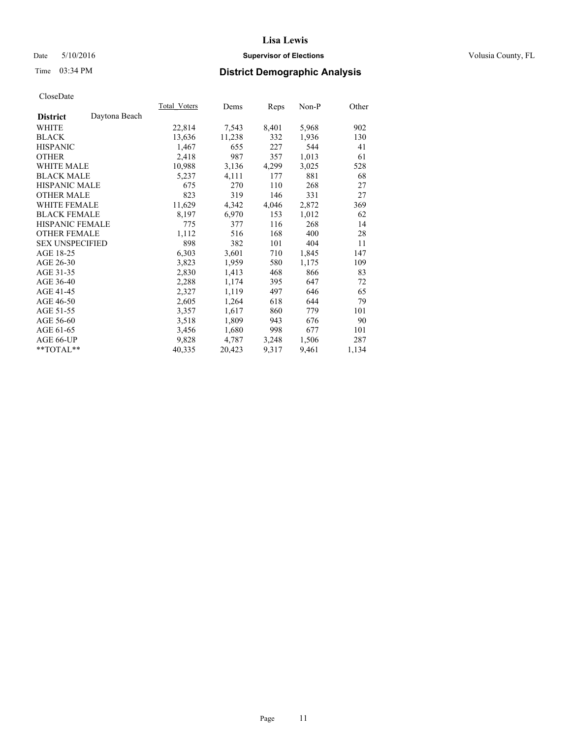## Date 5/10/2016 **Supervisor of Elections Supervisor of Elections** Volusia County, FL

## Time 03:34 PM **District Demographic Analysis**

| Total Voters | Dems   |       | $Non-P$ | Other |
|--------------|--------|-------|---------|-------|
|              |        |       |         |       |
| 22,814       | 7,543  | 8,401 | 5,968   | 902   |
| 13,636       | 11,238 | 332   | 1,936   | 130   |
| 1,467        | 655    | 227   | 544     | 41    |
| 2,418        | 987    | 357   | 1,013   | 61    |
| 10,988       | 3,136  | 4,299 | 3,025   | 528   |
| 5,237        | 4,111  | 177   | 881     | 68    |
| 675          | 270    | 110   | 268     | 27    |
| 823          | 319    | 146   | 331     | 27    |
| 11,629       | 4,342  | 4,046 | 2,872   | 369   |
| 8,197        | 6,970  | 153   | 1,012   | 62    |
| 775          | 377    | 116   | 268     | 14    |
| 1,112        | 516    | 168   | 400     | 28    |
| 898          | 382    | 101   | 404     | 11    |
| 6,303        | 3,601  | 710   | 1,845   | 147   |
| 3,823        | 1,959  | 580   | 1,175   | 109   |
| 2,830        | 1,413  | 468   | 866     | 83    |
| 2,288        | 1,174  | 395   | 647     | 72    |
| 2,327        | 1,119  | 497   | 646     | 65    |
| 2,605        | 1,264  | 618   | 644     | 79    |
| 3,357        | 1,617  | 860   | 779     | 101   |
| 3,518        | 1,809  | 943   | 676     | 90    |
| 3,456        | 1,680  | 998   | 677     | 101   |
| 9,828        | 4,787  | 3,248 | 1,506   | 287   |
| 40,335       | 20,423 | 9,317 | 9,461   | 1,134 |
|              |        |       | Reps    |       |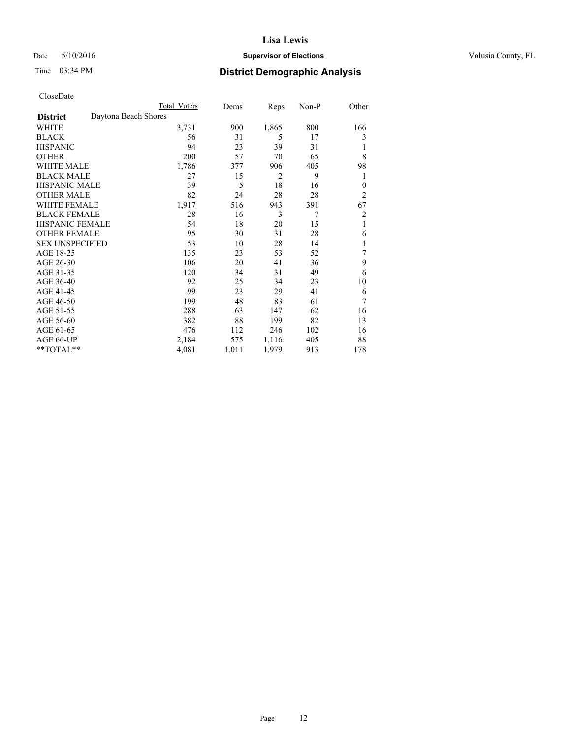## Date 5/10/2016 **Supervisor of Elections Supervisor of Elections** Volusia County, FL

## Time 03:34 PM **District Demographic Analysis**

|                        | <b>Total Voters</b>  | Dems  | Reps  | Non-P          | Other          |
|------------------------|----------------------|-------|-------|----------------|----------------|
| <b>District</b>        | Daytona Beach Shores |       |       |                |                |
| WHITE                  | 3,731                | 900   | 1,865 | 800            | 166            |
| <b>BLACK</b>           | 56                   | 31    | 5     | 17             | 3              |
| <b>HISPANIC</b>        | 94                   | 23    | 39    | 31             | 1              |
| <b>OTHER</b>           | 200                  | 57    | 70    | 65             | 8              |
| WHITE MALE             | 1,786                | 377   | 906   | 405            | 98             |
| <b>BLACK MALE</b>      | 27                   | 15    | 2     | 9              | 1              |
| <b>HISPANIC MALE</b>   | 39                   | 5     | 18    | 16             | $\theta$       |
| <b>OTHER MALE</b>      | 82                   | 24    | 28    | 28             | $\overline{c}$ |
| <b>WHITE FEMALE</b>    | 1,917                | 516   | 943   | 391            | 67             |
| <b>BLACK FEMALE</b>    | 28                   | 16    | 3     | $\overline{7}$ | $\overline{c}$ |
| <b>HISPANIC FEMALE</b> | 54                   | 18    | 20    | 15             | 1              |
| <b>OTHER FEMALE</b>    | 95                   | 30    | 31    | 28             | 6              |
| <b>SEX UNSPECIFIED</b> | 53                   | 10    | 28    | 14             | 1              |
| AGE 18-25              | 135                  | 23    | 53    | 52             | 7              |
| AGE 26-30              | 106                  | 20    | 41    | 36             | 9              |
| AGE 31-35              | 120                  | 34    | 31    | 49             | 6              |
| AGE 36-40              | 92                   | 25    | 34    | 23             | 10             |
| AGE 41-45              | 99                   | 23    | 29    | 41             | 6              |
| AGE 46-50              | 199                  | 48    | 83    | 61             | 7              |
| AGE 51-55              | 288                  | 63    | 147   | 62             | 16             |
| AGE 56-60              | 382                  | 88    | 199   | 82             | 13             |
| AGE 61-65              | 476                  | 112   | 246   | 102            | 16             |
| AGE 66-UP              | 2,184                | 575   | 1,116 | 405            | 88             |
| **TOTAL**              | 4,081                | 1,011 | 1,979 | 913            | 178            |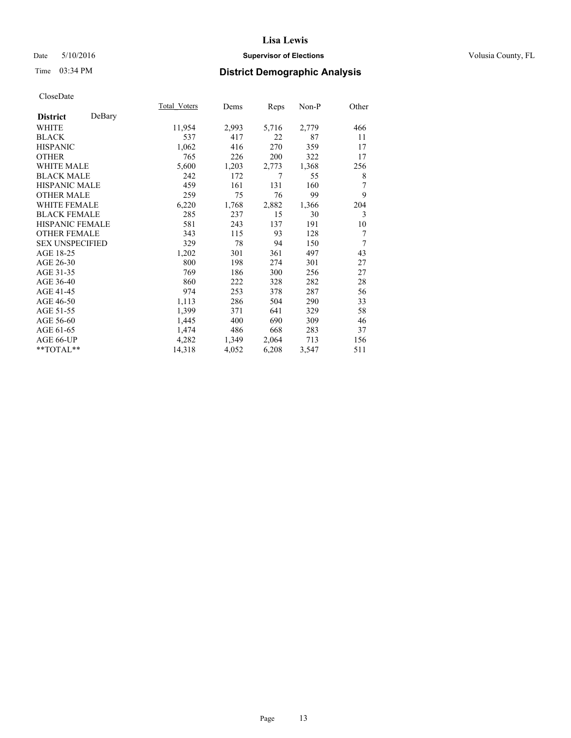## Date 5/10/2016 **Supervisor of Elections Supervisor of Elections** Volusia County, FL

## Time 03:34 PM **District Demographic Analysis**

|                        |        | Total Voters | Dems  | Reps  | Non-P | Other |
|------------------------|--------|--------------|-------|-------|-------|-------|
| <b>District</b>        | DeBary |              |       |       |       |       |
| WHITE                  |        | 11,954       | 2,993 | 5,716 | 2,779 | 466   |
| <b>BLACK</b>           |        | 537          | 417   | 22    | 87    | 11    |
| <b>HISPANIC</b>        |        | 1,062        | 416   | 270   | 359   | 17    |
| <b>OTHER</b>           |        | 765          | 226   | 200   | 322   | 17    |
| <b>WHITE MALE</b>      |        | 5,600        | 1,203 | 2,773 | 1,368 | 256   |
| <b>BLACK MALE</b>      |        | 242          | 172   | 7     | 55    | 8     |
| <b>HISPANIC MALE</b>   |        | 459          | 161   | 131   | 160   | 7     |
| <b>OTHER MALE</b>      |        | 259          | 75    | 76    | 99    | 9     |
| <b>WHITE FEMALE</b>    |        | 6,220        | 1,768 | 2,882 | 1,366 | 204   |
| <b>BLACK FEMALE</b>    |        | 285          | 237   | 15    | 30    | 3     |
| <b>HISPANIC FEMALE</b> |        | 581          | 243   | 137   | 191   | 10    |
| <b>OTHER FEMALE</b>    |        | 343          | 115   | 93    | 128   | 7     |
| <b>SEX UNSPECIFIED</b> |        | 329          | 78    | 94    | 150   | 7     |
| AGE 18-25              |        | 1,202        | 301   | 361   | 497   | 43    |
| AGE 26-30              |        | 800          | 198   | 274   | 301   | 27    |
| AGE 31-35              |        | 769          | 186   | 300   | 256   | 27    |
| AGE 36-40              |        | 860          | 222   | 328   | 282   | 28    |
| AGE 41-45              |        | 974          | 253   | 378   | 287   | 56    |
| AGE 46-50              |        | 1,113        | 286   | 504   | 290   | 33    |
| AGE 51-55              |        | 1,399        | 371   | 641   | 329   | 58    |
| AGE 56-60              |        | 1,445        | 400   | 690   | 309   | 46    |
| AGE 61-65              |        | 1,474        | 486   | 668   | 283   | 37    |
| AGE 66-UP              |        | 4,282        | 1,349 | 2,064 | 713   | 156   |
| **TOTAL**              |        | 14,318       | 4,052 | 6,208 | 3,547 | 511   |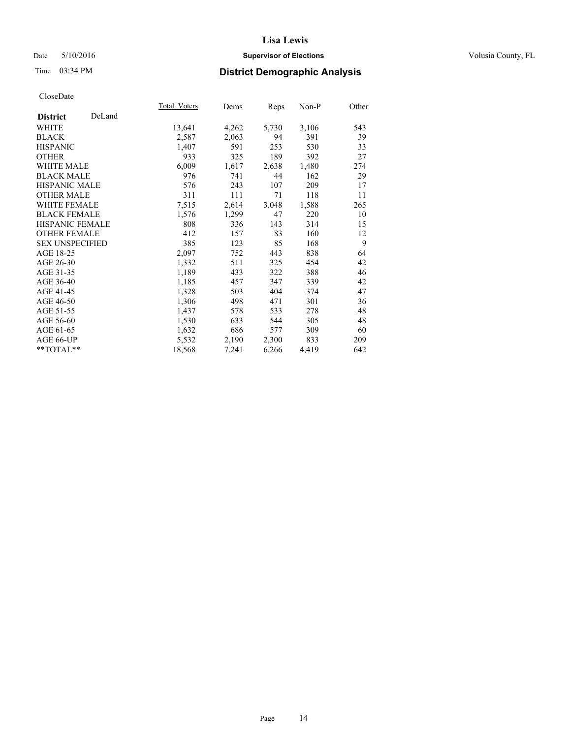## Date 5/10/2016 **Supervisor of Elections Supervisor of Elections** Volusia County, FL

## Time 03:34 PM **District Demographic Analysis**

|                           | Total Voters | Dems           | <u>Reps</u> | Non-P | Other |
|---------------------------|--------------|----------------|-------------|-------|-------|
| DeLand<br><b>District</b> |              |                |             |       |       |
| WHITE                     | 13,641       | 4,262          | 5,730       | 3,106 | 543   |
| <b>BLACK</b>              |              | 2,587<br>2,063 | 94          | 391   | 39    |
| <b>HISPANIC</b>           |              | 1,407<br>591   | 253         | 530   | 33    |
| <b>OTHER</b>              |              | 933<br>325     | 189         | 392   | 27    |
| <b>WHITE MALE</b>         |              | 6,009<br>1,617 | 2,638       | 1,480 | 274   |
| <b>BLACK MALE</b>         |              | 976<br>741     | 44          | 162   | 29    |
| <b>HISPANIC MALE</b>      |              | 576<br>243     | 107         | 209   | 17    |
| <b>OTHER MALE</b>         |              | 311<br>111     | 71          | 118   | 11    |
| <b>WHITE FEMALE</b>       |              | 7.515<br>2,614 | 3,048       | 1,588 | 265   |
| <b>BLACK FEMALE</b>       |              | 1,299<br>1,576 | 47          | 220   | 10    |
| <b>HISPANIC FEMALE</b>    |              | 808<br>336     | 143         | 314   | 15    |
| <b>OTHER FEMALE</b>       |              | 412<br>157     | 83          | 160   | 12    |
| <b>SEX UNSPECIFIED</b>    |              | 385<br>123     | 85          | 168   | 9     |
| AGE 18-25                 |              | 2,097<br>752   | 443         | 838   | 64    |
| AGE 26-30                 |              | 1,332<br>511   | 325         | 454   | 42    |
| AGE 31-35                 |              | 1,189<br>433   | 322         | 388   | 46    |
| AGE 36-40                 |              | 1,185<br>457   | 347         | 339   | 42    |
| AGE 41-45                 |              | 1,328<br>503   | 404         | 374   | 47    |
| AGE 46-50                 |              | 498<br>1,306   | 471         | 301   | 36    |
| AGE 51-55                 |              | 1,437<br>578   | 533         | 278   | 48    |
| AGE 56-60                 |              | 1,530<br>633   | 544         | 305   | 48    |
| AGE 61-65                 |              | 686<br>1,632   | 577         | 309   | 60    |
| AGE 66-UP                 |              | 5,532<br>2,190 | 2,300       | 833   | 209   |
| $*$ $TOTAL**$             | 18,568       | 7,241          | 6,266       | 4,419 | 642   |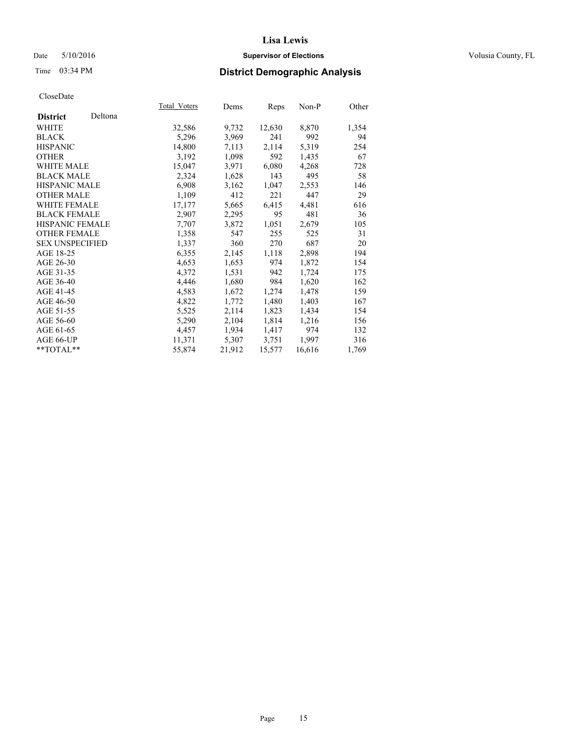## Date 5/10/2016 **Supervisor of Elections Supervisor of Elections** Volusia County, FL

## Time 03:34 PM **District Demographic Analysis**

|                        |         | Total Voters | Dems   | <b>Reps</b> | $Non-P$ | Other |
|------------------------|---------|--------------|--------|-------------|---------|-------|
| <b>District</b>        | Deltona |              |        |             |         |       |
| WHITE                  |         | 32,586       | 9,732  | 12,630      | 8,870   | 1,354 |
| <b>BLACK</b>           |         | 5,296        | 3,969  | 241         | 992     | 94    |
| <b>HISPANIC</b>        |         | 14,800       | 7,113  | 2,114       | 5,319   | 254   |
| <b>OTHER</b>           |         | 3,192        | 1,098  | 592         | 1,435   | 67    |
| WHITE MALE             |         | 15,047       | 3,971  | 6,080       | 4,268   | 728   |
| <b>BLACK MALE</b>      |         | 2,324        | 1,628  | 143         | 495     | 58    |
| <b>HISPANIC MALE</b>   |         | 6,908        | 3,162  | 1,047       | 2,553   | 146   |
| <b>OTHER MALE</b>      |         | 1,109        | 412    | 221         | 447     | 29    |
| <b>WHITE FEMALE</b>    |         | 17,177       | 5,665  | 6,415       | 4,481   | 616   |
| <b>BLACK FEMALE</b>    |         | 2,907        | 2,295  | 95          | 481     | 36    |
| <b>HISPANIC FEMALE</b> |         | 7,707        | 3,872  | 1,051       | 2,679   | 105   |
| <b>OTHER FEMALE</b>    |         | 1,358        | 547    | 255         | 525     | 31    |
| <b>SEX UNSPECIFIED</b> |         | 1,337        | 360    | 270         | 687     | 20    |
| AGE 18-25              |         | 6,355        | 2,145  | 1,118       | 2,898   | 194   |
| AGE 26-30              |         | 4,653        | 1,653  | 974         | 1,872   | 154   |
| AGE 31-35              |         | 4,372        | 1,531  | 942         | 1,724   | 175   |
| AGE 36-40              |         | 4,446        | 1,680  | 984         | 1,620   | 162   |
| AGE 41-45              |         | 4,583        | 1,672  | 1,274       | 1,478   | 159   |
| AGE 46-50              |         | 4,822        | 1,772  | 1,480       | 1,403   | 167   |
| AGE 51-55              |         | 5,525        | 2,114  | 1,823       | 1,434   | 154   |
| AGE 56-60              |         | 5,290        | 2,104  | 1,814       | 1,216   | 156   |
| AGE 61-65              |         | 4,457        | 1,934  | 1,417       | 974     | 132   |
| AGE 66-UP              |         | 11,371       | 5,307  | 3,751       | 1,997   | 316   |
| **TOTAL**              |         | 55,874       | 21,912 | 15,577      | 16,616  | 1,769 |
|                        |         |              |        |             |         |       |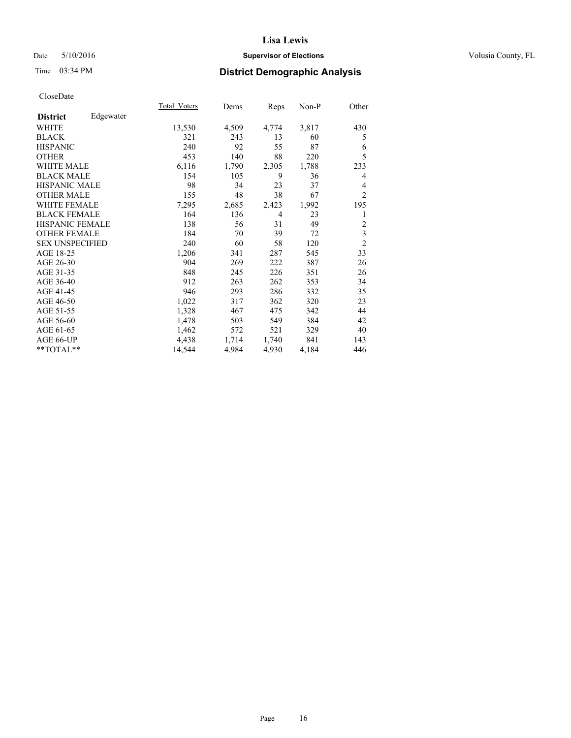## Date 5/10/2016 **Supervisor of Elections Supervisor of Elections** Volusia County, FL

## Time 03:34 PM **District Demographic Analysis**

|                        |           | Total Voters | Dems  | <b>Reps</b> | Non-P | Other                   |
|------------------------|-----------|--------------|-------|-------------|-------|-------------------------|
| <b>District</b>        | Edgewater |              |       |             |       |                         |
| WHITE                  |           | 13,530       | 4,509 | 4,774       | 3,817 | 430                     |
| <b>BLACK</b>           |           | 321          | 243   | 13          | 60    | 5                       |
| <b>HISPANIC</b>        |           | 240          | 92    | 55          | 87    | 6                       |
| <b>OTHER</b>           |           | 453          | 140   | 88          | 220   | 5                       |
| <b>WHITE MALE</b>      |           | 6,116        | 1,790 | 2,305       | 1,788 | 233                     |
| <b>BLACK MALE</b>      |           | 154          | 105   | 9           | 36    | 4                       |
| <b>HISPANIC MALE</b>   |           | 98           | 34    | 23          | 37    | 4                       |
| <b>OTHER MALE</b>      |           | 155          | 48    | 38          | 67    | $\overline{2}$          |
| <b>WHITE FEMALE</b>    |           | 7,295        | 2,685 | 2,423       | 1,992 | 195                     |
| <b>BLACK FEMALE</b>    |           | 164          | 136   | 4           | 23    | 1                       |
| <b>HISPANIC FEMALE</b> |           | 138          | 56    | 31          | 49    | $\overline{2}$          |
| <b>OTHER FEMALE</b>    |           | 184          | 70    | 39          | 72    | $\overline{\mathbf{3}}$ |
| <b>SEX UNSPECIFIED</b> |           | 240          | 60    | 58          | 120   | $\overline{2}$          |
| AGE 18-25              |           | 1,206        | 341   | 287         | 545   | 33                      |
| AGE 26-30              |           | 904          | 269   | 222         | 387   | 26                      |
| AGE 31-35              |           | 848          | 245   | 226         | 351   | 26                      |
| AGE 36-40              |           | 912          | 263   | 262         | 353   | 34                      |
| AGE 41-45              |           | 946          | 293   | 286         | 332   | 35                      |
| AGE 46-50              |           | 1,022        | 317   | 362         | 320   | 23                      |
| AGE 51-55              |           | 1,328        | 467   | 475         | 342   | 44                      |
| AGE 56-60              |           | 1,478        | 503   | 549         | 384   | 42                      |
| AGE 61-65              |           | 1,462        | 572   | 521         | 329   | 40                      |
| AGE 66-UP              |           | 4,438        | 1,714 | 1,740       | 841   | 143                     |
| **TOTAL**              |           | 14,544       | 4,984 | 4,930       | 4,184 | 446                     |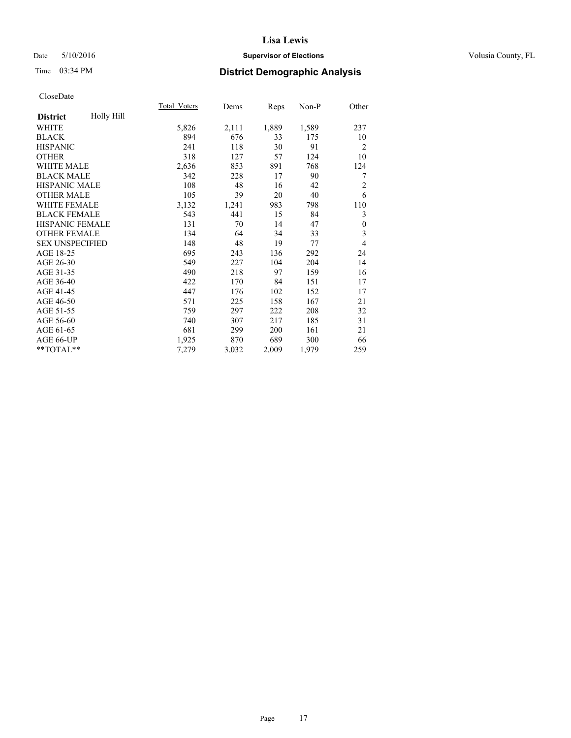## Date 5/10/2016 **Supervisor of Elections Supervisor of Elections** Volusia County, FL

## Time 03:34 PM **District Demographic Analysis**

|                        |            | Total Voters | Dems  | Reps  | Non-P | Other            |
|------------------------|------------|--------------|-------|-------|-------|------------------|
| <b>District</b>        | Holly Hill |              |       |       |       |                  |
| WHITE                  |            | 5,826        | 2,111 | 1,889 | 1,589 | 237              |
| <b>BLACK</b>           |            | 894          | 676   | 33    | 175   | 10               |
| <b>HISPANIC</b>        |            | 241          | 118   | 30    | 91    | $\overline{2}$   |
| <b>OTHER</b>           |            | 318          | 127   | 57    | 124   | 10               |
| <b>WHITE MALE</b>      |            | 2,636        | 853   | 891   | 768   | 124              |
| <b>BLACK MALE</b>      |            | 342          | 228   | 17    | 90    | 7                |
| <b>HISPANIC MALE</b>   |            | 108          | 48    | 16    | 42    | $\overline{2}$   |
| <b>OTHER MALE</b>      |            | 105          | 39    | 20    | 40    | 6                |
| <b>WHITE FEMALE</b>    |            | 3,132        | 1,241 | 983   | 798   | 110              |
| <b>BLACK FEMALE</b>    |            | 543          | 441   | 15    | 84    | 3                |
| <b>HISPANIC FEMALE</b> |            | 131          | 70    | 14    | 47    | $\boldsymbol{0}$ |
| <b>OTHER FEMALE</b>    |            | 134          | 64    | 34    | 33    | 3                |
| <b>SEX UNSPECIFIED</b> |            | 148          | 48    | 19    | 77    | $\overline{4}$   |
| AGE 18-25              |            | 695          | 243   | 136   | 292   | 24               |
| AGE 26-30              |            | 549          | 227   | 104   | 204   | 14               |
| AGE 31-35              |            | 490          | 218   | 97    | 159   | 16               |
| AGE 36-40              |            | 422          | 170   | 84    | 151   | 17               |
| AGE 41-45              |            | 447          | 176   | 102   | 152   | 17               |
| AGE 46-50              |            | 571          | 225   | 158   | 167   | 21               |
| AGE 51-55              |            | 759          | 297   | 222   | 208   | 32               |
| AGE 56-60              |            | 740          | 307   | 217   | 185   | 31               |
| AGE 61-65              |            | 681          | 299   | 200   | 161   | 21               |
| AGE 66-UP              |            | 1,925        | 870   | 689   | 300   | 66               |
| **TOTAL**              |            | 7,279        | 3,032 | 2,009 | 1,979 | 259              |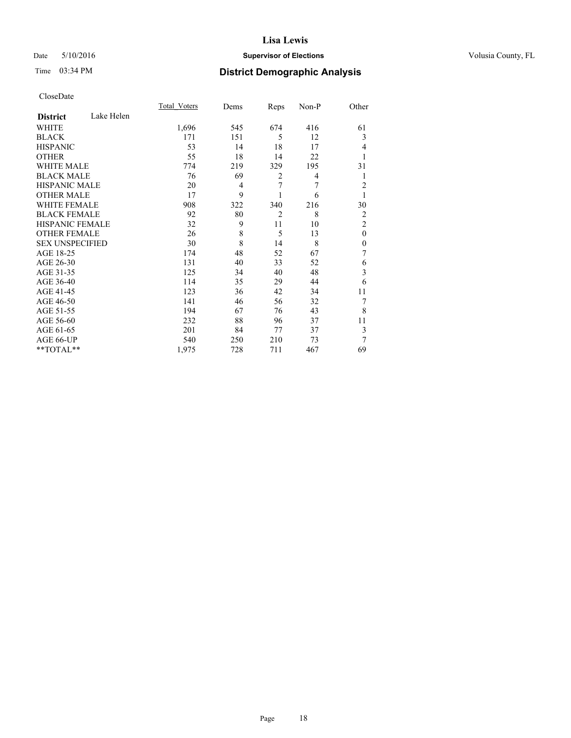## Date 5/10/2016 **Supervisor of Elections Supervisor of Elections** Volusia County, FL

## Time 03:34 PM **District Demographic Analysis**

|                        |            | <b>Total Voters</b> | Dems | Reps           | Non-P | Other          |
|------------------------|------------|---------------------|------|----------------|-------|----------------|
| <b>District</b>        | Lake Helen |                     |      |                |       |                |
| WHITE                  |            | 1,696               | 545  | 674            | 416   | 61             |
| <b>BLACK</b>           |            | 171                 | 151  | 5              | 12    | 3              |
| <b>HISPANIC</b>        |            | 53                  | 14   | 18             | 17    | 4              |
| <b>OTHER</b>           |            | 55                  | 18   | 14             | 22    | 1              |
| WHITE MALE             |            | 774                 | 219  | 329            | 195   | 31             |
| <b>BLACK MALE</b>      |            | 76                  | 69   | $\overline{2}$ | 4     | 1              |
| <b>HISPANIC MALE</b>   |            | 20                  | 4    | 7              | 7     | 2              |
| <b>OTHER MALE</b>      |            | 17                  | 9    |                | 6     | 1              |
| <b>WHITE FEMALE</b>    |            | 908                 | 322  | 340            | 216   | 30             |
| <b>BLACK FEMALE</b>    |            | 92                  | 80   | $\overline{2}$ | 8     | 2              |
| <b>HISPANIC FEMALE</b> |            | 32                  | 9    | 11             | 10    | $\overline{2}$ |
| <b>OTHER FEMALE</b>    |            | 26                  | 8    | 5              | 13    | $\theta$       |
| <b>SEX UNSPECIFIED</b> |            | 30                  | 8    | 14             | 8     | $\mathbf{0}$   |
| AGE 18-25              |            | 174                 | 48   | 52             | 67    | 7              |
| AGE 26-30              |            | 131                 | 40   | 33             | 52    | 6              |
| AGE 31-35              |            | 125                 | 34   | 40             | 48    | 3              |
| AGE 36-40              |            | 114                 | 35   | 29             | 44    | 6              |
| AGE 41-45              |            | 123                 | 36   | 42             | 34    | 11             |
| AGE 46-50              |            | 141                 | 46   | 56             | 32    | 7              |
| AGE 51-55              |            | 194                 | 67   | 76             | 43    | 8              |
| AGE 56-60              |            | 232                 | 88   | 96             | 37    | 11             |
| AGE 61-65              |            | 201                 | 84   | 77             | 37    | 3              |
| AGE 66-UP              |            | 540                 | 250  | 210            | 73    | 7              |
| **TOTAL**              |            | 1,975               | 728  | 711            | 467   | 69             |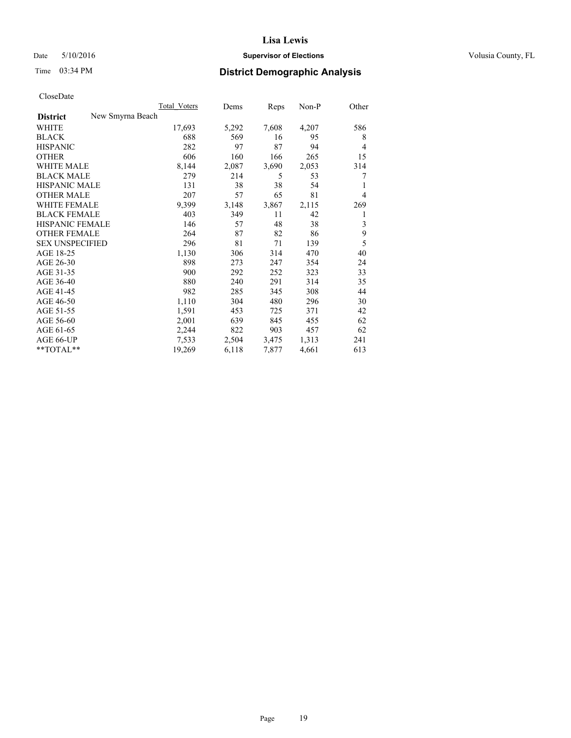## Date 5/10/2016 **Supervisor of Elections Supervisor of Elections** Volusia County, FL

| CloseDate |
|-----------|
|-----------|

|                        | Total Voters     |        | Dems  | Reps  | Non-P | Other |
|------------------------|------------------|--------|-------|-------|-------|-------|
| <b>District</b>        | New Smyrna Beach |        |       |       |       |       |
| WHITE                  |                  | 17,693 | 5,292 | 7,608 | 4,207 | 586   |
| <b>BLACK</b>           |                  | 688    | 569   | 16    | 95    | 8     |
| <b>HISPANIC</b>        |                  | 282    | 97    | 87    | 94    | 4     |
| <b>OTHER</b>           |                  | 606    | 160   | 166   | 265   | 15    |
| <b>WHITE MALE</b>      |                  | 8,144  | 2,087 | 3,690 | 2,053 | 314   |
| <b>BLACK MALE</b>      |                  | 279    | 214   | 5     | 53    | 7     |
| <b>HISPANIC MALE</b>   |                  | 131    | 38    | 38    | 54    |       |
| <b>OTHER MALE</b>      |                  | 207    | 57    | 65    | 81    | 4     |
| <b>WHITE FEMALE</b>    |                  | 9,399  | 3,148 | 3,867 | 2,115 | 269   |
| <b>BLACK FEMALE</b>    |                  | 403    | 349   | 11    | 42    | 1     |
| HISPANIC FEMALE        |                  | 146    | 57    | 48    | 38    | 3     |
| <b>OTHER FEMALE</b>    |                  | 264    | 87    | 82    | 86    | 9     |
| <b>SEX UNSPECIFIED</b> |                  | 296    | 81    | 71    | 139   | 5     |
| AGE 18-25              |                  | 1,130  | 306   | 314   | 470   | 40    |
| AGE 26-30              |                  | 898    | 273   | 247   | 354   | 24    |
| AGE 31-35              |                  | 900    | 292   | 252   | 323   | 33    |
| AGE 36-40              |                  | 880    | 240   | 291   | 314   | 35    |
| AGE 41-45              |                  | 982    | 285   | 345   | 308   | 44    |
| AGE 46-50              |                  | 1,110  | 304   | 480   | 296   | 30    |
| AGE 51-55              |                  | 1,591  | 453   | 725   | 371   | 42    |
| AGE 56-60              |                  | 2,001  | 639   | 845   | 455   | 62    |
| AGE 61-65              |                  | 2,244  | 822   | 903   | 457   | 62    |
| AGE 66-UP              |                  | 7,533  | 2,504 | 3,475 | 1,313 | 241   |
| $*$ TOTAL $*$          |                  | 19,269 | 6,118 | 7,877 | 4,661 | 613   |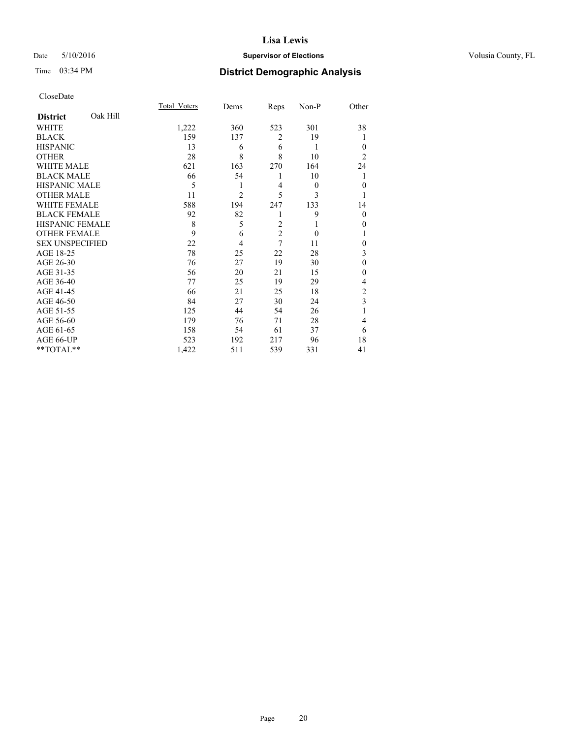## Date 5/10/2016 **Supervisor of Elections Supervisor of Elections** Volusia County, FL

## Time 03:34 PM **District Demographic Analysis**

|                        |          | Total Voters | Dems           | Reps           | Non-P    | Other          |
|------------------------|----------|--------------|----------------|----------------|----------|----------------|
| <b>District</b>        | Oak Hill |              |                |                |          |                |
| WHITE                  |          | 1,222        | 360            | 523            | 301      | 38             |
| <b>BLACK</b>           |          | 159          | 137            | $\overline{2}$ | 19       |                |
| <b>HISPANIC</b>        |          | 13           | 6              | 6              | 1        | $\theta$       |
| <b>OTHER</b>           |          | 28           | 8              | 8              | 10       | $\overline{2}$ |
| WHITE MALE             |          | 621          | 163            | 270            | 164      | 24             |
| <b>BLACK MALE</b>      |          | 66           | 54             | 1              | 10       | 1              |
| <b>HISPANIC MALE</b>   |          | 5            | 1              | 4              | $\theta$ | $\mathbf{0}$   |
| <b>OTHER MALE</b>      |          | 11           | $\overline{2}$ | 5              | 3        |                |
| <b>WHITE FEMALE</b>    |          | 588          | 194            | 247            | 133      | 14             |
| <b>BLACK FEMALE</b>    |          | 92           | 82             | 1              | 9        | $\theta$       |
| <b>HISPANIC FEMALE</b> |          | 8            | 5              | $\overline{2}$ | 1        | 0              |
| <b>OTHER FEMALE</b>    |          | 9            | 6              | $\overline{c}$ | $\theta$ |                |
| <b>SEX UNSPECIFIED</b> |          | 22           | 4              | 7              | 11       | $\mathbf{0}$   |
| AGE 18-25              |          | 78           | 25             | 22             | 28       | 3              |
| AGE 26-30              |          | 76           | 27             | 19             | 30       | $\mathbf{0}$   |
| AGE 31-35              |          | 56           | 20             | 21             | 15       | 0              |
| AGE 36-40              |          | 77           | 25             | 19             | 29       | 4              |
| AGE 41-45              |          | 66           | 21             | 25             | 18       | $\overline{c}$ |
| AGE 46-50              |          | 84           | 27             | 30             | 24       | 3              |
| AGE 51-55              |          | 125          | 44             | 54             | 26       | 1              |
| AGE 56-60              |          | 179          | 76             | 71             | 28       | 4              |
| AGE 61-65              |          | 158          | 54             | 61             | 37       | 6              |
| AGE 66-UP              |          | 523          | 192            | 217            | 96       | 18             |
| **TOTAL**              |          | 1,422        | 511            | 539            | 331      | 41             |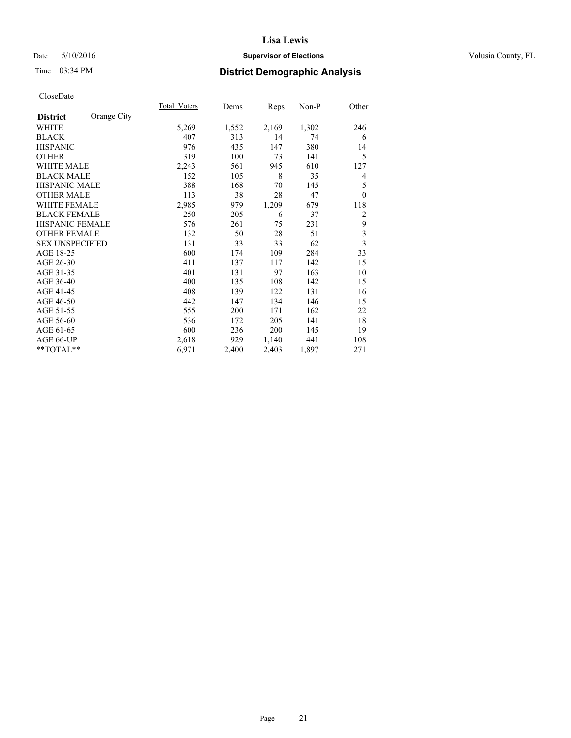## Date 5/10/2016 **Supervisor of Elections Supervisor of Elections** Volusia County, FL

# Time 03:34 PM **District Demographic Analysis**

|                        |             | <b>Total Voters</b> | Dems  | Reps  | Non-P | Other                   |
|------------------------|-------------|---------------------|-------|-------|-------|-------------------------|
| <b>District</b>        | Orange City |                     |       |       |       |                         |
| <b>WHITE</b>           |             | 5,269               | 1,552 | 2,169 | 1,302 | 246                     |
| <b>BLACK</b>           |             | 407                 | 313   | 14    | 74    | 6                       |
| <b>HISPANIC</b>        |             | 976                 | 435   | 147   | 380   | 14                      |
| <b>OTHER</b>           |             | 319                 | 100   | 73    | 141   | 5                       |
| <b>WHITE MALE</b>      |             | 2,243               | 561   | 945   | 610   | 127                     |
| <b>BLACK MALE</b>      |             | 152                 | 105   | 8     | 35    | 4                       |
| HISPANIC MALE          |             | 388                 | 168   | 70    | 145   | 5                       |
| <b>OTHER MALE</b>      |             | 113                 | 38    | 28    | 47    | $\theta$                |
| <b>WHITE FEMALE</b>    |             | 2,985               | 979   | 1,209 | 679   | 118                     |
| <b>BLACK FEMALE</b>    |             | 250                 | 205   | 6     | 37    | $\overline{c}$          |
| <b>HISPANIC FEMALE</b> |             | 576                 | 261   | 75    | 231   | 9                       |
| <b>OTHER FEMALE</b>    |             | 132                 | 50    | 28    | 51    | $\overline{\mathbf{3}}$ |
| <b>SEX UNSPECIFIED</b> |             | 131                 | 33    | 33    | 62    | $\overline{\mathbf{3}}$ |
| AGE 18-25              |             | 600                 | 174   | 109   | 284   | 33                      |
| AGE 26-30              |             | 411                 | 137   | 117   | 142   | 15                      |
| AGE 31-35              |             | 401                 | 131   | 97    | 163   | 10                      |
| AGE 36-40              |             | 400                 | 135   | 108   | 142   | 15                      |
| AGE 41-45              |             | 408                 | 139   | 122   | 131   | 16                      |
| AGE 46-50              |             | 442                 | 147   | 134   | 146   | 15                      |
| AGE 51-55              |             | 555                 | 200   | 171   | 162   | 22                      |
| AGE 56-60              |             | 536                 | 172   | 205   | 141   | 18                      |
| AGE 61-65              |             | 600                 | 236   | 200   | 145   | 19                      |
| AGE 66-UP              |             | 2,618               | 929   | 1,140 | 441   | 108                     |
| **TOTAL**              |             | 6,971               | 2,400 | 2,403 | 1,897 | 271                     |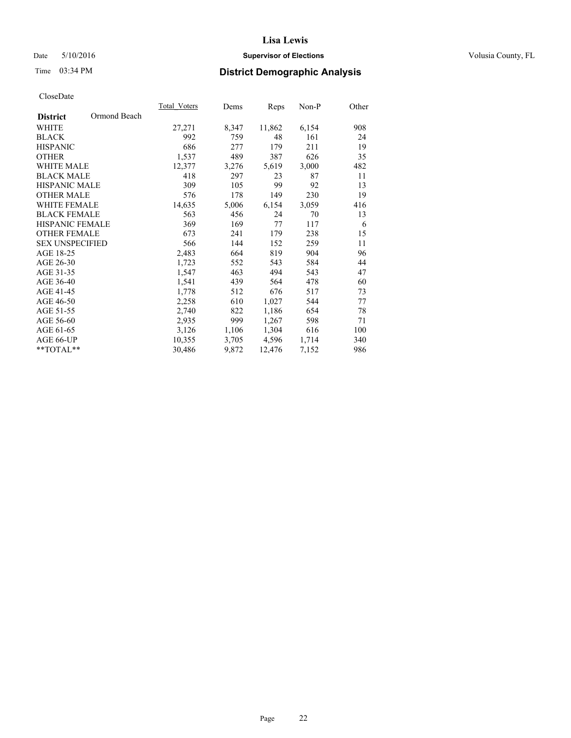## Date 5/10/2016 **Supervisor of Elections Supervisor of Elections** Volusia County, FL

# Time 03:34 PM **District Demographic Analysis**

|                        |              | <b>Total Voters</b> | Dems  | <b>Reps</b> | Non-P | Other |
|------------------------|--------------|---------------------|-------|-------------|-------|-------|
| <b>District</b>        | Ormond Beach |                     |       |             |       |       |
| WHITE                  |              | 27,271              | 8,347 | 11,862      | 6,154 | 908   |
| <b>BLACK</b>           |              | 992                 | 759   | 48          | 161   | 24    |
| <b>HISPANIC</b>        |              | 686                 | 277   | 179         | 211   | 19    |
| <b>OTHER</b>           |              | 1,537               | 489   | 387         | 626   | 35    |
| WHITE MALE             |              | 12,377              | 3,276 | 5,619       | 3,000 | 482   |
| <b>BLACK MALE</b>      |              | 418                 | 297   | 23          | 87    | 11    |
| <b>HISPANIC MALE</b>   |              | 309                 | 105   | 99          | 92    | 13    |
| <b>OTHER MALE</b>      |              | 576                 | 178   | 149         | 230   | 19    |
| <b>WHITE FEMALE</b>    |              | 14,635              | 5,006 | 6,154       | 3,059 | 416   |
| <b>BLACK FEMALE</b>    |              | 563                 | 456   | 24          | 70    | 13    |
| <b>HISPANIC FEMALE</b> |              | 369                 | 169   | 77          | 117   | 6     |
| <b>OTHER FEMALE</b>    |              | 673                 | 241   | 179         | 238   | 15    |
| <b>SEX UNSPECIFIED</b> |              | 566                 | 144   | 152         | 259   | 11    |
| AGE 18-25              |              | 2,483               | 664   | 819         | 904   | 96    |
| AGE 26-30              |              | 1,723               | 552   | 543         | 584   | 44    |
| AGE 31-35              |              | 1,547               | 463   | 494         | 543   | 47    |
| AGE 36-40              |              | 1,541               | 439   | 564         | 478   | 60    |
| AGE 41-45              |              | 1,778               | 512   | 676         | 517   | 73    |
| AGE 46-50              |              | 2,258               | 610   | 1,027       | 544   | 77    |
| AGE 51-55              |              | 2,740               | 822   | 1,186       | 654   | 78    |
| AGE 56-60              |              | 2,935               | 999   | 1,267       | 598   | 71    |
| AGE 61-65              |              | 3,126               | 1,106 | 1,304       | 616   | 100   |
| AGE 66-UP              |              | 10,355              | 3,705 | 4,596       | 1,714 | 340   |
| $*$ $TOTAI.**$         |              | 30,486              | 9,872 | 12,476      | 7,152 | 986   |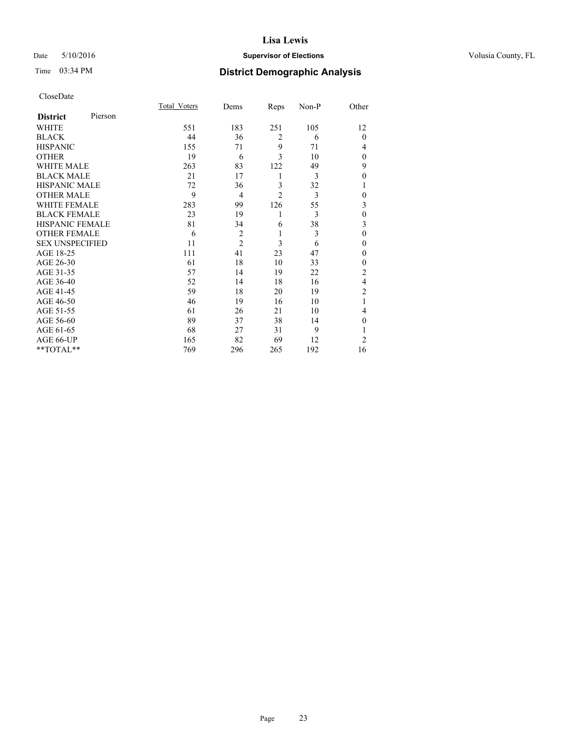## Date 5/10/2016 **Supervisor of Elections Supervisor of Elections** Volusia County, FL

| CloseDate |
|-----------|
|-----------|

|                        |         | <b>Total Voters</b> | Dems           | Reps           | Non-P | Other          |
|------------------------|---------|---------------------|----------------|----------------|-------|----------------|
| <b>District</b>        | Pierson |                     |                |                |       |                |
| WHITE                  |         | 551                 | 183            | 251            | 105   | 12             |
| <b>BLACK</b>           |         | 44                  | 36             | $\overline{2}$ | 6     | $\mathbf{0}$   |
| <b>HISPANIC</b>        |         | 155                 | 71             | 9              | 71    | 4              |
| <b>OTHER</b>           |         | 19                  | 6              | 3              | 10    | $\Omega$       |
| WHITE MALE             |         | 263                 | 83             | 122            | 49    | 9              |
| <b>BLACK MALE</b>      |         | 21                  | 17             | 1              | 3     | $\theta$       |
| <b>HISPANIC MALE</b>   |         | 72                  | 36             | 3              | 32    | 1              |
| <b>OTHER MALE</b>      |         | 9                   | $\overline{4}$ | $\overline{2}$ | 3     | $\mathbf{0}$   |
| <b>WHITE FEMALE</b>    |         | 283                 | 99             | 126            | 55    | 3              |
| <b>BLACK FEMALE</b>    |         | 23                  | 19             | 1              | 3     | $\theta$       |
| <b>HISPANIC FEMALE</b> |         | 81                  | 34             | 6              | 38    | 3              |
| <b>OTHER FEMALE</b>    |         | 6                   | $\overline{c}$ | 1              | 3     | $\theta$       |
| <b>SEX UNSPECIFIED</b> |         | 11                  | $\overline{2}$ | 3              | 6     | $\theta$       |
| AGE 18-25              |         | 111                 | 41             | 23             | 47    | $\Omega$       |
| AGE 26-30              |         | 61                  | 18             | 10             | 33    | $\mathbf{0}$   |
| AGE 31-35              |         | 57                  | 14             | 19             | 22    | $\overline{c}$ |
| AGE 36-40              |         | 52                  | 14             | 18             | 16    | $\overline{4}$ |
| AGE 41-45              |         | 59                  | 18             | 20             | 19    | $\overline{c}$ |
| AGE 46-50              |         | 46                  | 19             | 16             | 10    | 1              |
| AGE 51-55              |         | 61                  | 26             | 21             | 10    | 4              |
| AGE 56-60              |         | 89                  | 37             | 38             | 14    | $\Omega$       |
| AGE 61-65              |         | 68                  | 27             | 31             | 9     |                |
| AGE 66-UP              |         | 165                 | 82             | 69             | 12    | $\overline{2}$ |
| **TOTAL**              |         | 769                 | 296            | 265            | 192   | 16             |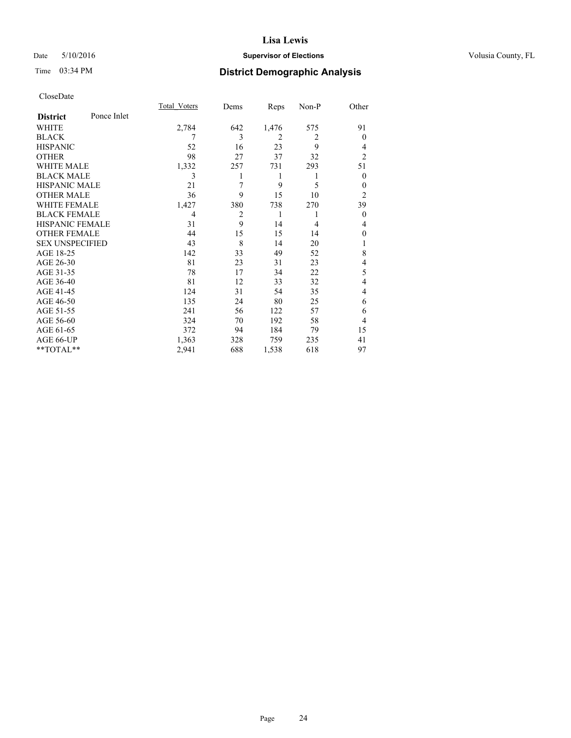## Date 5/10/2016 **Supervisor of Elections Supervisor of Elections** Volusia County, FL

## Time 03:34 PM **District Demographic Analysis**

|                        |             | <b>Total Voters</b> | Dems           | Reps           | Non-P          | Other          |
|------------------------|-------------|---------------------|----------------|----------------|----------------|----------------|
| <b>District</b>        | Ponce Inlet |                     |                |                |                |                |
| WHITE                  |             | 2,784               | 642            | 1,476          | 575            | 91             |
| <b>BLACK</b>           |             | 7                   | 3              | $\overline{2}$ | 2              | $\Omega$       |
| <b>HISPANIC</b>        |             | 52                  | 16             | 23             | 9              | 4              |
| <b>OTHER</b>           |             | 98                  | 27             | 37             | 32             | $\overline{2}$ |
| WHITE MALE             |             | 1,332               | 257            | 731            | 293            | 51             |
| <b>BLACK MALE</b>      |             | 3                   |                | 1              | 1              | $\mathbf{0}$   |
| <b>HISPANIC MALE</b>   |             | 21                  | 7              | 9              | 5              | 0              |
| <b>OTHER MALE</b>      |             | 36                  | 9              | 15             | 10             | $\overline{2}$ |
| <b>WHITE FEMALE</b>    |             | 1,427               | 380            | 738            | 270            | 39             |
| <b>BLACK FEMALE</b>    |             | 4                   | $\overline{2}$ | 1              |                | $\mathbf{0}$   |
| <b>HISPANIC FEMALE</b> |             | 31                  | 9              | 14             | $\overline{4}$ | 4              |
| <b>OTHER FEMALE</b>    |             | 44                  | 15             | 15             | 14             | $\Omega$       |
| <b>SEX UNSPECIFIED</b> |             | 43                  | 8              | 14             | 20             | 1              |
| AGE 18-25              |             | 142                 | 33             | 49             | 52             | 8              |
| AGE 26-30              |             | 81                  | 23             | 31             | 23             | 4              |
| AGE 31-35              |             | 78                  | 17             | 34             | 22             | 5              |
| AGE 36-40              |             | 81                  | 12             | 33             | 32             | $\overline{4}$ |
| AGE 41-45              |             | 124                 | 31             | 54             | 35             | 4              |
| AGE 46-50              |             | 135                 | 24             | 80             | 25             | 6              |
| AGE 51-55              |             | 241                 | 56             | 122            | 57             | 6              |
| AGE 56-60              |             | 324                 | 70             | 192            | 58             | 4              |
| AGE 61-65              |             | 372                 | 94             | 184            | 79             | 15             |
| AGE 66-UP              |             | 1,363               | 328            | 759            | 235            | 41             |
| **TOTAL**              |             | 2,941               | 688            | 1,538          | 618            | 97             |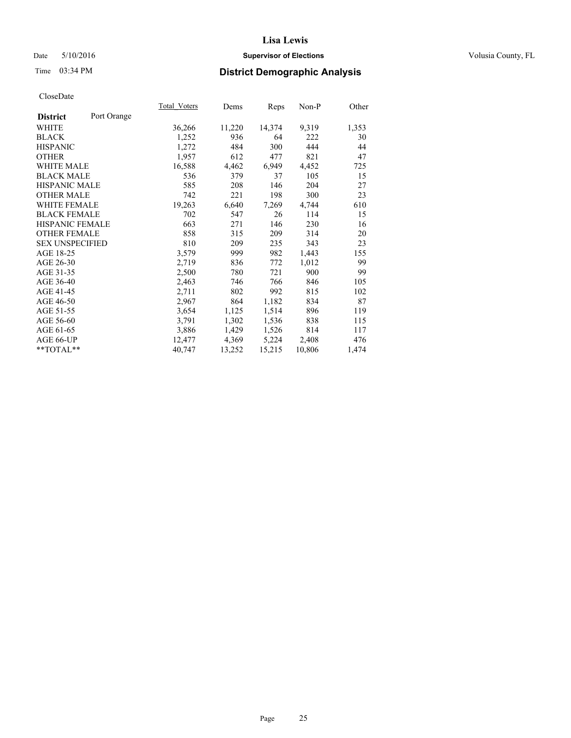## Date 5/10/2016 **Supervisor of Elections Supervisor of Elections** Volusia County, FL

# Time 03:34 PM **District Demographic Analysis**

|                        |             | <b>Total Voters</b> | Dems   | Reps   | Non-P  | Other |
|------------------------|-------------|---------------------|--------|--------|--------|-------|
| <b>District</b>        | Port Orange |                     |        |        |        |       |
| WHITE                  |             | 36,266              | 11,220 | 14,374 | 9,319  | 1,353 |
| <b>BLACK</b>           |             | 1,252               | 936    | 64     | 222    | 30    |
| <b>HISPANIC</b>        |             | 1,272               | 484    | 300    | 444    | 44    |
| <b>OTHER</b>           |             | 1,957               | 612    | 477    | 821    | 47    |
| WHITE MALE             |             | 16,588              | 4,462  | 6,949  | 4,452  | 725   |
| <b>BLACK MALE</b>      |             | 536                 | 379    | 37     | 105    | 15    |
| <b>HISPANIC MALE</b>   |             | 585                 | 208    | 146    | 204    | 27    |
| <b>OTHER MALE</b>      |             | 742                 | 221    | 198    | 300    | 23    |
| <b>WHITE FEMALE</b>    |             | 19,263              | 6,640  | 7,269  | 4,744  | 610   |
| <b>BLACK FEMALE</b>    |             | 702                 | 547    | 26     | 114    | 15    |
| HISPANIC FEMALE        |             | 663                 | 271    | 146    | 230    | 16    |
| <b>OTHER FEMALE</b>    |             | 858                 | 315    | 209    | 314    | 20    |
| <b>SEX UNSPECIFIED</b> |             | 810                 | 209    | 235    | 343    | 23    |
| AGE 18-25              |             | 3,579               | 999    | 982    | 1,443  | 155   |
| AGE 26-30              |             | 2,719               | 836    | 772    | 1,012  | 99    |
| AGE 31-35              |             | 2,500               | 780    | 721    | 900    | 99    |
| AGE 36-40              |             | 2,463               | 746    | 766    | 846    | 105   |
| AGE 41-45              |             | 2,711               | 802    | 992    | 815    | 102   |
| AGE 46-50              |             | 2,967               | 864    | 1,182  | 834    | 87    |
| AGE 51-55              |             | 3,654               | 1,125  | 1,514  | 896    | 119   |
| AGE 56-60              |             | 3,791               | 1,302  | 1,536  | 838    | 115   |
| AGE 61-65              |             | 3,886               | 1,429  | 1,526  | 814    | 117   |
| AGE 66-UP              |             | 12,477              | 4,369  | 5,224  | 2,408  | 476   |
| $*$ $TOTAL**$          |             | 40,747              | 13,252 | 15,215 | 10,806 | 1,474 |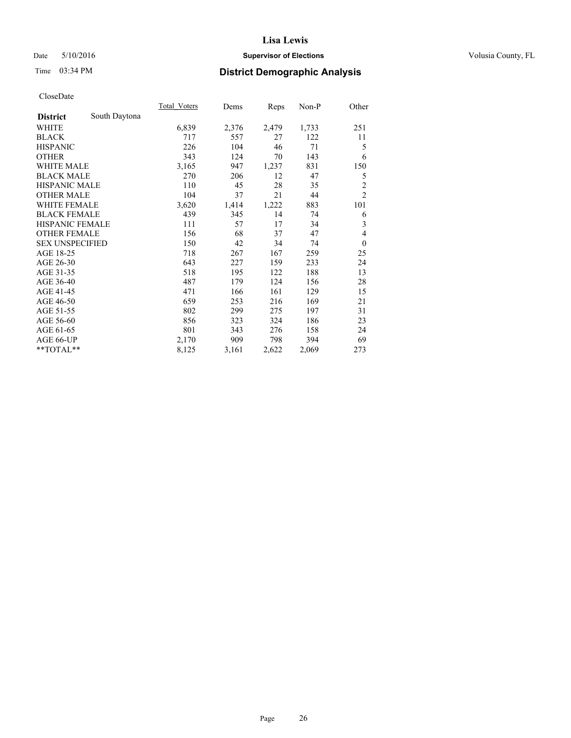## Date 5/10/2016 **Supervisor of Elections Supervisor of Elections** Volusia County, FL

## Time 03:34 PM **District Demographic Analysis**

|                        |               | <b>Total Voters</b> | Dems  | Reps  | Non-P | Other          |
|------------------------|---------------|---------------------|-------|-------|-------|----------------|
| <b>District</b>        | South Daytona |                     |       |       |       |                |
| WHITE                  |               | 6,839               | 2,376 | 2,479 | 1,733 | 251            |
| <b>BLACK</b>           |               | 717                 | 557   | 27    | 122   | 11             |
| <b>HISPANIC</b>        |               | 226                 | 104   | 46    | 71    | 5              |
| <b>OTHER</b>           |               | 343                 | 124   | 70    | 143   | 6              |
| <b>WHITE MALE</b>      |               | 3,165               | 947   | 1,237 | 831   | 150            |
| <b>BLACK MALE</b>      |               | 270                 | 206   | 12    | 47    | 5              |
| <b>HISPANIC MALE</b>   |               | 110                 | 45    | 28    | 35    | $\overline{c}$ |
| <b>OTHER MALE</b>      |               | 104                 | 37    | 21    | 44    | $\overline{c}$ |
| <b>WHITE FEMALE</b>    |               | 3,620               | 1,414 | 1,222 | 883   | 101            |
| <b>BLACK FEMALE</b>    |               | 439                 | 345   | 14    | 74    | 6              |
| <b>HISPANIC FEMALE</b> |               | 111                 | 57    | 17    | 34    | 3              |
| <b>OTHER FEMALE</b>    |               | 156                 | 68    | 37    | 47    | 4              |
| <b>SEX UNSPECIFIED</b> |               | 150                 | 42    | 34    | 74    | $\mathbf{0}$   |
| AGE 18-25              |               | 718                 | 267   | 167   | 259   | 25             |
| AGE 26-30              |               | 643                 | 227   | 159   | 233   | 24             |
| AGE 31-35              |               | 518                 | 195   | 122   | 188   | 13             |
| AGE 36-40              |               | 487                 | 179   | 124   | 156   | 28             |
| AGE 41-45              |               | 471                 | 166   | 161   | 129   | 15             |
| AGE 46-50              |               | 659                 | 253   | 216   | 169   | 21             |
| AGE 51-55              |               | 802                 | 299   | 275   | 197   | 31             |
| AGE 56-60              |               | 856                 | 323   | 324   | 186   | 23             |
| AGE 61-65              |               | 801                 | 343   | 276   | 158   | 24             |
| AGE 66-UP              |               | 2,170               | 909   | 798   | 394   | 69             |
| **TOTAL**              |               | 8,125               | 3,161 | 2,622 | 2,069 | 273            |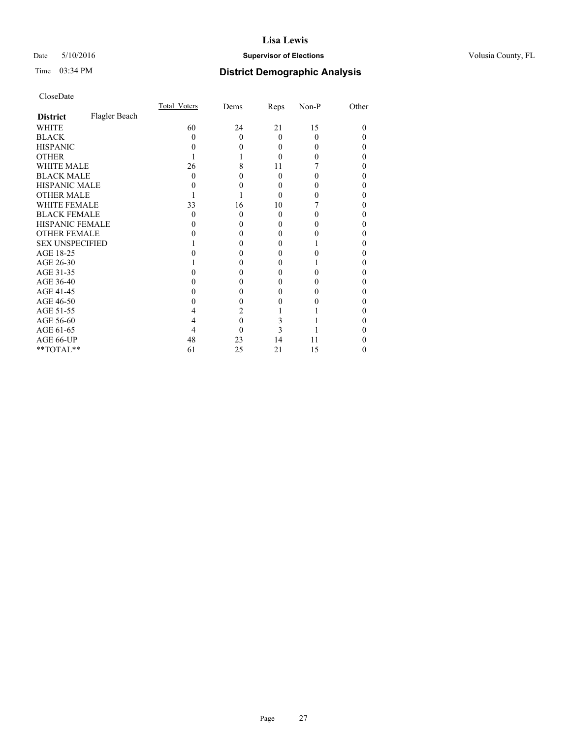## Date 5/10/2016 **Supervisor of Elections Supervisor of Elections** Volusia County, FL

# Time 03:34 PM **District Demographic Analysis**

|                        |               | Total Voters | Dems     | Reps     | Non-P | Other    |
|------------------------|---------------|--------------|----------|----------|-------|----------|
| <b>District</b>        | Flagler Beach |              |          |          |       |          |
| WHITE                  |               | 60           | 24       | 21       | 15    | $\Omega$ |
| <b>BLACK</b>           |               | 0            | $\theta$ | $\Omega$ | 0     | 0        |
| <b>HISPANIC</b>        |               | 0            | $\theta$ | 0        | 0     | 0        |
| <b>OTHER</b>           |               |              |          |          |       | 0        |
| <b>WHITE MALE</b>      |               | 26           | 8        | 11       |       | 0        |
| <b>BLACK MALE</b>      |               | 0            | 0        | $\Omega$ |       | 0        |
| <b>HISPANIC MALE</b>   |               |              | 0        |          |       | 0        |
| <b>OTHER MALE</b>      |               |              |          | 0        |       | 0        |
| <b>WHITE FEMALE</b>    |               | 33           | 16       | 10       |       | 0        |
| <b>BLACK FEMALE</b>    |               | $\Omega$     | $\theta$ | $\Omega$ |       | 0        |
| <b>HISPANIC FEMALE</b> |               |              | 0        |          |       | 0        |
| <b>OTHER FEMALE</b>    |               |              | 0        | 0        |       | 0        |
| <b>SEX UNSPECIFIED</b> |               |              | 0        |          |       | 0        |
| AGE 18-25              |               |              | 0        | 0        |       | 0        |
| AGE 26-30              |               |              | 0        | 0        |       | 0        |
| AGE 31-35              |               |              | 0        |          |       | 0        |
| AGE 36-40              |               |              | 0        | 0        |       | 0        |
| AGE 41-45              |               |              | 0        |          |       | 0        |
| AGE 46-50              |               |              | $\Omega$ |          |       | 0        |
| AGE 51-55              |               | 4            | 2        |          |       | 0        |
| AGE 56-60              |               | 4            | $\theta$ | 3        |       | 0        |
| AGE 61-65              |               | 4            | 0        | 3        |       | 0        |
| AGE 66-UP              |               | 48           | 23       | 14       | 11    | 0        |
| **TOTAL**              |               | 61           | 25       | 21       | 15    | $\theta$ |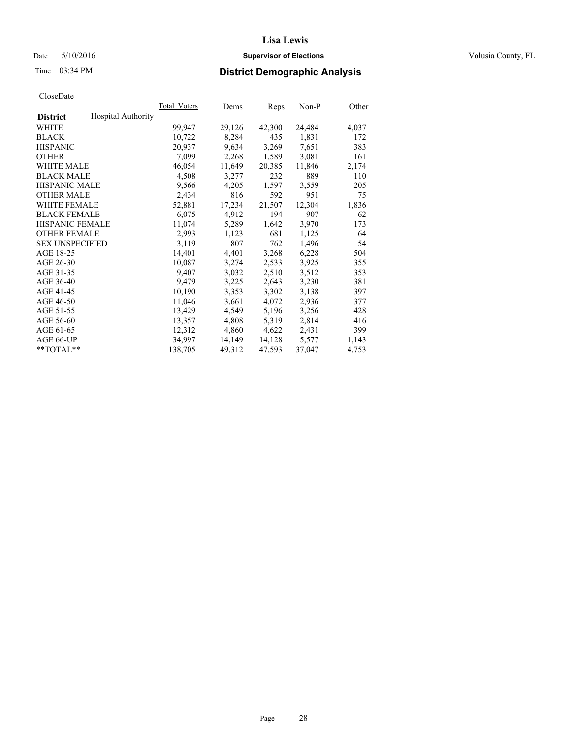## Date 5/10/2016 **Supervisor of Elections Supervisor of Elections** Volusia County, FL

## Time 03:34 PM **District Demographic Analysis**

|                        |                           | Total Voters | Dems   | <b>Reps</b> | Non-P  | Other |
|------------------------|---------------------------|--------------|--------|-------------|--------|-------|
| <b>District</b>        | <b>Hospital Authority</b> |              |        |             |        |       |
| WHITE                  |                           | 99,947       | 29,126 | 42,300      | 24,484 | 4,037 |
| <b>BLACK</b>           |                           | 10,722       | 8,284  | 435         | 1,831  | 172   |
| <b>HISPANIC</b>        |                           | 20,937       | 9,634  | 3,269       | 7,651  | 383   |
| <b>OTHER</b>           |                           | 7,099        | 2,268  | 1,589       | 3,081  | 161   |
| <b>WHITE MALE</b>      |                           | 46,054       | 11,649 | 20,385      | 11,846 | 2,174 |
| <b>BLACK MALE</b>      |                           | 4,508        | 3,277  | 232         | 889    | 110   |
| <b>HISPANIC MALE</b>   |                           | 9,566        | 4,205  | 1,597       | 3,559  | 205   |
| <b>OTHER MALE</b>      |                           | 2,434        | 816    | 592         | 951    | 75    |
| <b>WHITE FEMALE</b>    |                           | 52,881       | 17,234 | 21,507      | 12,304 | 1,836 |
| <b>BLACK FEMALE</b>    |                           | 6,075        | 4,912  | 194         | 907    | 62    |
| HISPANIC FEMALE        |                           | 11,074       | 5,289  | 1,642       | 3,970  | 173   |
| <b>OTHER FEMALE</b>    |                           | 2,993        | 1,123  | 681         | 1,125  | 64    |
| <b>SEX UNSPECIFIED</b> |                           | 3,119        | 807    | 762         | 1,496  | 54    |
| AGE 18-25              |                           | 14,401       | 4,401  | 3,268       | 6,228  | 504   |
| AGE 26-30              |                           | 10,087       | 3,274  | 2,533       | 3,925  | 355   |
| AGE 31-35              |                           | 9,407        | 3,032  | 2,510       | 3,512  | 353   |
| AGE 36-40              |                           | 9,479        | 3,225  | 2,643       | 3,230  | 381   |
| AGE 41-45              |                           | 10,190       | 3,353  | 3,302       | 3,138  | 397   |
| AGE 46-50              |                           | 11,046       | 3,661  | 4,072       | 2,936  | 377   |
| AGE 51-55              |                           | 13,429       | 4,549  | 5,196       | 3,256  | 428   |
| AGE 56-60              |                           | 13,357       | 4,808  | 5,319       | 2,814  | 416   |
| AGE 61-65              |                           | 12,312       | 4,860  | 4,622       | 2,431  | 399   |
| AGE 66-UP              |                           | 34.997       | 14,149 | 14,128      | 5,577  | 1,143 |
| $*$ $TOTAI.**$         |                           | 138,705      | 49,312 | 47,593      | 37,047 | 4,753 |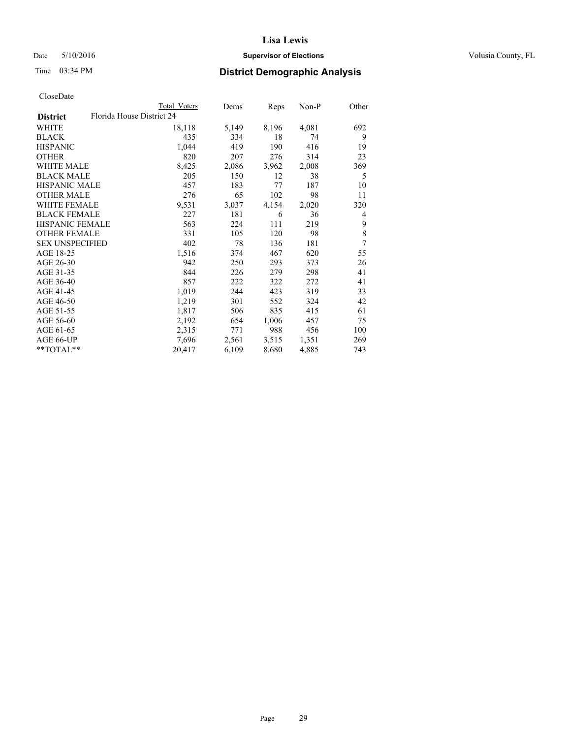## Date 5/10/2016 **Supervisor of Elections Supervisor of Elections** Volusia County, FL

|                        | <b>Total Voters</b>       | Dems  | Reps  | $Non-P$ | Other |
|------------------------|---------------------------|-------|-------|---------|-------|
| <b>District</b>        | Florida House District 24 |       |       |         |       |
| <b>WHITE</b>           | 18,118                    | 5,149 | 8,196 | 4,081   | 692   |
| <b>BLACK</b>           | 435                       | 334   | 18    | 74      | 9     |
| <b>HISPANIC</b>        | 1,044                     | 419   | 190   | 416     | 19    |
| <b>OTHER</b>           | 820                       | 207   | 276   | 314     | 23    |
| WHITE MALE             | 8,425                     | 2,086 | 3,962 | 2,008   | 369   |
| <b>BLACK MALE</b>      | 205                       | 150   | 12    | 38      | 5     |
| <b>HISPANIC MALE</b>   | 457                       | 183   | 77    | 187     | 10    |
| <b>OTHER MALE</b>      | 276                       | 65    | 102   | 98      | 11    |
| <b>WHITE FEMALE</b>    | 9,531                     | 3,037 | 4,154 | 2,020   | 320   |
| <b>BLACK FEMALE</b>    | 227                       | 181   | 6     | 36      | 4     |
| HISPANIC FEMALE        | 563                       | 224   | 111   | 219     | 9     |
| <b>OTHER FEMALE</b>    | 331                       | 105   | 120   | 98      | 8     |
| <b>SEX UNSPECIFIED</b> | 402                       | 78    | 136   | 181     | 7     |
| AGE 18-25              | 1,516                     | 374   | 467   | 620     | 55    |
| AGE 26-30              | 942                       | 250   | 293   | 373     | 26    |
| AGE 31-35              | 844                       | 226   | 279   | 298     | 41    |
| AGE 36-40              | 857                       | 222   | 322   | 272     | 41    |
| AGE 41-45              | 1,019                     | 244   | 423   | 319     | 33    |
| AGE 46-50              | 1,219                     | 301   | 552   | 324     | 42    |
| AGE 51-55              | 1,817                     | 506   | 835   | 415     | 61    |
| AGE 56-60              | 2,192                     | 654   | 1,006 | 457     | 75    |
| AGE 61-65              | 2,315                     | 771   | 988   | 456     | 100   |
| AGE 66-UP              | 7,696                     | 2,561 | 3,515 | 1,351   | 269   |
| **TOTAL**              | 20,417                    | 6,109 | 8,680 | 4,885   | 743   |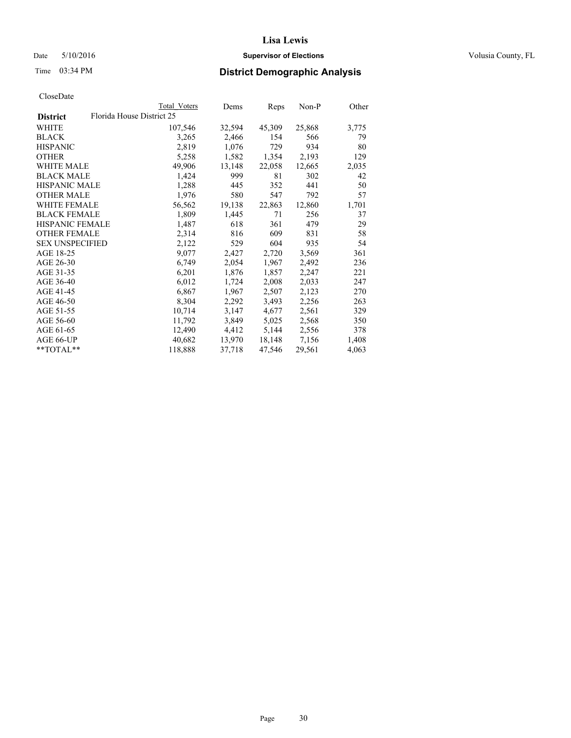## Date 5/10/2016 **Supervisor of Elections Supervisor of Elections** Volusia County, FL

## Time 03:34 PM **District Demographic Analysis**

|                                              | <b>Total Voters</b> | Dems   | <b>Reps</b> | Non-P  | Other |
|----------------------------------------------|---------------------|--------|-------------|--------|-------|
| Florida House District 25<br><b>District</b> |                     |        |             |        |       |
| WHITE                                        | 107,546             | 32,594 | 45,309      | 25,868 | 3,775 |
| <b>BLACK</b>                                 | 3,265               | 2,466  | 154         | 566    | 79    |
| <b>HISPANIC</b>                              | 2,819               | 1,076  | 729         | 934    | 80    |
| <b>OTHER</b>                                 | 5,258               | 1,582  | 1,354       | 2,193  | 129   |
| <b>WHITE MALE</b>                            | 49,906              | 13,148 | 22,058      | 12,665 | 2,035 |
| <b>BLACK MALE</b>                            | 1,424               | 999    | 81          | 302    | 42    |
| HISPANIC MALE                                | 1,288               | 445    | 352         | 441    | 50    |
| <b>OTHER MALE</b>                            | 1,976               | 580    | 547         | 792    | 57    |
| <b>WHITE FEMALE</b>                          | 56,562              | 19,138 | 22,863      | 12,860 | 1,701 |
| <b>BLACK FEMALE</b>                          | 1,809               | 1,445  | 71          | 256    | 37    |
| <b>HISPANIC FEMALE</b>                       | 1,487               | 618    | 361         | 479    | 29    |
| <b>OTHER FEMALE</b>                          | 2,314               | 816    | 609         | 831    | 58    |
| <b>SEX UNSPECIFIED</b>                       | 2,122               | 529    | 604         | 935    | 54    |
| AGE 18-25                                    | 9,077               | 2,427  | 2,720       | 3,569  | 361   |
| AGE 26-30                                    | 6,749               | 2,054  | 1,967       | 2,492  | 236   |
| AGE 31-35                                    | 6,201               | 1,876  | 1,857       | 2,247  | 221   |
| AGE 36-40                                    | 6,012               | 1,724  | 2,008       | 2,033  | 247   |
| AGE 41-45                                    | 6,867               | 1,967  | 2,507       | 2,123  | 270   |
| AGE 46-50                                    | 8,304               | 2,292  | 3,493       | 2,256  | 263   |
| AGE 51-55                                    | 10,714              | 3,147  | 4,677       | 2,561  | 329   |
| AGE 56-60                                    | 11,792              | 3,849  | 5,025       | 2,568  | 350   |
| AGE 61-65                                    | 12,490              | 4,412  | 5,144       | 2,556  | 378   |
| AGE 66-UP                                    | 40,682              | 13,970 | 18,148      | 7,156  | 1,408 |
| $*$ $TOTAI.**$                               | 118,888             | 37,718 | 47,546      | 29,561 | 4,063 |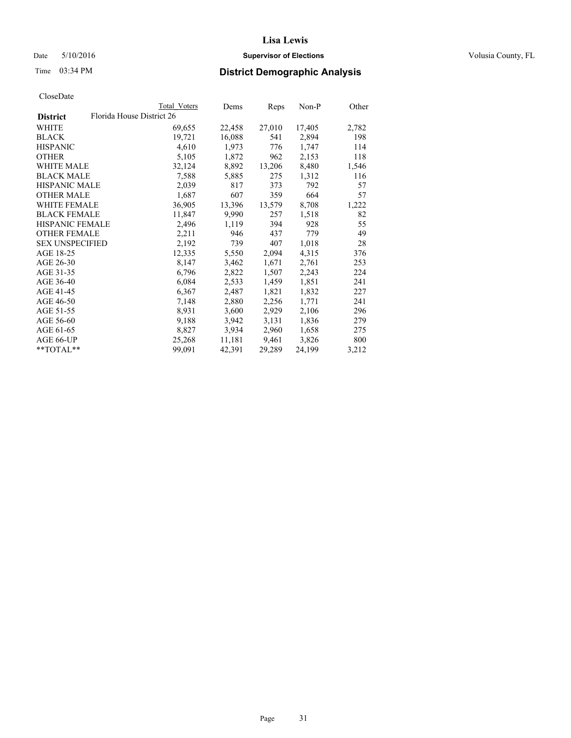## Date 5/10/2016 **Supervisor of Elections Supervisor of Elections** Volusia County, FL

|                        |                           | <b>Total Voters</b> | Dems   | Reps   | Non-P  | Other |
|------------------------|---------------------------|---------------------|--------|--------|--------|-------|
| <b>District</b>        | Florida House District 26 |                     |        |        |        |       |
| WHITE                  |                           | 69,655              | 22,458 | 27,010 | 17,405 | 2,782 |
| BLACK.                 |                           | 19,721              | 16,088 | 541    | 2,894  | 198   |
| HISPANIC               |                           | 4,610               | 1,973  | 776    | 1,747  | 114   |
| OTHER                  |                           | 5,105               | 1,872  | 962    | 2,153  | 118   |
| WHITE MALE             |                           | 32,124              | 8,892  | 13,206 | 8,480  | 1,546 |
| BLACK MALE             |                           | 7,588               | 5,885  | 275    | 1,312  | 116   |
| HISPANIC MALE          |                           | 2,039               | 817    | 373    | 792    | 57    |
| OTHER MALE             |                           | 1,687               | 607    | 359    | 664    | 57    |
| WHITE FEMALE           |                           | 36,905              | 13,396 | 13,579 | 8,708  | 1,222 |
| <b>BLACK FEMALE</b>    |                           | 11,847              | 9,990  | 257    | 1,518  | 82    |
| HISPANIC FEMALE        |                           | 2,496               | 1,119  | 394    | 928    | 55    |
| OTHER FEMALE           |                           | 2,211               | 946    | 437    | 779    | 49    |
| <b>SEX UNSPECIFIED</b> |                           | 2,192               | 739    | 407    | 1,018  | 28    |
| AGE 18-25              |                           | 12,335              | 5,550  | 2,094  | 4,315  | 376   |
| AGE 26-30              |                           | 8,147               | 3,462  | 1,671  | 2,761  | 253   |
| AGE 31-35              |                           | 6,796               | 2,822  | 1,507  | 2,243  | 224   |
| AGE 36-40              |                           | 6,084               | 2,533  | 1,459  | 1,851  | 241   |
| AGE 41-45              |                           | 6,367               | 2,487  | 1,821  | 1,832  | 227   |
| AGE 46-50              |                           | 7,148               | 2,880  | 2,256  | 1,771  | 241   |
| AGE 51-55              |                           | 8,931               | 3,600  | 2,929  | 2,106  | 296   |
| AGE 56-60              |                           | 9,188               | 3,942  | 3,131  | 1,836  | 279   |
| AGE 61-65              |                           | 8,827               | 3,934  | 2,960  | 1,658  | 275   |
| AGE 66-UP              |                           | 25,268              | 11,181 | 9,461  | 3,826  | 800   |
| **TOTAL**              |                           | 99,091              | 42,391 | 29,289 | 24,199 | 3,212 |
|                        |                           |                     |        |        |        |       |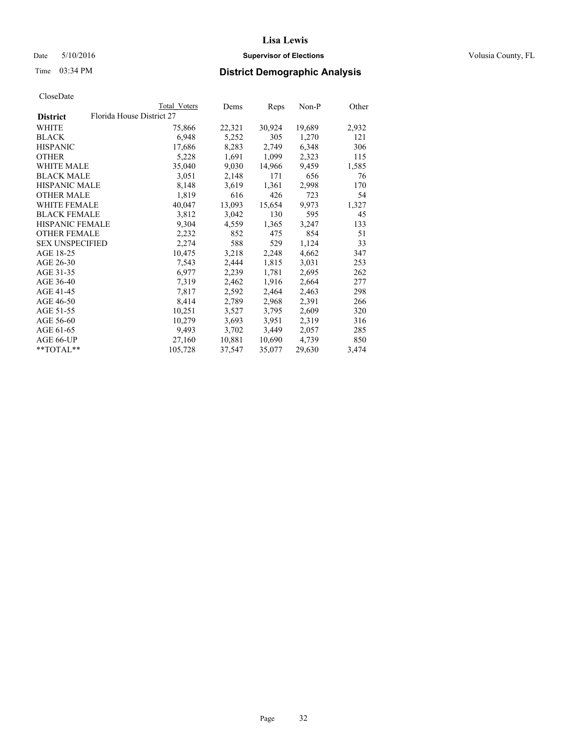## Date 5/10/2016 **Supervisor of Elections Supervisor of Elections** Volusia County, FL

| Total Voters | Dems                      |        | Non-P  | Other |
|--------------|---------------------------|--------|--------|-------|
|              |                           |        |        |       |
| 75,866       | 22,321                    | 30,924 | 19,689 | 2,932 |
| 6,948        | 5,252                     | 305    | 1,270  | 121   |
| 17,686       | 8,283                     | 2,749  | 6,348  | 306   |
| 5,228        | 1,691                     | 1,099  | 2,323  | 115   |
| 35,040       | 9,030                     | 14,966 | 9,459  | 1,585 |
| 3,051        | 2,148                     | 171    | 656    | 76    |
| 8,148        | 3,619                     | 1,361  | 2,998  | 170   |
| 1,819        | 616                       | 426    | 723    | 54    |
| 40,047       | 13,093                    | 15,654 | 9,973  | 1,327 |
| 3,812        | 3,042                     | 130    | 595    | 45    |
| 9,304        | 4,559                     | 1,365  | 3,247  | 133   |
| 2,232        | 852                       | 475    | 854    | 51    |
| 2,274        | 588                       | 529    | 1,124  | 33    |
| 10,475       | 3,218                     | 2,248  | 4,662  | 347   |
| 7,543        | 2,444                     | 1,815  | 3,031  | 253   |
| 6,977        | 2,239                     | 1,781  | 2,695  | 262   |
| 7,319        | 2,462                     | 1,916  | 2,664  | 277   |
| 7,817        | 2,592                     | 2,464  | 2,463  | 298   |
| 8,414        | 2,789                     | 2,968  | 2,391  | 266   |
| 10,251       | 3,527                     | 3,795  | 2,609  | 320   |
| 10,279       | 3,693                     | 3,951  | 2,319  | 316   |
| 9,493        | 3,702                     | 3,449  | 2,057  | 285   |
| 27,160       | 10,881                    | 10,690 | 4,739  | 850   |
| 105,728      | 37,547                    | 35,077 | 29,630 | 3,474 |
|              | Florida House District 27 |        | Reps   |       |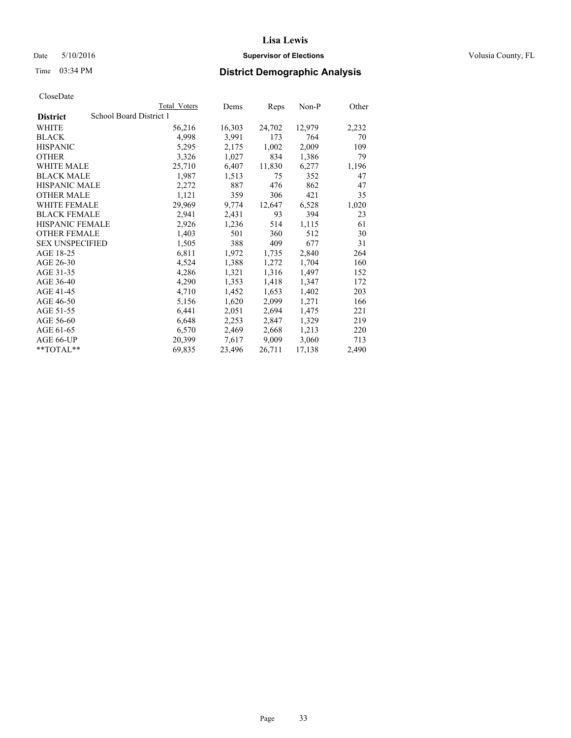## Date 5/10/2016 **Supervisor of Elections Supervisor of Elections** Volusia County, FL

## Time 03:34 PM **District Demographic Analysis**

|                        |                         | <b>Total Voters</b> | Dems   | <b>Reps</b> | Non-P  | Other |
|------------------------|-------------------------|---------------------|--------|-------------|--------|-------|
| <b>District</b>        | School Board District 1 |                     |        |             |        |       |
| WHITE                  |                         | 56,216              | 16,303 | 24,702      | 12,979 | 2,232 |
| <b>BLACK</b>           |                         | 4,998               | 3,991  | 173         | 764    | 70    |
| <b>HISPANIC</b>        |                         | 5,295               | 2,175  | 1,002       | 2,009  | 109   |
| <b>OTHER</b>           |                         | 3,326               | 1,027  | 834         | 1,386  | 79    |
| WHITE MALE             |                         | 25,710              | 6,407  | 11,830      | 6,277  | 1,196 |
| <b>BLACK MALE</b>      |                         | 1,987               | 1,513  | 75          | 352    | 47    |
| <b>HISPANIC MALE</b>   |                         | 2,272               | 887    | 476         | 862    | 47    |
| <b>OTHER MALE</b>      |                         | 1,121               | 359    | 306         | 421    | 35    |
| <b>WHITE FEMALE</b>    |                         | 29,969              | 9,774  | 12,647      | 6,528  | 1,020 |
| <b>BLACK FEMALE</b>    |                         | 2,941               | 2,431  | 93          | 394    | 23    |
| HISPANIC FEMALE        |                         | 2,926               | 1,236  | 514         | 1,115  | 61    |
| <b>OTHER FEMALE</b>    |                         | 1,403               | 501    | 360         | 512    | 30    |
| <b>SEX UNSPECIFIED</b> |                         | 1,505               | 388    | 409         | 677    | 31    |
| AGE 18-25              |                         | 6,811               | 1,972  | 1,735       | 2,840  | 264   |
| AGE 26-30              |                         | 4,524               | 1,388  | 1,272       | 1,704  | 160   |
| AGE 31-35              |                         | 4,286               | 1,321  | 1,316       | 1,497  | 152   |
| AGE 36-40              |                         | 4,290               | 1,353  | 1,418       | 1,347  | 172   |
| AGE 41-45              |                         | 4,710               | 1,452  | 1,653       | 1,402  | 203   |
| AGE 46-50              |                         | 5,156               | 1,620  | 2,099       | 1,271  | 166   |
| AGE 51-55              |                         | 6,441               | 2,051  | 2,694       | 1,475  | 221   |
| AGE 56-60              |                         | 6,648               | 2,253  | 2,847       | 1,329  | 219   |
| AGE 61-65              |                         | 6,570               | 2,469  | 2,668       | 1,213  | 220   |
| AGE 66-UP              |                         | 20,399              | 7,617  | 9,009       | 3,060  | 713   |
| $*$ $TOTAI.**$         |                         | 69,835              | 23,496 | 26,711      | 17,138 | 2,490 |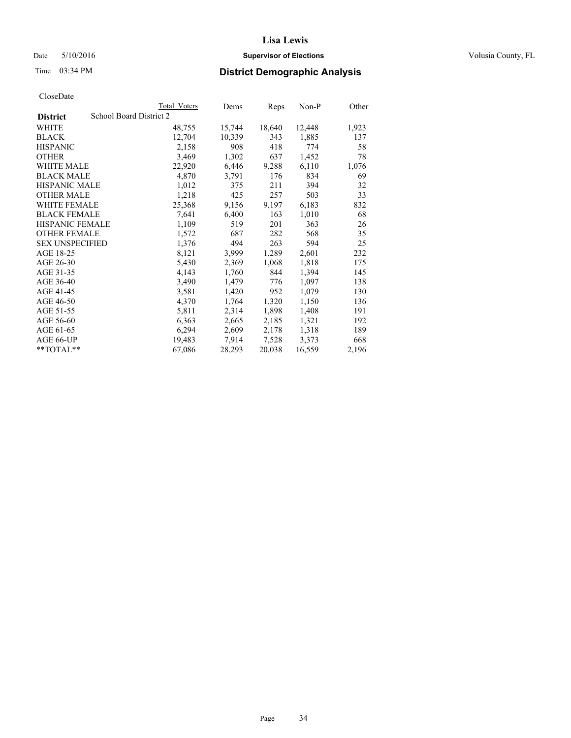## Date 5/10/2016 **Supervisor of Elections Supervisor of Elections** Volusia County, FL

# Time 03:34 PM **District Demographic Analysis**

|                                            | Total Voters | Dems   | Reps   | $Non-P$ | Other |
|--------------------------------------------|--------------|--------|--------|---------|-------|
| School Board District 2<br><b>District</b> |              |        |        |         |       |
| WHITE                                      | 48,755       | 15,744 | 18,640 | 12,448  | 1,923 |
| <b>BLACK</b>                               | 12,704       | 10,339 | 343    | 1,885   | 137   |
| <b>HISPANIC</b>                            | 2,158        | 908    | 418    | 774     | 58    |
| <b>OTHER</b>                               | 3,469        | 1,302  | 637    | 1,452   | 78    |
| <b>WHITE MALE</b>                          | 22,920       | 6,446  | 9,288  | 6,110   | 1,076 |
| <b>BLACK MALE</b>                          | 4,870        | 3,791  | 176    | 834     | 69    |
| <b>HISPANIC MALE</b>                       | 1,012        | 375    | 211    | 394     | 32    |
| OTHER MALE                                 | 1,218        | 425    | 257    | 503     | 33    |
| <b>WHITE FEMALE</b>                        | 25,368       | 9,156  | 9,197  | 6,183   | 832   |
| <b>BLACK FEMALE</b>                        | 7,641        | 6,400  | 163    | 1,010   | 68    |
| HISPANIC FEMALE                            | 1,109        | 519    | 201    | 363     | 26    |
| <b>OTHER FEMALE</b>                        | 1,572        | 687    | 282    | 568     | 35    |
| <b>SEX UNSPECIFIED</b>                     | 1,376        | 494    | 263    | 594     | 25    |
| AGE 18-25                                  | 8,121        | 3,999  | 1,289  | 2,601   | 232   |
| AGE 26-30                                  | 5,430        | 2,369  | 1,068  | 1,818   | 175   |
| AGE 31-35                                  | 4,143        | 1,760  | 844    | 1,394   | 145   |
| AGE 36-40                                  | 3,490        | 1,479  | 776    | 1,097   | 138   |
| AGE 41-45                                  | 3,581        | 1,420  | 952    | 1,079   | 130   |
| AGE 46-50                                  | 4,370        | 1,764  | 1,320  | 1,150   | 136   |
| AGE 51-55                                  | 5,811        | 2,314  | 1,898  | 1,408   | 191   |
| AGE 56-60                                  | 6,363        | 2,665  | 2,185  | 1,321   | 192   |
| AGE 61-65                                  | 6,294        | 2,609  | 2,178  | 1,318   | 189   |
| AGE 66-UP                                  | 19,483       | 7,914  | 7,528  | 3,373   | 668   |
| $*$ TOTAL $*$                              | 67,086       | 28,293 | 20,038 | 16,559  | 2,196 |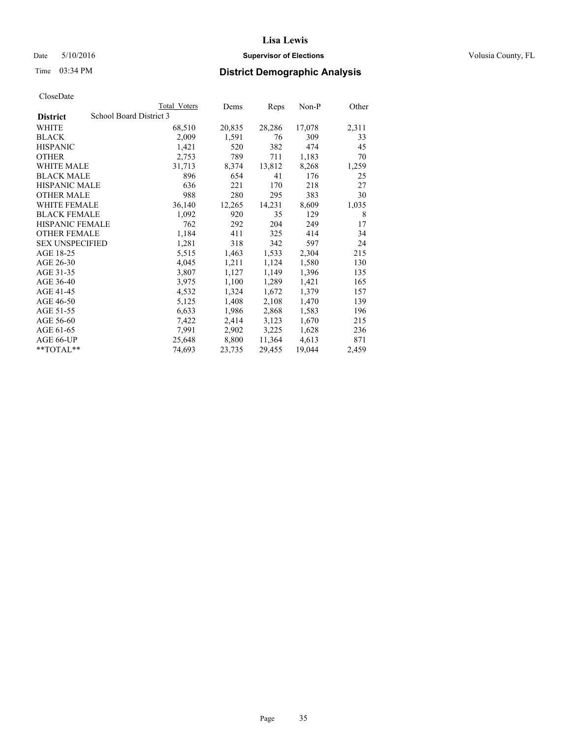## Date 5/10/2016 **Supervisor of Elections Supervisor of Elections** Volusia County, FL

## Time 03:34 PM **District Demographic Analysis**

|                        | Total Voters            | Dems   | <b>Reps</b> | Non-P  | Other |
|------------------------|-------------------------|--------|-------------|--------|-------|
| <b>District</b>        | School Board District 3 |        |             |        |       |
| WHITE                  | 68,510                  | 20,835 | 28,286      | 17,078 | 2,311 |
| <b>BLACK</b>           | 2,009                   | 1,591  | 76          | 309    | 33    |
| <b>HISPANIC</b>        | 1,421                   | 520    | 382         | 474    | 45    |
| <b>OTHER</b>           | 2,753                   | 789    | 711         | 1,183  | 70    |
| <b>WHITE MALE</b>      | 31,713                  | 8,374  | 13,812      | 8,268  | 1,259 |
| <b>BLACK MALE</b>      | 896                     | 654    | 41          | 176    | 25    |
| <b>HISPANIC MALE</b>   | 636                     | 221    | 170         | 218    | 27    |
| <b>OTHER MALE</b>      | 988                     | 280    | 295         | 383    | 30    |
| WHITE FEMALE           | 36,140                  | 12,265 | 14,231      | 8,609  | 1,035 |
| <b>BLACK FEMALE</b>    | 1,092                   | 920    | 35          | 129    | 8     |
| <b>HISPANIC FEMALE</b> | 762                     | 292    | 204         | 249    | 17    |
| <b>OTHER FEMALE</b>    | 1,184                   | 411    | 325         | 414    | 34    |
| <b>SEX UNSPECIFIED</b> | 1,281                   | 318    | 342         | 597    | 24    |
| AGE 18-25              | 5,515                   | 1,463  | 1,533       | 2,304  | 215   |
| AGE 26-30              | 4,045                   | 1,211  | 1,124       | 1,580  | 130   |
| AGE 31-35              | 3,807                   | 1,127  | 1,149       | 1,396  | 135   |
| AGE 36-40              | 3,975                   | 1,100  | 1,289       | 1,421  | 165   |
| AGE 41-45              | 4,532                   | 1,324  | 1,672       | 1,379  | 157   |
| AGE 46-50              | 5,125                   | 1,408  | 2,108       | 1,470  | 139   |
| AGE 51-55              | 6,633                   | 1,986  | 2,868       | 1,583  | 196   |
| AGE 56-60              | 7,422                   | 2,414  | 3,123       | 1,670  | 215   |
| AGE 61-65              | 7,991                   | 2,902  | 3,225       | 1,628  | 236   |
| AGE 66-UP              | 25,648                  | 8,800  | 11,364      | 4,613  | 871   |
| $*$ $TOTAI.**$         | 74,693                  | 23,735 | 29,455      | 19,044 | 2,459 |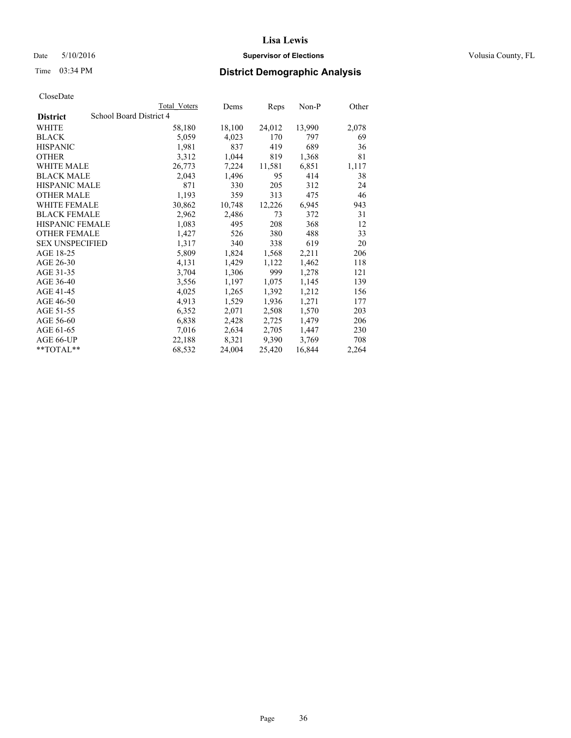## Date 5/10/2016 **Supervisor of Elections Supervisor of Elections** Volusia County, FL

## Time 03:34 PM **District Demographic Analysis**

|                                            | <b>Total Voters</b> | Dems   | Reps   | $Non-P$ | Other |
|--------------------------------------------|---------------------|--------|--------|---------|-------|
| School Board District 4<br><b>District</b> |                     |        |        |         |       |
| WHITE                                      | 58,180              | 18,100 | 24,012 | 13,990  | 2,078 |
| <b>BLACK</b>                               | 5,059               | 4,023  | 170    | 797     | 69    |
| <b>HISPANIC</b>                            | 1,981               | 837    | 419    | 689     | 36    |
| <b>OTHER</b>                               | 3,312               | 1,044  | 819    | 1,368   | 81    |
| <b>WHITE MALE</b>                          | 26,773              | 7,224  | 11,581 | 6,851   | 1,117 |
| <b>BLACK MALE</b>                          | 2,043               | 1,496  | 95     | 414     | 38    |
| <b>HISPANIC MALE</b>                       | 871                 | 330    | 205    | 312     | 24    |
| <b>OTHER MALE</b>                          | 1,193               | 359    | 313    | 475     | 46    |
| <b>WHITE FEMALE</b>                        | 30,862              | 10,748 | 12,226 | 6,945   | 943   |
| <b>BLACK FEMALE</b>                        | 2,962               | 2,486  | 73     | 372     | 31    |
| HISPANIC FEMALE                            | 1,083               | 495    | 208    | 368     | 12    |
| <b>OTHER FEMALE</b>                        | 1,427               | 526    | 380    | 488     | 33    |
| <b>SEX UNSPECIFIED</b>                     | 1,317               | 340    | 338    | 619     | 20    |
| AGE 18-25                                  | 5,809               | 1,824  | 1,568  | 2,211   | 206   |
| AGE 26-30                                  | 4,131               | 1,429  | 1,122  | 1,462   | 118   |
| AGE 31-35                                  | 3,704               | 1,306  | 999    | 1,278   | 121   |
| AGE 36-40                                  | 3,556               | 1,197  | 1,075  | 1,145   | 139   |
| AGE 41-45                                  | 4,025               | 1,265  | 1,392  | 1,212   | 156   |
| AGE 46-50                                  | 4,913               | 1,529  | 1,936  | 1,271   | 177   |
| AGE 51-55                                  | 6,352               | 2,071  | 2,508  | 1,570   | 203   |
| AGE 56-60                                  | 6,838               | 2,428  | 2,725  | 1,479   | 206   |
| AGE 61-65                                  | 7,016               | 2,634  | 2,705  | 1,447   | 230   |
| AGE 66-UP                                  | 22,188              | 8,321  | 9,390  | 3,769   | 708   |
| $*$ $TOTAL**$                              | 68,532              | 24,004 | 25,420 | 16,844  | 2,264 |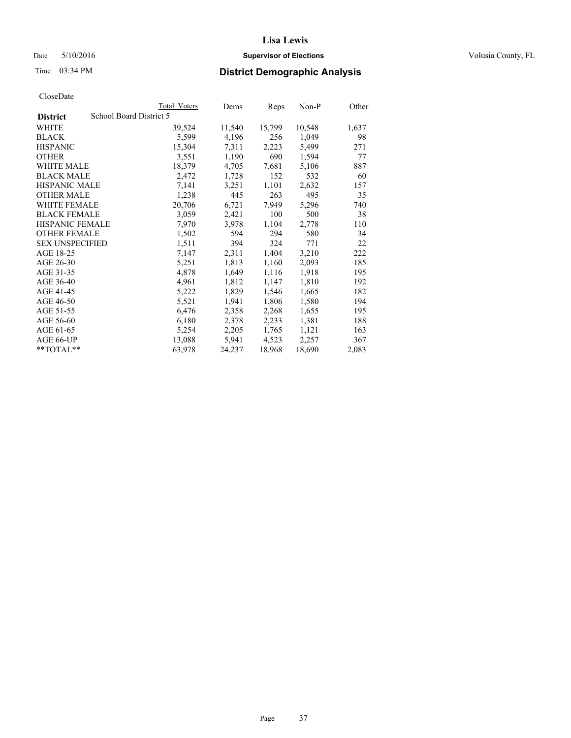### Date 5/10/2016 **Supervisor of Elections Supervisor of Elections** Volusia County, FL

# Time 03:34 PM **District Demographic Analysis**

|                                            | <b>Total Voters</b> | Dems   | Reps   | Non-P  | Other |
|--------------------------------------------|---------------------|--------|--------|--------|-------|
| School Board District 5<br><b>District</b> |                     |        |        |        |       |
| WHITE                                      | 39,524              | 11,540 | 15,799 | 10,548 | 1,637 |
| <b>BLACK</b>                               | 5,599               | 4,196  | 256    | 1,049  | 98    |
| <b>HISPANIC</b>                            | 15,304              | 7.311  | 2,223  | 5,499  | 271   |
| <b>OTHER</b>                               | 3,551               | 1,190  | 690    | 1,594  | 77    |
| WHITE MALE                                 | 18,379              | 4,705  | 7,681  | 5,106  | 887   |
| <b>BLACK MALE</b>                          | 2,472               | 1,728  | 152    | 532    | 60    |
| <b>HISPANIC MALE</b>                       | 7,141               | 3,251  | 1,101  | 2,632  | 157   |
| <b>OTHER MALE</b>                          | 1,238               | 445    | 263    | 495    | 35    |
| <b>WHITE FEMALE</b>                        | 20,706              | 6,721  | 7,949  | 5,296  | 740   |
| <b>BLACK FEMALE</b>                        | 3,059               | 2,421  | 100    | 500    | 38    |
| HISPANIC FEMALE                            | 7,970               | 3,978  | 1,104  | 2,778  | 110   |
| <b>OTHER FEMALE</b>                        | 1,502               | 594    | 294    | 580    | 34    |
| <b>SEX UNSPECIFIED</b>                     | 1,511               | 394    | 324    | 771    | 22    |
| AGE 18-25                                  | 7,147               | 2,311  | 1,404  | 3,210  | 222   |
| AGE 26-30                                  | 5,251               | 1,813  | 1,160  | 2,093  | 185   |
| AGE 31-35                                  | 4,878               | 1,649  | 1,116  | 1,918  | 195   |
| AGE 36-40                                  | 4,961               | 1,812  | 1,147  | 1,810  | 192   |
| AGE 41-45                                  | 5,222               | 1,829  | 1,546  | 1,665  | 182   |
| AGE 46-50                                  | 5,521               | 1,941  | 1,806  | 1,580  | 194   |
| AGE 51-55                                  | 6,476               | 2,358  | 2,268  | 1,655  | 195   |
| AGE 56-60                                  | 6,180               | 2,378  | 2,233  | 1,381  | 188   |
| AGE 61-65                                  | 5,254               | 2,205  | 1,765  | 1,121  | 163   |
| AGE 66-UP                                  | 13,088              | 5,941  | 4,523  | 2,257  | 367   |
| $*$ TOTAL $*$                              | 63,978              | 24,237 | 18,968 | 18,690 | 2,083 |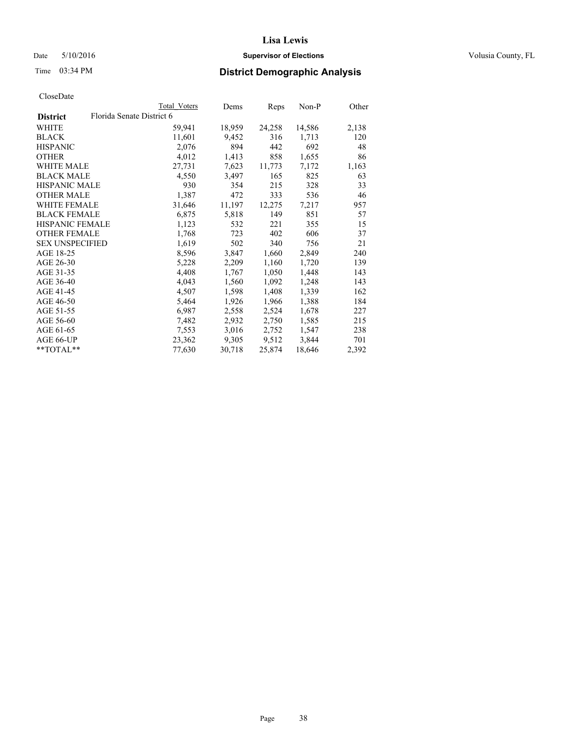### Date 5/10/2016 **Supervisor of Elections Supervisor of Elections** Volusia County, FL

| CloseDate |
|-----------|
|-----------|

|                        |                           | Total Voters | Dems   | Reps   | Non-P  | Other |
|------------------------|---------------------------|--------------|--------|--------|--------|-------|
| <b>District</b>        | Florida Senate District 6 |              |        |        |        |       |
| <b>WHITE</b>           |                           | 59,941       | 18,959 | 24,258 | 14,586 | 2,138 |
| <b>BLACK</b>           |                           | 11,601       | 9,452  | 316    | 1,713  | 120   |
| <b>HISPANIC</b>        |                           | 2,076        | 894    | 442    | 692    | 48    |
| <b>OTHER</b>           |                           | 4,012        | 1,413  | 858    | 1,655  | 86    |
| WHITE MALE             |                           | 27,731       | 7,623  | 11,773 | 7,172  | 1,163 |
| <b>BLACK MALE</b>      |                           | 4,550        | 3,497  | 165    | 825    | 63    |
| <b>HISPANIC MALE</b>   |                           | 930          | 354    | 215    | 328    | 33    |
| <b>OTHER MALE</b>      |                           | 1,387        | 472    | 333    | 536    | 46    |
| <b>WHITE FEMALE</b>    |                           | 31,646       | 11,197 | 12,275 | 7,217  | 957   |
| <b>BLACK FEMALE</b>    |                           | 6,875        | 5,818  | 149    | 851    | 57    |
| <b>HISPANIC FEMALE</b> |                           | 1,123        | 532    | 221    | 355    | 15    |
| <b>OTHER FEMALE</b>    |                           | 1,768        | 723    | 402    | 606    | 37    |
| <b>SEX UNSPECIFIED</b> |                           | 1,619        | 502    | 340    | 756    | 21    |
| AGE 18-25              |                           | 8,596        | 3,847  | 1,660  | 2,849  | 240   |
| AGE 26-30              |                           | 5,228        | 2,209  | 1,160  | 1,720  | 139   |
| AGE 31-35              |                           | 4,408        | 1,767  | 1,050  | 1,448  | 143   |
| AGE 36-40              |                           | 4,043        | 1,560  | 1,092  | 1,248  | 143   |
| AGE 41-45              |                           | 4,507        | 1,598  | 1,408  | 1,339  | 162   |
| AGE 46-50              |                           | 5,464        | 1,926  | 1,966  | 1,388  | 184   |
| AGE 51-55              |                           | 6,987        | 2,558  | 2,524  | 1,678  | 227   |
| AGE 56-60              |                           | 7,482        | 2,932  | 2,750  | 1,585  | 215   |
| AGE 61-65              |                           | 7,553        | 3,016  | 2,752  | 1,547  | 238   |
| AGE 66-UP              |                           | 23,362       | 9,305  | 9,512  | 3,844  | 701   |
| $*$ $TOTAL**$          |                           | 77,630       | 30,718 | 25,874 | 18,646 | 2,392 |
|                        |                           |              |        |        |        |       |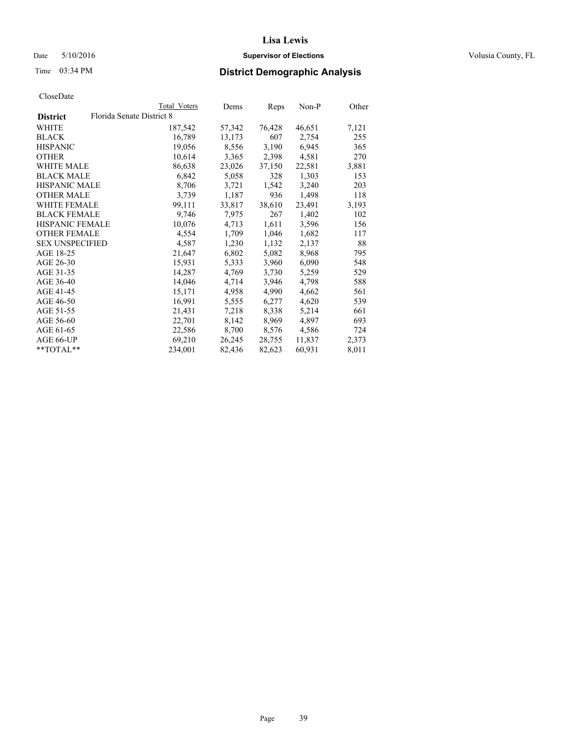### Date 5/10/2016 **Supervisor of Elections Supervisor of Elections** Volusia County, FL

|                        |                           | Total Voters | Dems   | Reps   | Non-P  | Other |
|------------------------|---------------------------|--------------|--------|--------|--------|-------|
| <b>District</b>        | Florida Senate District 8 |              |        |        |        |       |
| WHITE                  |                           | 187,542      | 57,342 | 76,428 | 46,651 | 7,121 |
| <b>BLACK</b>           |                           | 16,789       | 13,173 | 607    | 2,754  | 255   |
| <b>HISPANIC</b>        |                           | 19,056       | 8,556  | 3,190  | 6,945  | 365   |
| OTHER                  |                           | 10,614       | 3,365  | 2,398  | 4,581  | 270   |
| <b>WHITE MALE</b>      |                           | 86,638       | 23,026 | 37,150 | 22,581 | 3,881 |
| <b>BLACK MALE</b>      |                           | 6,842        | 5,058  | 328    | 1,303  | 153   |
| HISPANIC MALE          |                           | 8,706        | 3,721  | 1,542  | 3,240  | 203   |
| <b>OTHER MALE</b>      |                           | 3,739        | 1,187  | 936    | 1,498  | 118   |
| <b>WHITE FEMALE</b>    |                           | 99,111       | 33,817 | 38,610 | 23,491 | 3,193 |
| <b>BLACK FEMALE</b>    |                           | 9,746        | 7,975  | 267    | 1,402  | 102   |
| <b>HISPANIC FEMALE</b> |                           | 10,076       | 4,713  | 1,611  | 3,596  | 156   |
| <b>OTHER FEMALE</b>    |                           | 4,554        | 1,709  | 1,046  | 1,682  | 117   |
| <b>SEX UNSPECIFIED</b> |                           | 4,587        | 1,230  | 1,132  | 2,137  | 88    |
| AGE 18-25              |                           | 21,647       | 6,802  | 5,082  | 8,968  | 795   |
| AGE 26-30              |                           | 15,931       | 5,333  | 3,960  | 6,090  | 548   |
| AGE 31-35              |                           | 14,287       | 4,769  | 3,730  | 5,259  | 529   |
| AGE 36-40              |                           | 14,046       | 4,714  | 3,946  | 4,798  | 588   |
| AGE 41-45              |                           | 15,171       | 4,958  | 4,990  | 4,662  | 561   |
| AGE 46-50              |                           | 16,991       | 5,555  | 6,277  | 4,620  | 539   |
| AGE 51-55              |                           | 21,431       | 7,218  | 8,338  | 5,214  | 661   |
| AGE 56-60              |                           | 22,701       | 8,142  | 8,969  | 4,897  | 693   |
| AGE 61-65              |                           | 22,586       | 8,700  | 8,576  | 4,586  | 724   |
| AGE 66-UP              |                           | 69,210       | 26,245 | 28,755 | 11,837 | 2,373 |
| $*$ $TOTAI.**$         |                           | 234,001      | 82,436 | 82,623 | 60,931 | 8,011 |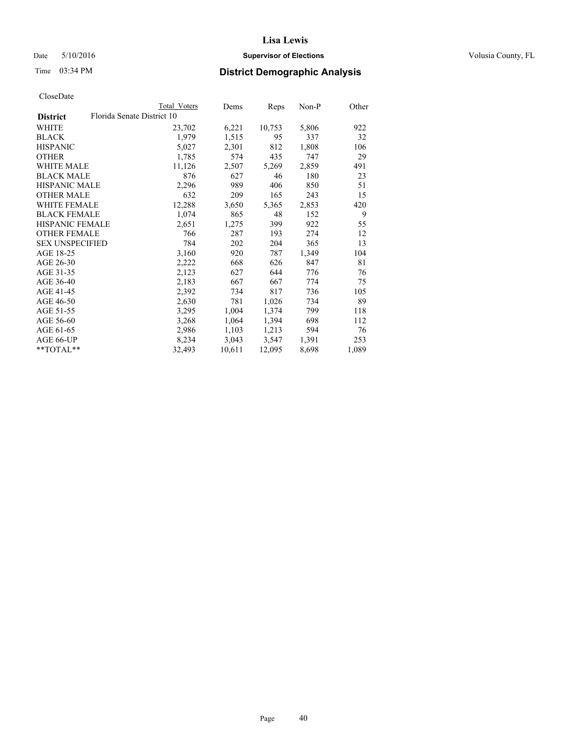### Date 5/10/2016 **Supervisor of Elections Supervisor of Elections** Volusia County, FL

# Time 03:34 PM **District Demographic Analysis**

|                                               | <b>Total Voters</b> | Dems   | Reps   | Non-P | Other |
|-----------------------------------------------|---------------------|--------|--------|-------|-------|
| Florida Senate District 10<br><b>District</b> |                     |        |        |       |       |
| WHITE                                         | 23,702              | 6,221  | 10,753 | 5,806 | 922   |
| <b>BLACK</b>                                  | 1,979               | 1,515  | 95     | 337   | 32    |
| <b>HISPANIC</b>                               | 5,027               | 2,301  | 812    | 1,808 | 106   |
| <b>OTHER</b>                                  | 1,785               | 574    | 435    | 747   | 29    |
| WHITE MALE                                    | 11,126              | 2,507  | 5,269  | 2,859 | 491   |
| <b>BLACK MALE</b>                             | 876                 | 627    | 46     | 180   | 23    |
| <b>HISPANIC MALE</b>                          | 2,296               | 989    | 406    | 850   | 51    |
| <b>OTHER MALE</b>                             | 632                 | 209    | 165    | 243   | 15    |
| <b>WHITE FEMALE</b>                           | 12,288              | 3,650  | 5,365  | 2,853 | 420   |
| <b>BLACK FEMALE</b>                           | 1,074               | 865    | 48     | 152   | 9     |
| HISPANIC FEMALE                               | 2,651               | 1,275  | 399    | 922   | 55    |
| <b>OTHER FEMALE</b>                           | 766                 | 287    | 193    | 274   | 12    |
| <b>SEX UNSPECIFIED</b>                        | 784                 | 202    | 204    | 365   | 13    |
| AGE 18-25                                     | 3,160               | 920    | 787    | 1,349 | 104   |
| AGE 26-30                                     | 2,222               | 668    | 626    | 847   | 81    |
| AGE 31-35                                     | 2,123               | 627    | 644    | 776   | 76    |
| AGE 36-40                                     | 2,183               | 667    | 667    | 774   | 75    |
| AGE 41-45                                     | 2,392               | 734    | 817    | 736   | 105   |
| AGE 46-50                                     | 2,630               | 781    | 1,026  | 734   | 89    |
| AGE 51-55                                     | 3,295               | 1,004  | 1,374  | 799   | 118   |
| AGE 56-60                                     | 3,268               | 1,064  | 1,394  | 698   | 112   |
| AGE 61-65                                     | 2,986               | 1,103  | 1,213  | 594   | 76    |
| AGE 66-UP                                     | 8,234               | 3,043  | 3,547  | 1,391 | 253   |
| $*$ $TOTAL**$                                 | 32,493              | 10,611 | 12,095 | 8,698 | 1,089 |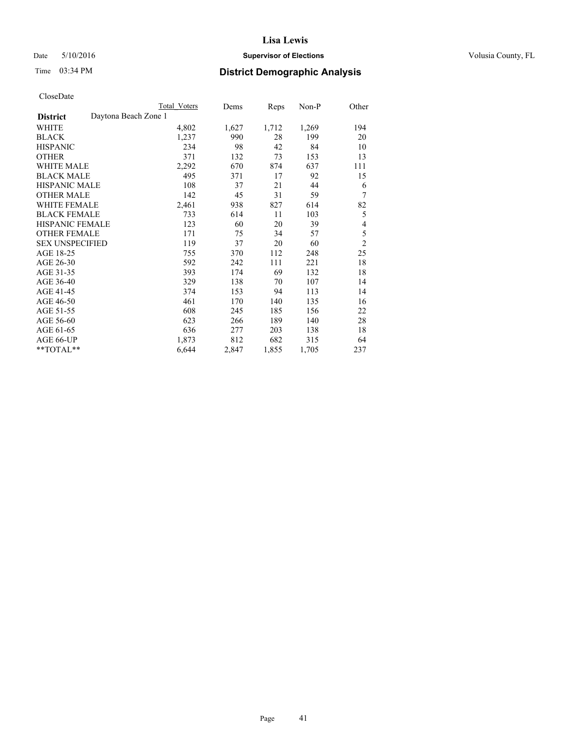### Date 5/10/2016 **Supervisor of Elections Supervisor of Elections** Volusia County, FL

# Time 03:34 PM **District Demographic Analysis**

|                                         | Total Voters | Dems  | Reps  | Non-P | Other          |
|-----------------------------------------|--------------|-------|-------|-------|----------------|
| Daytona Beach Zone 1<br><b>District</b> |              |       |       |       |                |
| WHITE                                   | 4,802        | 1,627 | 1,712 | 1,269 | 194            |
| <b>BLACK</b>                            | 1,237        | 990   | 28    | 199   | 20             |
| <b>HISPANIC</b>                         | 234          | 98    | 42    | 84    | 10             |
| OTHER                                   | 371          | 132   | 73    | 153   | 13             |
| <b>WHITE MALE</b>                       | 2,292        | 670   | 874   | 637   | 111            |
| <b>BLACK MALE</b>                       | 495          | 371   | 17    | 92    | 15             |
| <b>HISPANIC MALE</b>                    | 108          | 37    | 21    | 44    | 6              |
| <b>OTHER MALE</b>                       | 142          | 45    | 31    | 59    | 7              |
| <b>WHITE FEMALE</b>                     | 2,461        | 938   | 827   | 614   | 82             |
| <b>BLACK FEMALE</b>                     | 733          | 614   | 11    | 103   | 5              |
| <b>HISPANIC FEMALE</b>                  | 123          | 60    | 20    | 39    | 4              |
| <b>OTHER FEMALE</b>                     | 171          | 75    | 34    | 57    | 5              |
| <b>SEX UNSPECIFIED</b>                  | 119          | 37    | 20    | 60    | $\overline{2}$ |
| AGE 18-25                               | 755          | 370   | 112   | 248   | 25             |
| AGE 26-30                               | 592          | 242   | 111   | 221   | 18             |
| AGE 31-35                               | 393          | 174   | 69    | 132   | 18             |
| AGE 36-40                               | 329          | 138   | 70    | 107   | 14             |
| AGE 41-45                               | 374          | 153   | 94    | 113   | 14             |
| AGE 46-50                               | 461          | 170   | 140   | 135   | 16             |
| AGE 51-55                               | 608          | 245   | 185   | 156   | 22             |
| AGE 56-60                               | 623          | 266   | 189   | 140   | 28             |
| AGE 61-65                               | 636          | 277   | 203   | 138   | 18             |
| AGE 66-UP                               | 1,873        | 812   | 682   | 315   | 64             |
| **TOTAL**                               | 6,644        | 2,847 | 1,855 | 1,705 | 237            |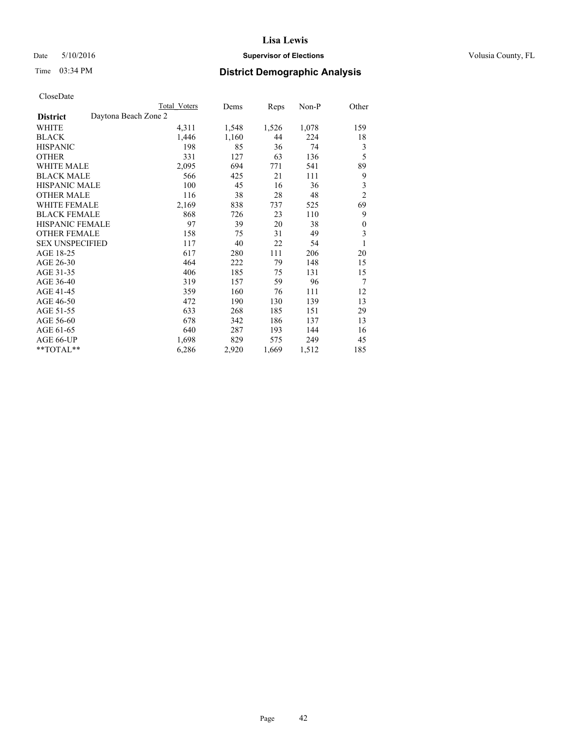### Date 5/10/2016 **Supervisor of Elections Supervisor of Elections** Volusia County, FL

| <b>Total Voters</b> | Dems                 | Reps  | $Non-P$ | Other          |
|---------------------|----------------------|-------|---------|----------------|
|                     |                      |       |         |                |
| 4,311               | 1,548                | 1,526 | 1,078   | 159            |
| 1,446               | 1,160                | 44    | 224     | 18             |
| 198                 | 85                   | 36    | 74      | 3              |
| 331                 | 127                  | 63    | 136     | 5              |
| 2,095               | 694                  | 771   | 541     | 89             |
| 566                 | 425                  | 21    | 111     | 9              |
| 100                 | 45                   | 16    | 36      | 3              |
| 116                 | 38                   | 28    | 48      | $\overline{2}$ |
| 2,169               | 838                  | 737   | 525     | 69             |
| 868                 | 726                  | 23    | 110     | 9              |
| 97                  | 39                   | 20    | 38      | 0              |
| 158                 | 75                   | 31    | 49      | 3              |
| 117                 | 40                   | 22    | 54      | 1              |
| 617                 | 280                  | 111   | 206     | 20             |
| 464                 | 222                  | 79    | 148     | 15             |
| 406                 | 185                  | 75    | 131     | 15             |
| 319                 | 157                  | 59    | 96      | 7              |
| 359                 | 160                  | 76    | 111     | 12             |
| 472                 | 190                  | 130   | 139     | 13             |
| 633                 | 268                  | 185   | 151     | 29             |
| 678                 | 342                  | 186   | 137     | 13             |
| 640                 | 287                  | 193   | 144     | 16             |
| 1,698               | 829                  | 575   | 249     | 45             |
| 6,286               | 2,920                | 1,669 | 1,512   | 185            |
|                     | Daytona Beach Zone 2 |       |         |                |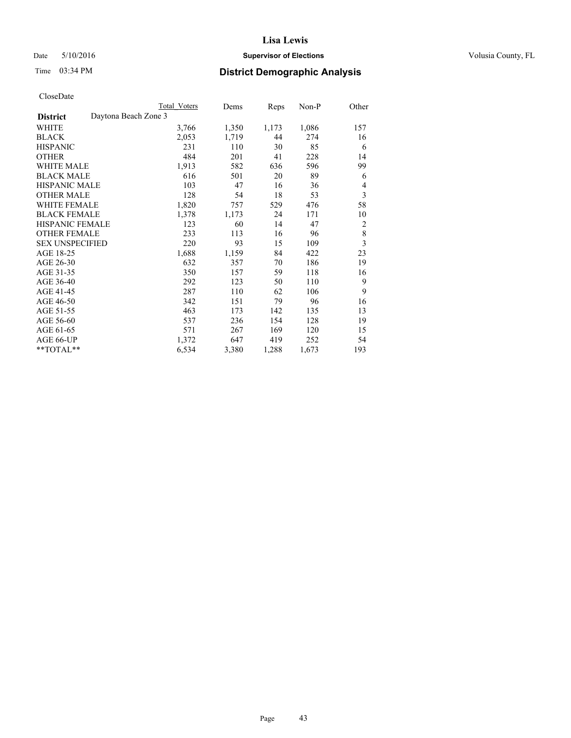### Date 5/10/2016 **Supervisor of Elections Supervisor of Elections** Volusia County, FL

# Time 03:34 PM **District Demographic Analysis**

|                                         | Total Voters | Dems  | Reps  | Non-P | Other          |
|-----------------------------------------|--------------|-------|-------|-------|----------------|
| Daytona Beach Zone 3<br><b>District</b> |              |       |       |       |                |
| WHITE                                   | 3,766        | 1,350 | 1,173 | 1,086 | 157            |
| <b>BLACK</b>                            | 2,053        | 1,719 | 44    | 274   | 16             |
| <b>HISPANIC</b>                         | 231          | 110   | 30    | 85    | 6              |
| <b>OTHER</b>                            | 484          | 201   | 41    | 228   | 14             |
| <b>WHITE MALE</b>                       | 1,913        | 582   | 636   | 596   | 99             |
| <b>BLACK MALE</b>                       | 616          | 501   | 20    | 89    | 6              |
| <b>HISPANIC MALE</b>                    | 103          | 47    | 16    | 36    | 4              |
| <b>OTHER MALE</b>                       | 128          | 54    | 18    | 53    | 3              |
| <b>WHITE FEMALE</b>                     | 1,820        | 757   | 529   | 476   | 58             |
| <b>BLACK FEMALE</b>                     | 1,378        | 1,173 | 24    | 171   | 10             |
| <b>HISPANIC FEMALE</b>                  | 123          | 60    | 14    | 47    | $\overline{2}$ |
| <b>OTHER FEMALE</b>                     | 233          | 113   | 16    | 96    | 8              |
| <b>SEX UNSPECIFIED</b>                  | 220          | 93    | 15    | 109   | 3              |
| AGE 18-25                               | 1,688        | 1,159 | 84    | 422   | 23             |
| AGE 26-30                               | 632          | 357   | 70    | 186   | 19             |
| AGE 31-35                               | 350          | 157   | 59    | 118   | 16             |
| AGE 36-40                               | 292          | 123   | 50    | 110   | 9              |
| AGE 41-45                               | 287          | 110   | 62    | 106   | 9              |
| AGE 46-50                               | 342          | 151   | 79    | 96    | 16             |
| AGE 51-55                               | 463          | 173   | 142   | 135   | 13             |
| AGE 56-60                               | 537          | 236   | 154   | 128   | 19             |
| AGE 61-65                               | 571          | 267   | 169   | 120   | 15             |
| AGE 66-UP                               | 1,372        | 647   | 419   | 252   | 54             |
| **TOTAL**                               | 6,534        | 3,380 | 1,288 | 1,673 | 193            |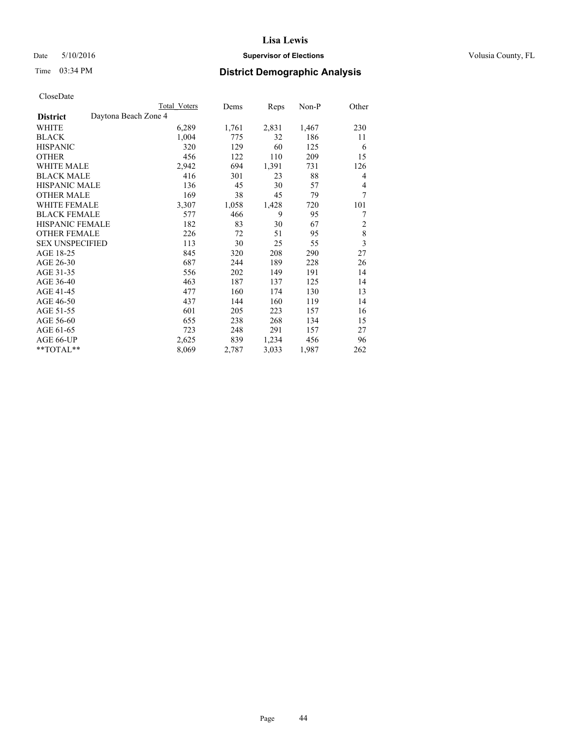### Date 5/10/2016 **Supervisor of Elections Supervisor of Elections** Volusia County, FL

# Time 03:34 PM **District Demographic Analysis**

|                                         | <b>Total Voters</b> | Dems  | Reps  | Non-P | Other          |
|-----------------------------------------|---------------------|-------|-------|-------|----------------|
| Daytona Beach Zone 4<br><b>District</b> |                     |       |       |       |                |
| WHITE                                   | 6,289               | 1,761 | 2,831 | 1,467 | 230            |
| <b>BLACK</b>                            | 1,004               | 775   | 32    | 186   | 11             |
| <b>HISPANIC</b>                         | 320                 | 129   | 60    | 125   | 6              |
| <b>OTHER</b>                            | 456                 | 122   | 110   | 209   | 15             |
| <b>WHITE MALE</b>                       | 2,942               | 694   | 1,391 | 731   | 126            |
| <b>BLACK MALE</b>                       | 416                 | 301   | 23    | 88    | 4              |
| <b>HISPANIC MALE</b>                    | 136                 | 45    | 30    | 57    | 4              |
| <b>OTHER MALE</b>                       | 169                 | 38    | 45    | 79    | 7              |
| <b>WHITE FEMALE</b>                     | 3,307               | 1,058 | 1,428 | 720   | 101            |
| <b>BLACK FEMALE</b>                     | 577                 | 466   | 9     | 95    | 7              |
| <b>HISPANIC FEMALE</b>                  | 182                 | 83    | 30    | 67    | $\overline{c}$ |
| <b>OTHER FEMALE</b>                     | 226                 | 72    | 51    | 95    | 8              |
| <b>SEX UNSPECIFIED</b>                  | 113                 | 30    | 25    | 55    | 3              |
| AGE 18-25                               | 845                 | 320   | 208   | 290   | 27             |
| AGE 26-30                               | 687                 | 244   | 189   | 228   | 26             |
| AGE 31-35                               | 556                 | 202   | 149   | 191   | 14             |
| AGE 36-40                               | 463                 | 187   | 137   | 125   | 14             |
| AGE 41-45                               | 477                 | 160   | 174   | 130   | 13             |
| AGE 46-50                               | 437                 | 144   | 160   | 119   | 14             |
| AGE 51-55                               | 601                 | 205   | 223   | 157   | 16             |
| AGE 56-60                               | 655                 | 238   | 268   | 134   | 15             |
| AGE 61-65                               | 723                 | 248   | 291   | 157   | 27             |
| AGE 66-UP                               | 2,625               | 839   | 1,234 | 456   | 96             |
| $*$ $TOTAL**$                           | 8,069               | 2,787 | 3,033 | 1,987 | 262            |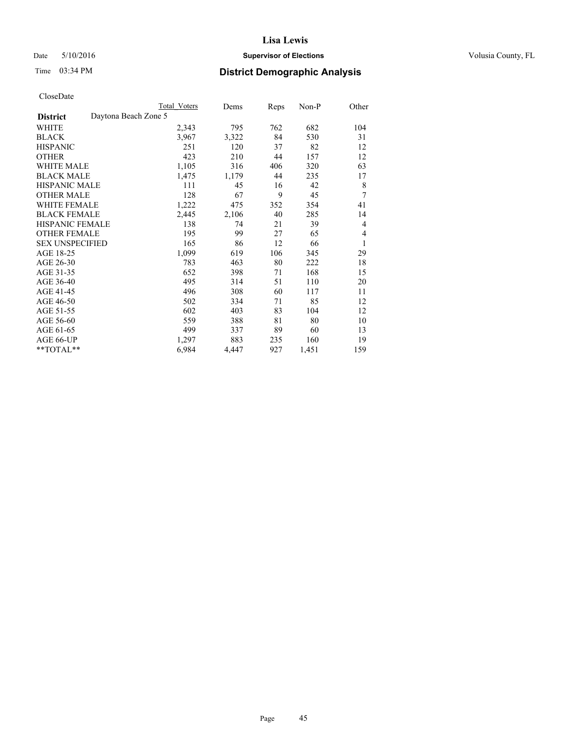### Date 5/10/2016 **Supervisor of Elections Supervisor of Elections** Volusia County, FL

|                        |                      | <b>Total Voters</b> | Dems  | Reps | Non-P | Other |
|------------------------|----------------------|---------------------|-------|------|-------|-------|
| <b>District</b>        | Daytona Beach Zone 5 |                     |       |      |       |       |
| WHITE                  |                      | 2,343               | 795   | 762  | 682   | 104   |
| <b>BLACK</b>           |                      | 3,967               | 3,322 | 84   | 530   | 31    |
| <b>HISPANIC</b>        |                      | 251                 | 120   | 37   | 82    | 12    |
| <b>OTHER</b>           |                      | 423                 | 210   | 44   | 157   | 12    |
| <b>WHITE MALE</b>      |                      | 1,105               | 316   | 406  | 320   | 63    |
| <b>BLACK MALE</b>      |                      | 1,475               | 1,179 | 44   | 235   | 17    |
| <b>HISPANIC MALE</b>   |                      | 111                 | 45    | 16   | 42    | 8     |
| <b>OTHER MALE</b>      |                      | 128                 | 67    | 9    | 45    | 7     |
| <b>WHITE FEMALE</b>    |                      | 1,222               | 475   | 352  | 354   | 41    |
| <b>BLACK FEMALE</b>    |                      | 2,445               | 2,106 | 40   | 285   | 14    |
| <b>HISPANIC FEMALE</b> |                      | 138                 | 74    | 21   | 39    | 4     |
| <b>OTHER FEMALE</b>    |                      | 195                 | 99    | 27   | 65    | 4     |
| <b>SEX UNSPECIFIED</b> |                      | 165                 | 86    | 12   | 66    | 1     |
| AGE 18-25              |                      | 1,099               | 619   | 106  | 345   | 29    |
| AGE 26-30              |                      | 783                 | 463   | 80   | 222   | 18    |
| AGE 31-35              |                      | 652                 | 398   | 71   | 168   | 15    |
| AGE 36-40              |                      | 495                 | 314   | 51   | 110   | 20    |
| AGE 41-45              |                      | 496                 | 308   | 60   | 117   | 11    |
| AGE 46-50              |                      | 502                 | 334   | 71   | 85    | 12    |
| AGE 51-55              |                      | 602                 | 403   | 83   | 104   | 12    |
| AGE 56-60              |                      | 559                 | 388   | 81   | 80    | 10    |
| AGE 61-65              |                      | 499                 | 337   | 89   | 60    | 13    |
| AGE 66-UP              |                      | 1,297               | 883   | 235  | 160   | 19    |
| **TOTAL**              |                      | 6,984               | 4,447 | 927  | 1,451 | 159   |
|                        |                      |                     |       |      |       |       |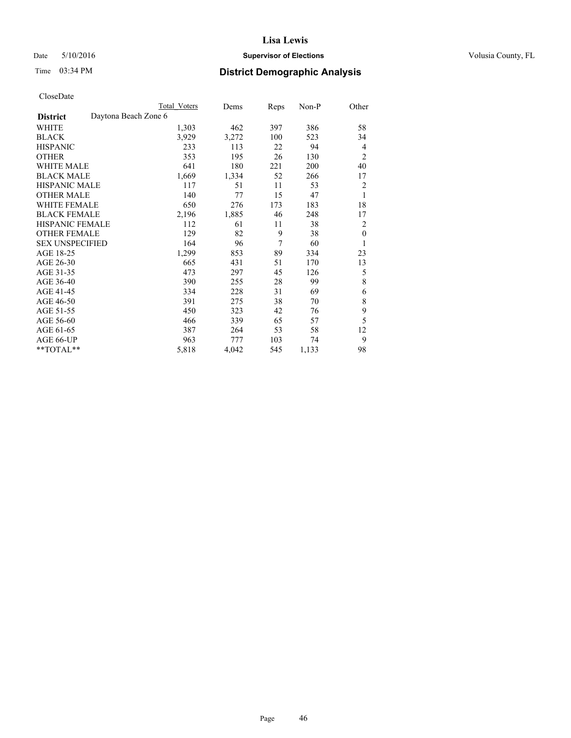### Date 5/10/2016 **Supervisor of Elections Supervisor of Elections** Volusia County, FL

# Time 03:34 PM **District Demographic Analysis**

|                        |                      | Total Voters | Dems  | <b>Reps</b> | Non-P | Other          |
|------------------------|----------------------|--------------|-------|-------------|-------|----------------|
| <b>District</b>        | Daytona Beach Zone 6 |              |       |             |       |                |
| WHITE                  |                      | 1,303        | 462   | 397         | 386   | 58             |
| <b>BLACK</b>           |                      | 3,929        | 3,272 | 100         | 523   | 34             |
| <b>HISPANIC</b>        |                      | 233          | 113   | 22          | 94    | $\overline{4}$ |
| <b>OTHER</b>           |                      | 353          | 195   | 26          | 130   | $\overline{2}$ |
| <b>WHITE MALE</b>      |                      | 641          | 180   | 221         | 200   | 40             |
| <b>BLACK MALE</b>      |                      | 1,669        | 1,334 | 52          | 266   | 17             |
| <b>HISPANIC MALE</b>   |                      | 117          | 51    | 11          | 53    | $\overline{2}$ |
| <b>OTHER MALE</b>      |                      | 140          | 77    | 15          | 47    | 1              |
| WHITE FEMALE           |                      | 650          | 276   | 173         | 183   | 18             |
| <b>BLACK FEMALE</b>    |                      | 2,196        | 1,885 | 46          | 248   | 17             |
| HISPANIC FEMALE        |                      | 112          | 61    | 11          | 38    | 2              |
| <b>OTHER FEMALE</b>    |                      | 129          | 82    | 9           | 38    | $\theta$       |
| <b>SEX UNSPECIFIED</b> |                      | 164          | 96    | 7           | 60    | 1              |
| AGE 18-25              |                      | 1,299        | 853   | 89          | 334   | 23             |
| AGE 26-30              |                      | 665          | 431   | 51          | 170   | 13             |
| AGE 31-35              |                      | 473          | 297   | 45          | 126   | 5              |
| AGE 36-40              |                      | 390          | 255   | 28          | 99    | 8              |
| AGE 41-45              |                      | 334          | 228   | 31          | 69    | 6              |
| AGE 46-50              |                      | 391          | 275   | 38          | 70    | 8              |
| AGE 51-55              |                      | 450          | 323   | 42          | 76    | 9              |
| AGE 56-60              |                      | 466          | 339   | 65          | 57    | 5              |
| AGE 61-65              |                      | 387          | 264   | 53          | 58    | 12             |
| AGE 66-UP              |                      | 963          | 777   | 103         | 74    | 9              |
| **TOTAL**              |                      | 5,818        | 4,042 | 545         | 1,133 | 98             |
|                        |                      |              |       |             |       |                |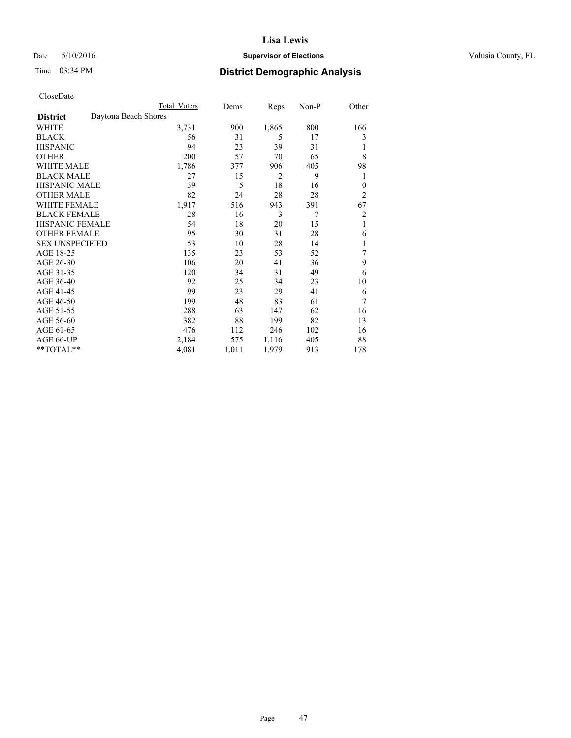### Date 5/10/2016 **Supervisor of Elections Supervisor of Elections** Volusia County, FL

# Time 03:34 PM **District Demographic Analysis**

|                        | <b>Total Voters</b>  | Dems  | Reps  | Non-P          | Other          |
|------------------------|----------------------|-------|-------|----------------|----------------|
| <b>District</b>        | Daytona Beach Shores |       |       |                |                |
| WHITE                  | 3,731                | 900   | 1,865 | 800            | 166            |
| <b>BLACK</b>           | 56                   | 31    | 5     | 17             | 3              |
| <b>HISPANIC</b>        | 94                   | 23    | 39    | 31             | 1              |
| <b>OTHER</b>           | 200                  | 57    | 70    | 65             | 8              |
| WHITE MALE             | 1,786                | 377   | 906   | 405            | 98             |
| <b>BLACK MALE</b>      | 27                   | 15    | 2     | 9              | 1              |
| <b>HISPANIC MALE</b>   | 39                   | 5     | 18    | 16             | $\theta$       |
| <b>OTHER MALE</b>      | 82                   | 24    | 28    | 28             | $\overline{c}$ |
| <b>WHITE FEMALE</b>    | 1,917                | 516   | 943   | 391            | 67             |
| <b>BLACK FEMALE</b>    | 28                   | 16    | 3     | $\overline{7}$ | $\overline{c}$ |
| <b>HISPANIC FEMALE</b> | 54                   | 18    | 20    | 15             | 1              |
| <b>OTHER FEMALE</b>    | 95                   | 30    | 31    | 28             | 6              |
| <b>SEX UNSPECIFIED</b> | 53                   | 10    | 28    | 14             | 1              |
| AGE 18-25              | 135                  | 23    | 53    | 52             | 7              |
| AGE 26-30              | 106                  | 20    | 41    | 36             | 9              |
| AGE 31-35              | 120                  | 34    | 31    | 49             | 6              |
| AGE 36-40              | 92                   | 25    | 34    | 23             | 10             |
| AGE 41-45              | 99                   | 23    | 29    | 41             | 6              |
| AGE 46-50              | 199                  | 48    | 83    | 61             | 7              |
| AGE 51-55              | 288                  | 63    | 147   | 62             | 16             |
| AGE 56-60              | 382                  | 88    | 199   | 82             | 13             |
| AGE 61-65              | 476                  | 112   | 246   | 102            | 16             |
| AGE 66-UP              | 2,184                | 575   | 1,116 | 405            | 88             |
| **TOTAL**              | 4,081                | 1,011 | 1,979 | 913            | 178            |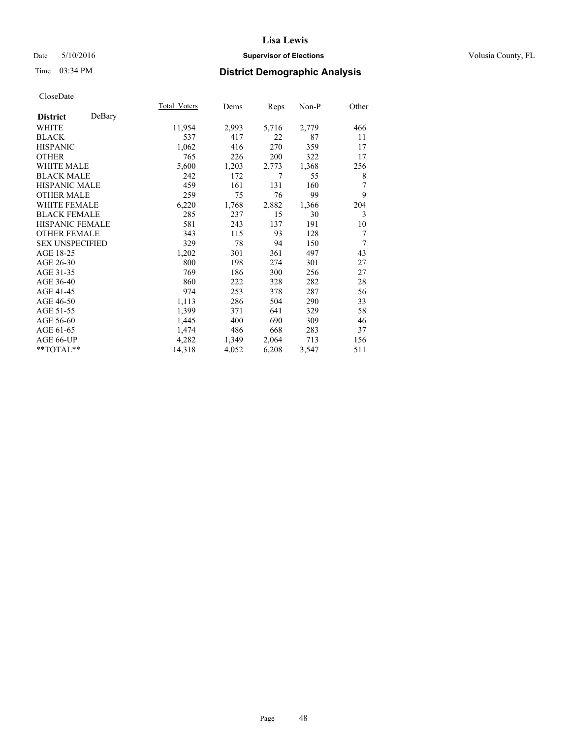### Date 5/10/2016 **Supervisor of Elections Supervisor of Elections** Volusia County, FL

# Time 03:34 PM **District Demographic Analysis**

|                        |        | Total Voters | Dems  | Reps  | Non-P | Other |
|------------------------|--------|--------------|-------|-------|-------|-------|
| <b>District</b>        | DeBary |              |       |       |       |       |
| WHITE                  |        | 11,954       | 2,993 | 5,716 | 2,779 | 466   |
| <b>BLACK</b>           |        | 537          | 417   | 22    | 87    | 11    |
| <b>HISPANIC</b>        |        | 1,062        | 416   | 270   | 359   | 17    |
| <b>OTHER</b>           |        | 765          | 226   | 200   | 322   | 17    |
| <b>WHITE MALE</b>      |        | 5,600        | 1,203 | 2,773 | 1,368 | 256   |
| <b>BLACK MALE</b>      |        | 242          | 172   | 7     | 55    | 8     |
| <b>HISPANIC MALE</b>   |        | 459          | 161   | 131   | 160   | 7     |
| <b>OTHER MALE</b>      |        | 259          | 75    | 76    | 99    | 9     |
| <b>WHITE FEMALE</b>    |        | 6,220        | 1,768 | 2,882 | 1,366 | 204   |
| <b>BLACK FEMALE</b>    |        | 285          | 237   | 15    | 30    | 3     |
| <b>HISPANIC FEMALE</b> |        | 581          | 243   | 137   | 191   | 10    |
| <b>OTHER FEMALE</b>    |        | 343          | 115   | 93    | 128   | 7     |
| <b>SEX UNSPECIFIED</b> |        | 329          | 78    | 94    | 150   | 7     |
| AGE 18-25              |        | 1,202        | 301   | 361   | 497   | 43    |
| AGE 26-30              |        | 800          | 198   | 274   | 301   | 27    |
| AGE 31-35              |        | 769          | 186   | 300   | 256   | 27    |
| AGE 36-40              |        | 860          | 222   | 328   | 282   | 28    |
| AGE 41-45              |        | 974          | 253   | 378   | 287   | 56    |
| AGE 46-50              |        | 1,113        | 286   | 504   | 290   | 33    |
| AGE 51-55              |        | 1,399        | 371   | 641   | 329   | 58    |
| AGE 56-60              |        | 1,445        | 400   | 690   | 309   | 46    |
| AGE 61-65              |        | 1,474        | 486   | 668   | 283   | 37    |
| AGE 66-UP              |        | 4,282        | 1,349 | 2,064 | 713   | 156   |
| **TOTAL**              |        | 14,318       | 4,052 | 6,208 | 3,547 | 511   |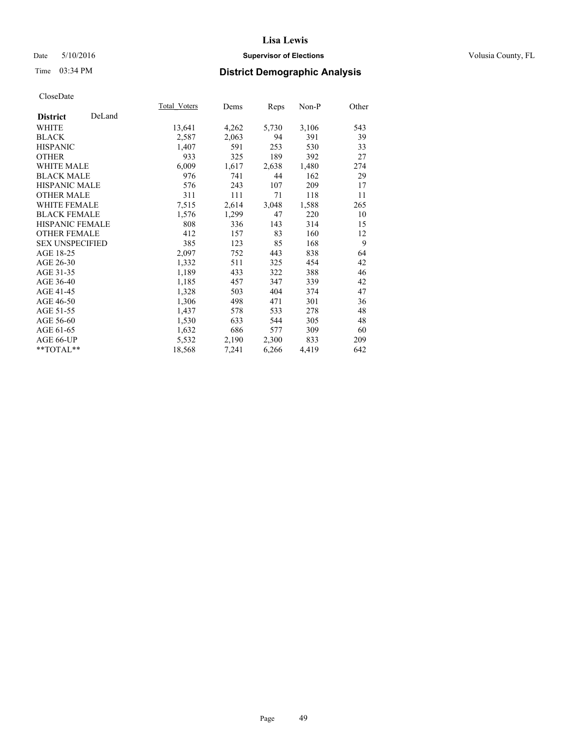### Date 5/10/2016 **Supervisor of Elections Supervisor of Elections** Volusia County, FL

# Time 03:34 PM **District Demographic Analysis**

|                        |        | <b>Total Voters</b> | Dems  | Reps  | $Non-P$ | Other |
|------------------------|--------|---------------------|-------|-------|---------|-------|
| <b>District</b>        | DeLand |                     |       |       |         |       |
| WHITE                  |        | 13,641              | 4,262 | 5,730 | 3,106   | 543   |
| <b>BLACK</b>           |        | 2,587               | 2,063 | 94    | 391     | 39    |
| <b>HISPANIC</b>        |        | 1,407               | 591   | 253   | 530     | 33    |
| <b>OTHER</b>           |        | 933                 | 325   | 189   | 392     | 27    |
| WHITE MALE             |        | 6,009               | 1,617 | 2,638 | 1,480   | 274   |
| <b>BLACK MALE</b>      |        | 976                 | 741   | 44    | 162     | 29    |
| <b>HISPANIC MALE</b>   |        | 576                 | 243   | 107   | 209     | 17    |
| <b>OTHER MALE</b>      |        | 311                 | 111   | 71    | 118     | 11    |
| WHITE FEMALE           |        | 7.515               | 2,614 | 3,048 | 1,588   | 265   |
| <b>BLACK FEMALE</b>    |        | 1,576               | 1,299 | 47    | 220     | 10    |
| HISPANIC FEMALE        |        | 808                 | 336   | 143   | 314     | 15    |
| <b>OTHER FEMALE</b>    |        | 412                 | 157   | 83    | 160     | 12    |
| <b>SEX UNSPECIFIED</b> |        | 385                 | 123   | 85    | 168     | 9     |
| AGE 18-25              |        | 2,097               | 752   | 443   | 838     | 64    |
| AGE 26-30              |        | 1,332               | 511   | 325   | 454     | 42    |
| AGE 31-35              |        | 1,189               | 433   | 322   | 388     | 46    |
| AGE 36-40              |        | 1,185               | 457   | 347   | 339     | 42    |
| AGE 41-45              |        | 1,328               | 503   | 404   | 374     | 47    |
| AGE 46-50              |        | 1,306               | 498   | 471   | 301     | 36    |
| AGE 51-55              |        | 1,437               | 578   | 533   | 278     | 48    |
| AGE 56-60              |        | 1,530               | 633   | 544   | 305     | 48    |
| AGE 61-65              |        | 1,632               | 686   | 577   | 309     | 60    |
| AGE 66-UP              |        | 5,532               | 2,190 | 2,300 | 833     | 209   |
| **TOTAL**              |        | 18,568              | 7,241 | 6,266 | 4,419   | 642   |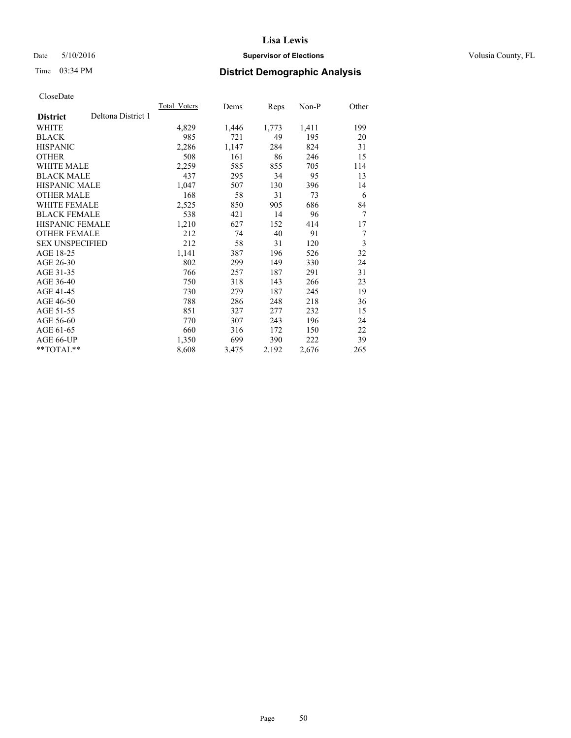### Date 5/10/2016 **Supervisor of Elections Supervisor of Elections** Volusia County, FL

# Time 03:34 PM **District Demographic Analysis**

|                        |                    | Total Voters | Dems  | Reps  | Non-P | Other |
|------------------------|--------------------|--------------|-------|-------|-------|-------|
| <b>District</b>        | Deltona District 1 |              |       |       |       |       |
| WHITE                  |                    | 4,829        | 1,446 | 1,773 | 1,411 | 199   |
| <b>BLACK</b>           |                    | 985          | 721   | 49    | 195   | 20    |
| <b>HISPANIC</b>        |                    | 2,286        | 1,147 | 284   | 824   | 31    |
| <b>OTHER</b>           |                    | 508          | 161   | 86    | 246   | 15    |
| WHITE MALE             |                    | 2,259        | 585   | 855   | 705   | 114   |
| <b>BLACK MALE</b>      |                    | 437          | 295   | 34    | 95    | 13    |
| <b>HISPANIC MALE</b>   |                    | 1,047        | 507   | 130   | 396   | 14    |
| <b>OTHER MALE</b>      |                    | 168          | 58    | 31    | 73    | 6     |
| <b>WHITE FEMALE</b>    |                    | 2,525        | 850   | 905   | 686   | 84    |
| <b>BLACK FEMALE</b>    |                    | 538          | 421   | 14    | 96    | 7     |
| <b>HISPANIC FEMALE</b> |                    | 1,210        | 627   | 152   | 414   | 17    |
| <b>OTHER FEMALE</b>    |                    | 212          | 74    | 40    | 91    | 7     |
| <b>SEX UNSPECIFIED</b> |                    | 212          | 58    | 31    | 120   | 3     |
| AGE 18-25              |                    | 1,141        | 387   | 196   | 526   | 32    |
| AGE 26-30              |                    | 802          | 299   | 149   | 330   | 24    |
| AGE 31-35              |                    | 766          | 257   | 187   | 291   | 31    |
| AGE 36-40              |                    | 750          | 318   | 143   | 266   | 23    |
| AGE 41-45              |                    | 730          | 279   | 187   | 245   | 19    |
| AGE 46-50              |                    | 788          | 286   | 248   | 218   | 36    |
| AGE 51-55              |                    | 851          | 327   | 277   | 232   | 15    |
| AGE 56-60              |                    | 770          | 307   | 243   | 196   | 24    |
| AGE 61-65              |                    | 660          | 316   | 172   | 150   | 22    |
| AGE 66-UP              |                    | 1,350        | 699   | 390   | 222   | 39    |
| **TOTAL**              |                    | 8,608        | 3,475 | 2,192 | 2,676 | 265   |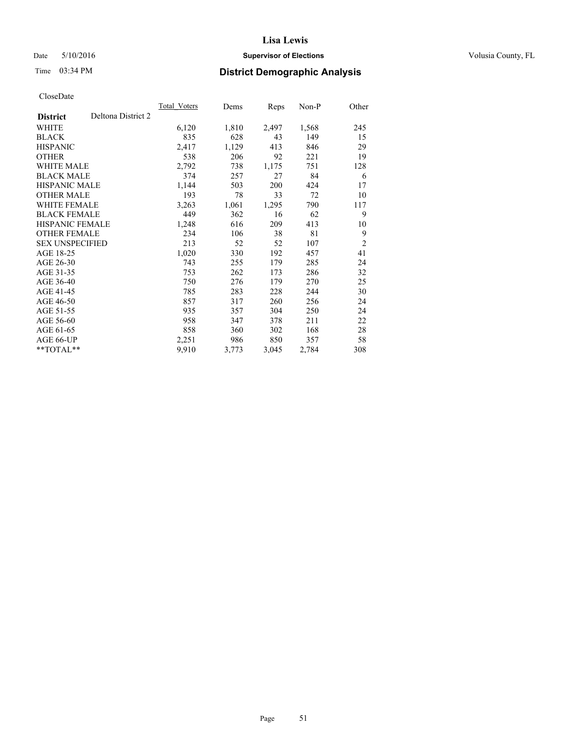### Date 5/10/2016 **Supervisor of Elections Supervisor of Elections** Volusia County, FL

# Time 03:34 PM **District Demographic Analysis**

|                        |                    | Total Voters | Dems  | <b>Reps</b> | Non-P | Other          |
|------------------------|--------------------|--------------|-------|-------------|-------|----------------|
| <b>District</b>        | Deltona District 2 |              |       |             |       |                |
| WHITE                  |                    | 6,120        | 1,810 | 2,497       | 1,568 | 245            |
| <b>BLACK</b>           |                    | 835          | 628   | 43          | 149   | 15             |
| <b>HISPANIC</b>        |                    | 2,417        | 1,129 | 413         | 846   | 29             |
| <b>OTHER</b>           |                    | 538          | 206   | 92          | 221   | 19             |
| WHITE MALE             |                    | 2,792        | 738   | 1,175       | 751   | 128            |
| <b>BLACK MALE</b>      |                    | 374          | 257   | 27          | 84    | 6              |
| <b>HISPANIC MALE</b>   |                    | 1,144        | 503   | 200         | 424   | 17             |
| OTHER MALE             |                    | 193          | 78    | 33          | 72    | 10             |
| <b>WHITE FEMALE</b>    |                    | 3,263        | 1,061 | 1,295       | 790   | 117            |
| <b>BLACK FEMALE</b>    |                    | 449          | 362   | 16          | 62    | 9              |
| <b>HISPANIC FEMALE</b> |                    | 1,248        | 616   | 209         | 413   | 10             |
| <b>OTHER FEMALE</b>    |                    | 234          | 106   | 38          | 81    | 9              |
| <b>SEX UNSPECIFIED</b> |                    | 213          | 52    | 52          | 107   | $\overline{2}$ |
| AGE 18-25              |                    | 1,020        | 330   | 192         | 457   | 41             |
| AGE 26-30              |                    | 743          | 255   | 179         | 285   | 24             |
| AGE 31-35              |                    | 753          | 262   | 173         | 286   | 32             |
| AGE 36-40              |                    | 750          | 276   | 179         | 270   | 25             |
| AGE 41-45              |                    | 785          | 283   | 228         | 244   | 30             |
| AGE 46-50              |                    | 857          | 317   | 260         | 256   | 24             |
| AGE 51-55              |                    | 935          | 357   | 304         | 250   | 24             |
| AGE 56-60              |                    | 958          | 347   | 378         | 211   | 22             |
| AGE 61-65              |                    | 858          | 360   | 302         | 168   | 28             |
| AGE 66-UP              |                    | 2,251        | 986   | 850         | 357   | 58             |
| **TOTAL**              |                    | 9,910        | 3,773 | 3,045       | 2,784 | 308            |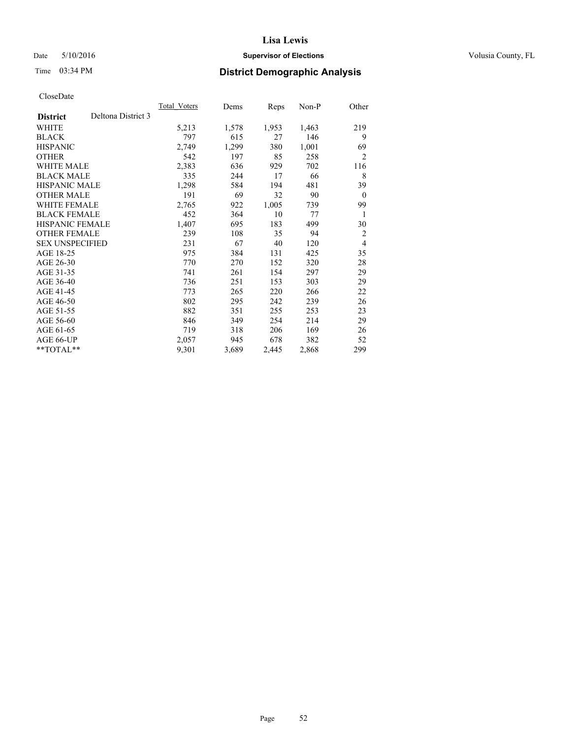### Date 5/10/2016 **Supervisor of Elections Supervisor of Elections** Volusia County, FL

# Time 03:34 PM **District Demographic Analysis**

|                        |                    | Total Voters | Dems  | <b>Reps</b> | Non-P | Other          |
|------------------------|--------------------|--------------|-------|-------------|-------|----------------|
| <b>District</b>        | Deltona District 3 |              |       |             |       |                |
| WHITE                  |                    | 5,213        | 1,578 | 1,953       | 1,463 | 219            |
| <b>BLACK</b>           |                    | 797          | 615   | 27          | 146   | 9              |
| <b>HISPANIC</b>        |                    | 2,749        | 1,299 | 380         | 1,001 | 69             |
| <b>OTHER</b>           |                    | 542          | 197   | 85          | 258   | $\overline{2}$ |
| WHITE MALE             |                    | 2,383        | 636   | 929         | 702   | 116            |
| <b>BLACK MALE</b>      |                    | 335          | 244   | 17          | 66    | 8              |
| <b>HISPANIC MALE</b>   |                    | 1,298        | 584   | 194         | 481   | 39             |
| <b>OTHER MALE</b>      |                    | 191          | 69    | 32          | 90    | $\overline{0}$ |
| <b>WHITE FEMALE</b>    |                    | 2,765        | 922   | 1,005       | 739   | 99             |
| <b>BLACK FEMALE</b>    |                    | 452          | 364   | 10          | 77    | 1              |
| <b>HISPANIC FEMALE</b> |                    | 1,407        | 695   | 183         | 499   | 30             |
| <b>OTHER FEMALE</b>    |                    | 239          | 108   | 35          | 94    | $\overline{2}$ |
| <b>SEX UNSPECIFIED</b> |                    | 231          | 67    | 40          | 120   | $\overline{4}$ |
| AGE 18-25              |                    | 975          | 384   | 131         | 425   | 35             |
| AGE 26-30              |                    | 770          | 270   | 152         | 320   | 28             |
| AGE 31-35              |                    | 741          | 261   | 154         | 297   | 29             |
| AGE 36-40              |                    | 736          | 251   | 153         | 303   | 29             |
| AGE 41-45              |                    | 773          | 265   | 220         | 266   | 22             |
| AGE 46-50              |                    | 802          | 295   | 242         | 239   | 26             |
| AGE 51-55              |                    | 882          | 351   | 255         | 253   | 23             |
| AGE 56-60              |                    | 846          | 349   | 254         | 214   | 29             |
| AGE 61-65              |                    | 719          | 318   | 206         | 169   | 26             |
| AGE 66-UP              |                    | 2,057        | 945   | 678         | 382   | 52             |
| **TOTAL**              |                    | 9,301        | 3,689 | 2,445       | 2,868 | 299            |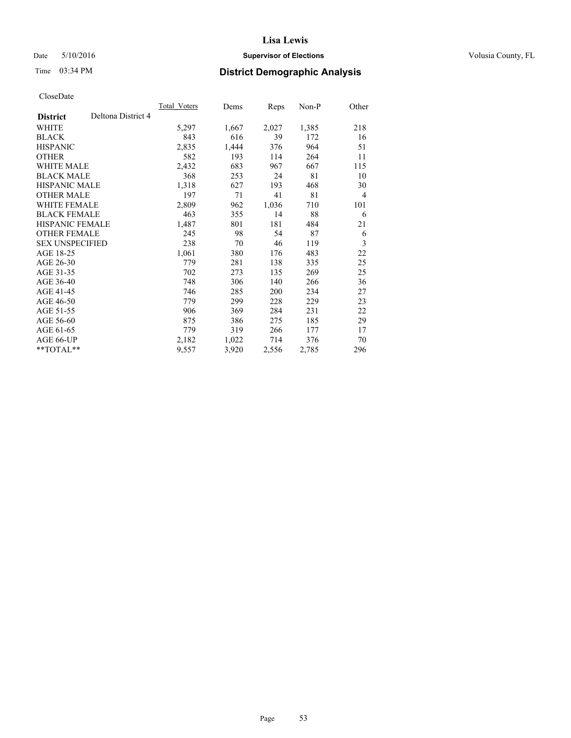### Date 5/10/2016 **Supervisor of Elections Supervisor of Elections** Volusia County, FL

# Time 03:34 PM **District Demographic Analysis**

|                        |                    | Total Voters | Dems  | Reps  | Non-P | Other          |
|------------------------|--------------------|--------------|-------|-------|-------|----------------|
| <b>District</b>        | Deltona District 4 |              |       |       |       |                |
| WHITE                  |                    | 5,297        | 1,667 | 2,027 | 1,385 | 218            |
| <b>BLACK</b>           |                    | 843          | 616   | 39    | 172   | 16             |
| <b>HISPANIC</b>        |                    | 2,835        | 1,444 | 376   | 964   | 51             |
| <b>OTHER</b>           |                    | 582          | 193   | 114   | 264   | 11             |
| WHITE MALE             |                    | 2,432        | 683   | 967   | 667   | 115            |
| <b>BLACK MALE</b>      |                    | 368          | 253   | 24    | 81    | 10             |
| <b>HISPANIC MALE</b>   |                    | 1,318        | 627   | 193   | 468   | 30             |
| <b>OTHER MALE</b>      |                    | 197          | 71    | 41    | 81    | $\overline{4}$ |
| <b>WHITE FEMALE</b>    |                    | 2,809        | 962   | 1,036 | 710   | 101            |
| <b>BLACK FEMALE</b>    |                    | 463          | 355   | 14    | 88    | 6              |
| <b>HISPANIC FEMALE</b> |                    | 1,487        | 801   | 181   | 484   | 21             |
| <b>OTHER FEMALE</b>    |                    | 245          | 98    | 54    | 87    | 6              |
| <b>SEX UNSPECIFIED</b> |                    | 238          | 70    | 46    | 119   | 3              |
| AGE 18-25              |                    | 1,061        | 380   | 176   | 483   | 22             |
| AGE 26-30              |                    | 779          | 281   | 138   | 335   | 25             |
| AGE 31-35              |                    | 702          | 273   | 135   | 269   | 25             |
| AGE 36-40              |                    | 748          | 306   | 140   | 266   | 36             |
| AGE 41-45              |                    | 746          | 285   | 200   | 234   | 27             |
| AGE 46-50              |                    | 779          | 299   | 228   | 229   | 23             |
| AGE 51-55              |                    | 906          | 369   | 284   | 231   | 22             |
| AGE 56-60              |                    | 875          | 386   | 275   | 185   | 29             |
| AGE 61-65              |                    | 779          | 319   | 266   | 177   | 17             |
| AGE 66-UP              |                    | 2,182        | 1,022 | 714   | 376   | 70             |
| **TOTAL**              |                    | 9,557        | 3,920 | 2,556 | 2,785 | 296            |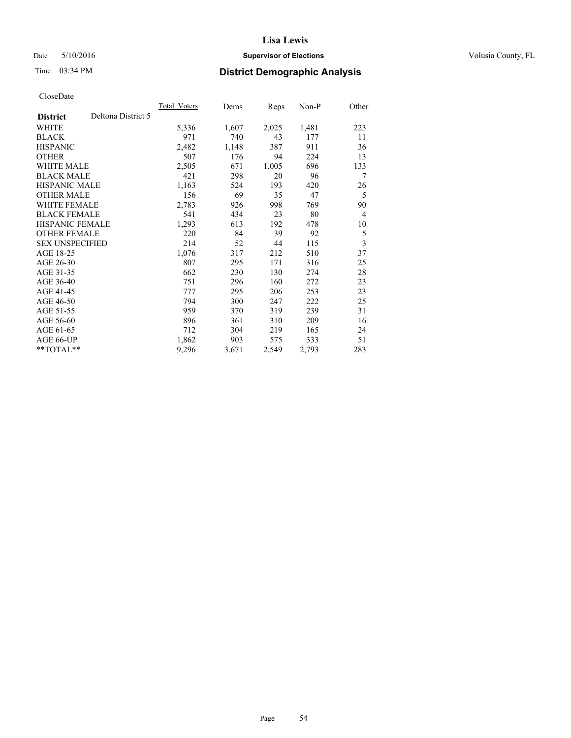### Date 5/10/2016 **Supervisor of Elections Supervisor of Elections** Volusia County, FL

# Time 03:34 PM **District Demographic Analysis**

|                        |                    | Total Voters | Dems  | Reps  | Non-P | Other          |
|------------------------|--------------------|--------------|-------|-------|-------|----------------|
| <b>District</b>        | Deltona District 5 |              |       |       |       |                |
| WHITE                  |                    | 5,336        | 1,607 | 2,025 | 1,481 | 223            |
| <b>BLACK</b>           |                    | 971          | 740   | 43    | 177   | 11             |
| <b>HISPANIC</b>        |                    | 2,482        | 1,148 | 387   | 911   | 36             |
| <b>OTHER</b>           |                    | 507          | 176   | 94    | 224   | 13             |
| WHITE MALE             |                    | 2,505        | 671   | 1,005 | 696   | 133            |
| <b>BLACK MALE</b>      |                    | 421          | 298   | 20    | 96    | 7              |
| <b>HISPANIC MALE</b>   |                    | 1,163        | 524   | 193   | 420   | 26             |
| <b>OTHER MALE</b>      |                    | 156          | 69    | 35    | 47    | 5              |
| <b>WHITE FEMALE</b>    |                    | 2,783        | 926   | 998   | 769   | 90             |
| <b>BLACK FEMALE</b>    |                    | 541          | 434   | 23    | 80    | $\overline{4}$ |
| <b>HISPANIC FEMALE</b> |                    | 1,293        | 613   | 192   | 478   | 10             |
| <b>OTHER FEMALE</b>    |                    | 220          | 84    | 39    | 92    | 5              |
| <b>SEX UNSPECIFIED</b> |                    | 214          | 52    | 44    | 115   | 3              |
| AGE 18-25              |                    | 1,076        | 317   | 212   | 510   | 37             |
| AGE 26-30              |                    | 807          | 295   | 171   | 316   | 25             |
| AGE 31-35              |                    | 662          | 230   | 130   | 274   | 28             |
| AGE 36-40              |                    | 751          | 296   | 160   | 272   | 23             |
| AGE 41-45              |                    | 777          | 295   | 206   | 253   | 23             |
| AGE 46-50              |                    | 794          | 300   | 247   | 222   | 25             |
| AGE 51-55              |                    | 959          | 370   | 319   | 239   | 31             |
| AGE 56-60              |                    | 896          | 361   | 310   | 209   | 16             |
| AGE 61-65              |                    | 712          | 304   | 219   | 165   | 24             |
| AGE 66-UP              |                    | 1,862        | 903   | 575   | 333   | 51             |
| **TOTAL**              |                    | 9,296        | 3,671 | 2,549 | 2,793 | 283            |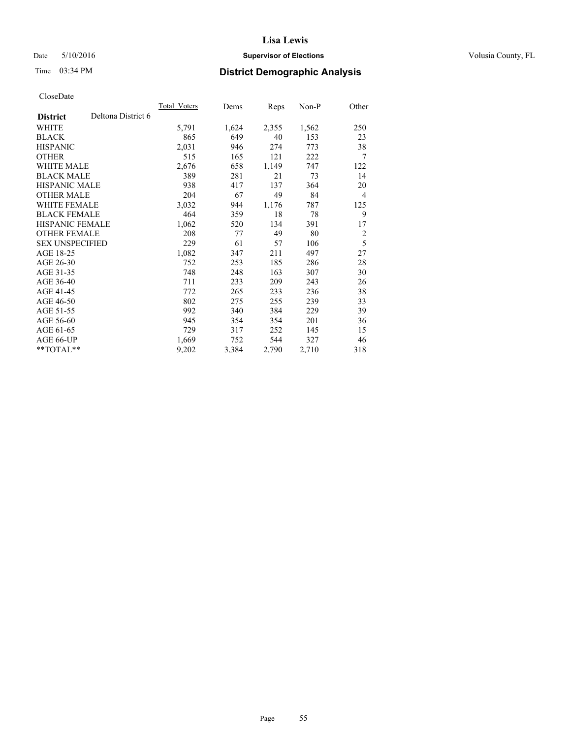### Date 5/10/2016 **Supervisor of Elections Supervisor of Elections** Volusia County, FL

# Time 03:34 PM **District Demographic Analysis**

|                        |                    | Total Voters | Dems  | Reps  | Non-P | Other          |
|------------------------|--------------------|--------------|-------|-------|-------|----------------|
| <b>District</b>        | Deltona District 6 |              |       |       |       |                |
| WHITE                  |                    | 5,791        | 1,624 | 2,355 | 1,562 | 250            |
| <b>BLACK</b>           |                    | 865          | 649   | 40    | 153   | 23             |
| <b>HISPANIC</b>        |                    | 2,031        | 946   | 274   | 773   | 38             |
| <b>OTHER</b>           |                    | 515          | 165   | 121   | 222   | 7              |
| WHITE MALE             |                    | 2,676        | 658   | 1,149 | 747   | 122            |
| <b>BLACK MALE</b>      |                    | 389          | 281   | 21    | 73    | 14             |
| <b>HISPANIC MALE</b>   |                    | 938          | 417   | 137   | 364   | 20             |
| OTHER MALE             |                    | 204          | 67    | 49    | 84    | $\overline{4}$ |
| <b>WHITE FEMALE</b>    |                    | 3,032        | 944   | 1,176 | 787   | 125            |
| <b>BLACK FEMALE</b>    |                    | 464          | 359   | 18    | 78    | 9              |
| <b>HISPANIC FEMALE</b> |                    | 1,062        | 520   | 134   | 391   | 17             |
| <b>OTHER FEMALE</b>    |                    | 208          | 77    | 49    | 80    | $\overline{2}$ |
| <b>SEX UNSPECIFIED</b> |                    | 229          | 61    | 57    | 106   | 5              |
| AGE 18-25              |                    | 1,082        | 347   | 211   | 497   | 27             |
| AGE 26-30              |                    | 752          | 253   | 185   | 286   | 28             |
| AGE 31-35              |                    | 748          | 248   | 163   | 307   | 30             |
| AGE 36-40              |                    | 711          | 233   | 209   | 243   | 26             |
| AGE 41-45              |                    | 772          | 265   | 233   | 236   | 38             |
| AGE 46-50              |                    | 802          | 275   | 255   | 239   | 33             |
| AGE 51-55              |                    | 992          | 340   | 384   | 229   | 39             |
| AGE 56-60              |                    | 945          | 354   | 354   | 201   | 36             |
| AGE 61-65              |                    | 729          | 317   | 252   | 145   | 15             |
| AGE 66-UP              |                    | 1,669        | 752   | 544   | 327   | 46             |
| **TOTAL**              |                    | 9,202        | 3,384 | 2,790 | 2,710 | 318            |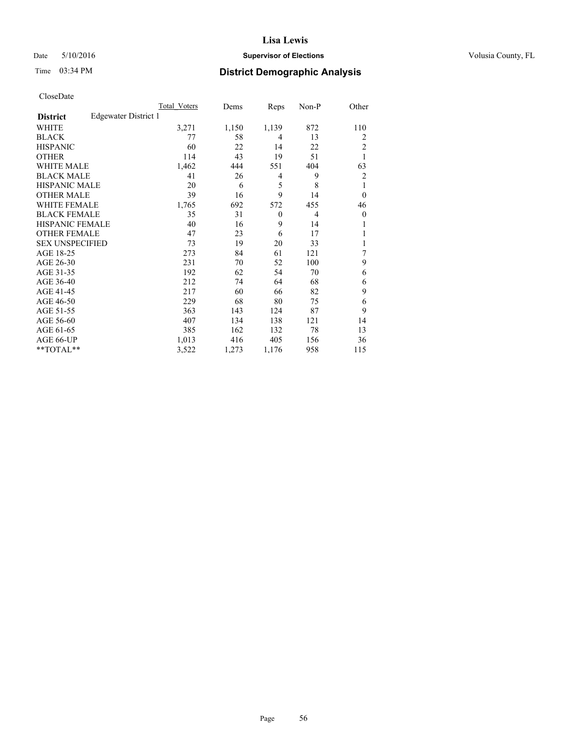### Date 5/10/2016 **Supervisor of Elections Supervisor of Elections** Volusia County, FL

| CloseDate |
|-----------|
|-----------|

|                        |                      | Total Voters | Dems  | Reps     | Non-P          | Other          |
|------------------------|----------------------|--------------|-------|----------|----------------|----------------|
| <b>District</b>        | Edgewater District 1 |              |       |          |                |                |
| <b>WHITE</b>           |                      | 3,271        | 1,150 | 1,139    | 872            | 110            |
| <b>BLACK</b>           |                      | 77           | 58    | 4        | 13             | $\overline{2}$ |
| <b>HISPANIC</b>        |                      | 60           | 22    | 14       | 22             | $\overline{2}$ |
| <b>OTHER</b>           |                      | 114          | 43    | 19       | 51             | 1              |
| <b>WHITE MALE</b>      |                      | 1,462        | 444   | 551      | 404            | 63             |
| <b>BLACK MALE</b>      |                      | 41           | 26    | 4        | 9              | $\overline{2}$ |
| HISPANIC MALE          |                      | 20           | 6     | 5        | 8              | 1              |
| <b>OTHER MALE</b>      |                      | 39           | 16    | 9        | 14             | $\theta$       |
| <b>WHITE FEMALE</b>    |                      | 1,765        | 692   | 572      | 455            | 46             |
| <b>BLACK FEMALE</b>    |                      | 35           | 31    | $\theta$ | $\overline{4}$ | $\overline{0}$ |
| <b>HISPANIC FEMALE</b> |                      | 40           | 16    | 9        | 14             |                |
| <b>OTHER FEMALE</b>    |                      | 47           | 23    | 6        | 17             |                |
| <b>SEX UNSPECIFIED</b> |                      | 73           | 19    | 20       | 33             |                |
| AGE 18-25              |                      | 273          | 84    | 61       | 121            | 7              |
| AGE 26-30              |                      | 231          | 70    | 52       | 100            | 9              |
| AGE 31-35              |                      | 192          | 62    | 54       | 70             | 6              |
| AGE 36-40              |                      | 212          | 74    | 64       | 68             | 6              |
| AGE 41-45              |                      | 217          | 60    | 66       | 82             | 9              |
| AGE 46-50              |                      | 229          | 68    | 80       | 75             | 6              |
| AGE 51-55              |                      | 363          | 143   | 124      | 87             | 9              |
| AGE 56-60              |                      | 407          | 134   | 138      | 121            | 14             |
| AGE 61-65              |                      | 385          | 162   | 132      | 78             | 13             |
| AGE 66-UP              |                      | 1,013        | 416   | 405      | 156            | 36             |
| **TOTAL**              |                      | 3,522        | 1,273 | 1,176    | 958            | 115            |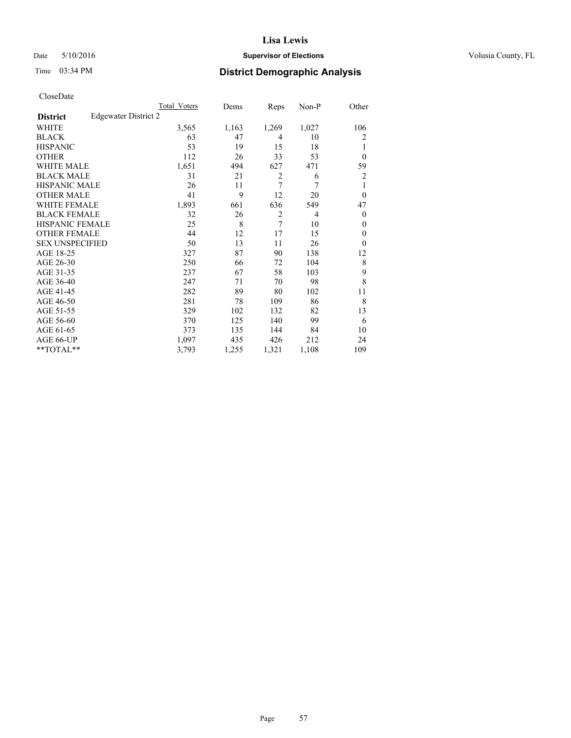### Date 5/10/2016 **Supervisor of Elections Supervisor of Elections** Volusia County, FL

# Time 03:34 PM **District Demographic Analysis**

|                        | Total Voters         | Dems  | Reps           | Non-P          | Other        |
|------------------------|----------------------|-------|----------------|----------------|--------------|
| <b>District</b>        | Edgewater District 2 |       |                |                |              |
| WHITE                  | 3,565                | 1,163 | 1,269          | 1,027          | 106          |
| <b>BLACK</b>           | 63                   | 47    | 4              | 10             | 2            |
| <b>HISPANIC</b>        | 53                   | 19    | 15             | 18             | 1            |
| <b>OTHER</b>           | 112                  | 26    | 33             | 53             | $\theta$     |
| WHITE MALE             | 1,651                | 494   | 627            | 471            | 59           |
| <b>BLACK MALE</b>      | 31                   | 21    | $\overline{2}$ | 6              | 2            |
| <b>HISPANIC MALE</b>   | 26                   | 11    | 7              | 7              | 1            |
| <b>OTHER MALE</b>      | 41                   | 9     | 12             | 20             | $\mathbf{0}$ |
| <b>WHITE FEMALE</b>    | 1,893                | 661   | 636            | 549            | 47           |
| <b>BLACK FEMALE</b>    | 32                   | 26    | $\overline{2}$ | $\overline{4}$ | $\theta$     |
| <b>HISPANIC FEMALE</b> | 25                   | 8     | $\overline{7}$ | 10             | $\theta$     |
| <b>OTHER FEMALE</b>    | 44                   | 12    | 17             | 15             | $\theta$     |
| <b>SEX UNSPECIFIED</b> | 50                   | 13    | 11             | 26             | $\mathbf{0}$ |
| AGE 18-25              | 327                  | 87    | 90             | 138            | 12           |
| AGE 26-30              | 250                  | 66    | 72             | 104            | 8            |
| AGE 31-35              | 237                  | 67    | 58             | 103            | 9            |
| AGE 36-40              | 247                  | 71    | 70             | 98             | 8            |
| AGE 41-45              | 282                  | 89    | 80             | 102            | 11           |
| AGE 46-50              | 281                  | 78    | 109            | 86             | 8            |
| AGE 51-55              | 329                  | 102   | 132            | 82             | 13           |
| AGE 56-60              | 370                  | 125   | 140            | 99             | 6            |
| AGE 61-65              | 373                  | 135   | 144            | 84             | 10           |
| AGE 66-UP              | 1,097                | 435   | 426            | 212            | 24           |
| **TOTAL**              | 3,793                | 1,255 | 1,321          | 1,108          | 109          |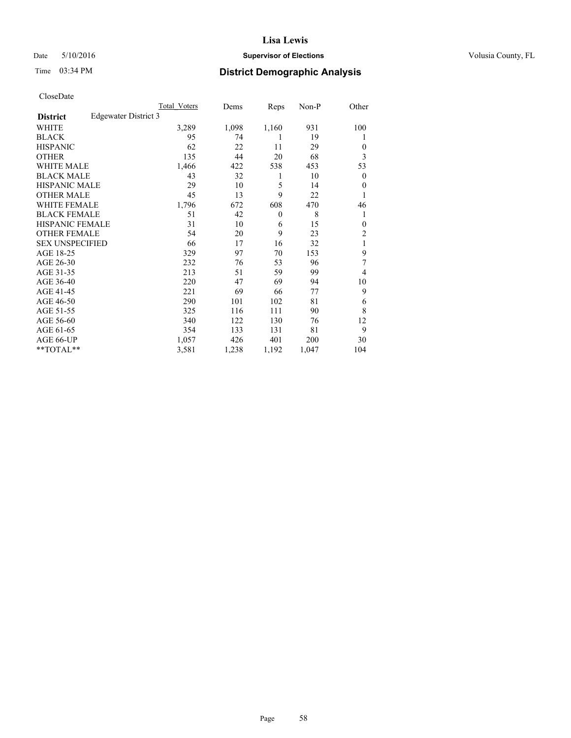### Date 5/10/2016 **Supervisor of Elections Supervisor of Elections** Volusia County, FL

# Time 03:34 PM **District Demographic Analysis**

|                        |                      | Total Voters | Dems  | Reps         | Non-P | Other          |
|------------------------|----------------------|--------------|-------|--------------|-------|----------------|
| <b>District</b>        | Edgewater District 3 |              |       |              |       |                |
| WHITE                  |                      | 3,289        | 1,098 | 1,160        | 931   | 100            |
| <b>BLACK</b>           |                      | 95           | 74    | 1            | 19    | 1              |
| <b>HISPANIC</b>        |                      | 62           | 22    | 11           | 29    | $\Omega$       |
| <b>OTHER</b>           |                      | 135          | 44    | 20           | 68    | 3              |
| WHITE MALE             |                      | 1,466        | 422   | 538          | 453   | 53             |
| <b>BLACK MALE</b>      |                      | 43           | 32    | 1            | 10    | $\overline{0}$ |
| <b>HISPANIC MALE</b>   |                      | 29           | 10    | 5            | 14    | $\overline{0}$ |
| <b>OTHER MALE</b>      |                      | 45           | 13    | 9            | 22    | 1              |
| <b>WHITE FEMALE</b>    |                      | 1,796        | 672   | 608          | 470   | 46             |
| <b>BLACK FEMALE</b>    |                      | 51           | 42    | $\mathbf{0}$ | 8     | 1              |
| <b>HISPANIC FEMALE</b> |                      | 31           | 10    | 6            | 15    | $\Omega$       |
| <b>OTHER FEMALE</b>    |                      | 54           | 20    | 9            | 23    | $\overline{2}$ |
| <b>SEX UNSPECIFIED</b> |                      | 66           | 17    | 16           | 32    | 1              |
| AGE 18-25              |                      | 329          | 97    | 70           | 153   | 9              |
| AGE 26-30              |                      | 232          | 76    | 53           | 96    | 7              |
| AGE 31-35              |                      | 213          | 51    | 59           | 99    | 4              |
| AGE 36-40              |                      | 220          | 47    | 69           | 94    | 10             |
| AGE 41-45              |                      | 221          | 69    | 66           | 77    | 9              |
| AGE 46-50              |                      | 290          | 101   | 102          | 81    | 6              |
| AGE 51-55              |                      | 325          | 116   | 111          | 90    | 8              |
| AGE 56-60              |                      | 340          | 122   | 130          | 76    | 12             |
| AGE 61-65              |                      | 354          | 133   | 131          | 81    | 9              |
| AGE 66-UP              |                      | 1,057        | 426   | 401          | 200   | 30             |
| **TOTAL**              |                      | 3,581        | 1,238 | 1,192        | 1,047 | 104            |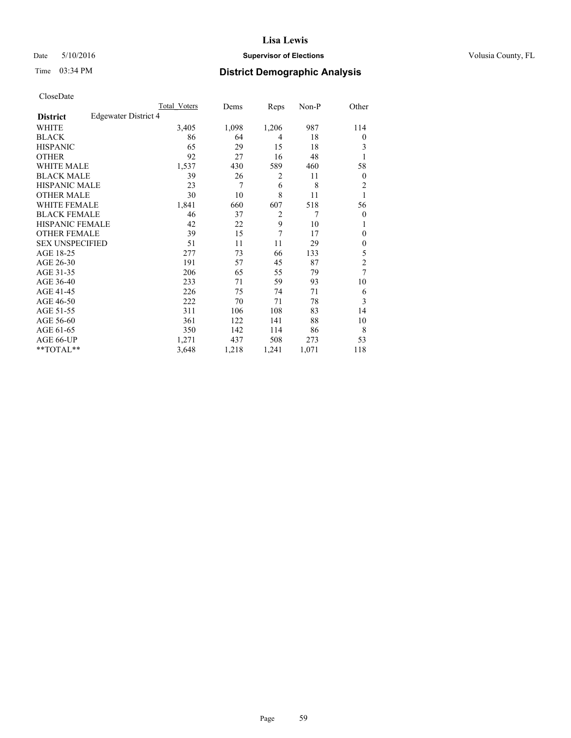### Date 5/10/2016 **Supervisor of Elections Supervisor of Elections** Volusia County, FL

# Time 03:34 PM **District Demographic Analysis**

|                        |                      | Total Voters | Dems  | Reps           | Non-P          | Other          |
|------------------------|----------------------|--------------|-------|----------------|----------------|----------------|
| <b>District</b>        | Edgewater District 4 |              |       |                |                |                |
| WHITE                  |                      | 3,405        | 1,098 | 1,206          | 987            | 114            |
| <b>BLACK</b>           |                      | 86           | 64    | 4              | 18             | $\overline{0}$ |
| <b>HISPANIC</b>        |                      | 65           | 29    | 15             | 18             | 3              |
| <b>OTHER</b>           |                      | 92           | 27    | 16             | 48             |                |
| WHITE MALE             |                      | 1,537        | 430   | 589            | 460            | 58             |
| <b>BLACK MALE</b>      |                      | 39           | 26    | 2              | 11             | $\mathbf{0}$   |
| <b>HISPANIC MALE</b>   |                      | 23           | 7     | 6              | 8              | $\overline{2}$ |
| <b>OTHER MALE</b>      |                      | 30           | 10    | 8              | 11             | 1              |
| <b>WHITE FEMALE</b>    |                      | 1,841        | 660   | 607            | 518            | 56             |
| <b>BLACK FEMALE</b>    |                      | 46           | 37    | $\overline{2}$ | $\overline{7}$ | $\mathbf{0}$   |
| <b>HISPANIC FEMALE</b> |                      | 42           | 22    | 9              | 10             | 1              |
| <b>OTHER FEMALE</b>    |                      | 39           | 15    | 7              | 17             | $\Omega$       |
| <b>SEX UNSPECIFIED</b> |                      | 51           | 11    | 11             | 29             | $\theta$       |
| AGE 18-25              |                      | 277          | 73    | 66             | 133            | 5              |
| AGE 26-30              |                      | 191          | 57    | 45             | 87             | $\overline{c}$ |
| AGE 31-35              |                      | 206          | 65    | 55             | 79             | 7              |
| AGE 36-40              |                      | 233          | 71    | 59             | 93             | 10             |
| AGE 41-45              |                      | 226          | 75    | 74             | 71             | 6              |
| AGE 46-50              |                      | 222          | 70    | 71             | 78             | 3              |
| AGE 51-55              |                      | 311          | 106   | 108            | 83             | 14             |
| AGE 56-60              |                      | 361          | 122   | 141            | 88             | 10             |
| AGE 61-65              |                      | 350          | 142   | 114            | 86             | 8              |
| AGE 66-UP              |                      | 1,271        | 437   | 508            | 273            | 53             |
| **TOTAL**              |                      | 3,648        | 1,218 | 1,241          | 1,071          | 118            |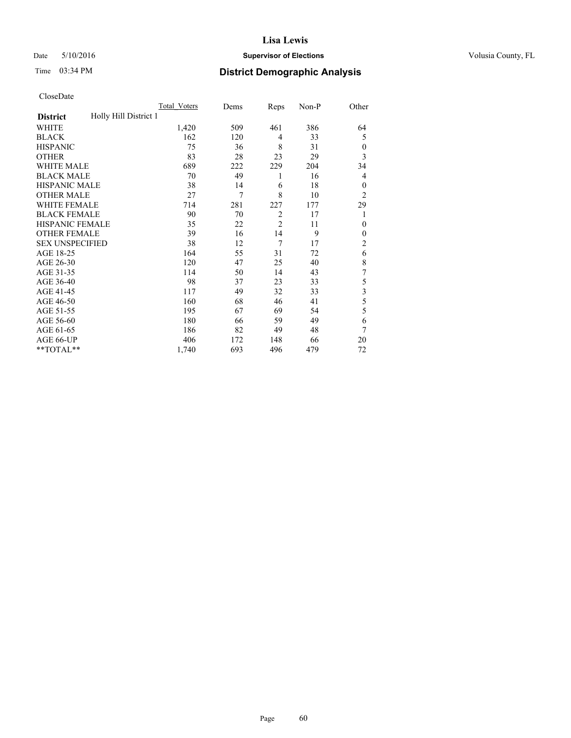### Date 5/10/2016 **Supervisor of Elections Supervisor of Elections** Volusia County, FL

# Time 03:34 PM **District Demographic Analysis**

|                        |                       | Total Voters | Dems | Reps           | Non-P | Other          |
|------------------------|-----------------------|--------------|------|----------------|-------|----------------|
| <b>District</b>        | Holly Hill District 1 |              |      |                |       |                |
| WHITE                  |                       | 1,420        | 509  | 461            | 386   | 64             |
| <b>BLACK</b>           |                       | 162          | 120  | $\overline{4}$ | 33    | 5              |
| <b>HISPANIC</b>        |                       | 75           | 36   | 8              | 31    | $\theta$       |
| <b>OTHER</b>           |                       | 83           | 28   | 23             | 29    | 3              |
| WHITE MALE             |                       | 689          | 222  | 229            | 204   | 34             |
| <b>BLACK MALE</b>      |                       | 70           | 49   | 1              | 16    | 4              |
| <b>HISPANIC MALE</b>   |                       | 38           | 14   | 6              | 18    | $\theta$       |
| <b>OTHER MALE</b>      |                       | 27           | 7    | 8              | 10    | $\overline{2}$ |
| WHITE FEMALE           |                       | 714          | 281  | 227            | 177   | 29             |
| <b>BLACK FEMALE</b>    |                       | 90           | 70   | $\overline{2}$ | 17    | 1              |
| <b>HISPANIC FEMALE</b> |                       | 35           | 22   | $\overline{2}$ | 11    | $\theta$       |
| <b>OTHER FEMALE</b>    |                       | 39           | 16   | 14             | 9     | $\theta$       |
| <b>SEX UNSPECIFIED</b> |                       | 38           | 12   | 7              | 17    | $\overline{2}$ |
| AGE 18-25              |                       | 164          | 55   | 31             | 72    | 6              |
| AGE 26-30              |                       | 120          | 47   | 25             | 40    | 8              |
| AGE 31-35              |                       | 114          | 50   | 14             | 43    | 7              |
| AGE 36-40              |                       | 98           | 37   | 23             | 33    | 5              |
| AGE 41-45              |                       | 117          | 49   | 32             | 33    | 3              |
| AGE 46-50              |                       | 160          | 68   | 46             | 41    | 5              |
| AGE 51-55              |                       | 195          | 67   | 69             | 54    | 5              |
| AGE 56-60              |                       | 180          | 66   | 59             | 49    | 6              |
| AGE 61-65              |                       | 186          | 82   | 49             | 48    | 7              |
| AGE 66-UP              |                       | 406          | 172  | 148            | 66    | 20             |
| $*$ TOTAL $*$          |                       | 1,740        | 693  | 496            | 479   | 72             |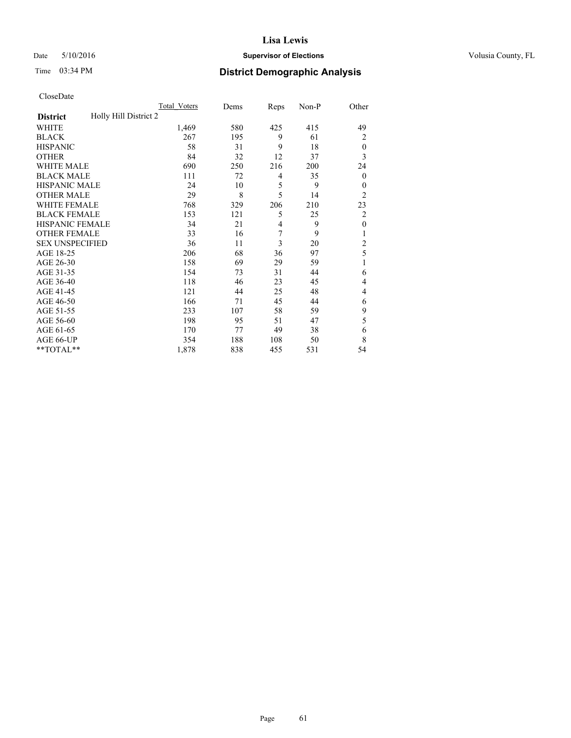### Date 5/10/2016 **Supervisor of Elections Supervisor of Elections** Volusia County, FL

# Time 03:34 PM **District Demographic Analysis**

|                        |                       | Total Voters | Dems | Reps           | Non-P | Other            |
|------------------------|-----------------------|--------------|------|----------------|-------|------------------|
| <b>District</b>        | Holly Hill District 2 |              |      |                |       |                  |
| WHITE                  |                       | 1,469        | 580  | 425            | 415   | 49               |
| <b>BLACK</b>           |                       | 267          | 195  | 9              | 61    | 2                |
| <b>HISPANIC</b>        |                       | 58           | 31   | 9              | 18    | $\theta$         |
| <b>OTHER</b>           |                       | 84           | 32   | 12             | 37    | 3                |
| <b>WHITE MALE</b>      |                       | 690          | 250  | 216            | 200   | 24               |
| <b>BLACK MALE</b>      |                       | 111          | 72   | 4              | 35    | $\boldsymbol{0}$ |
| <b>HISPANIC MALE</b>   |                       | 24           | 10   | 5              | 9     | $\theta$         |
| <b>OTHER MALE</b>      |                       | 29           | 8    | 5              | 14    | $\overline{c}$   |
| <b>WHITE FEMALE</b>    |                       | 768          | 329  | 206            | 210   | 23               |
| <b>BLACK FEMALE</b>    |                       | 153          | 121  | 5              | 25    | $\overline{c}$   |
| <b>HISPANIC FEMALE</b> |                       | 34           | 21   | $\overline{4}$ | 9     | $\mathbf{0}$     |
| <b>OTHER FEMALE</b>    |                       | 33           | 16   | 7              | 9     | 1                |
| <b>SEX UNSPECIFIED</b> |                       | 36           | 11   | 3              | 20    | $\overline{c}$   |
| AGE 18-25              |                       | 206          | 68   | 36             | 97    | 5                |
| AGE 26-30              |                       | 158          | 69   | 29             | 59    | 1                |
| AGE 31-35              |                       | 154          | 73   | 31             | 44    | 6                |
| AGE 36-40              |                       | 118          | 46   | 23             | 45    | 4                |
| AGE 41-45              |                       | 121          | 44   | 25             | 48    | 4                |
| AGE 46-50              |                       | 166          | 71   | 45             | 44    | 6                |
| AGE 51-55              |                       | 233          | 107  | 58             | 59    | 9                |
| AGE 56-60              |                       | 198          | 95   | 51             | 47    | 5                |
| AGE 61-65              |                       | 170          | 77   | 49             | 38    | 6                |
| AGE 66-UP              |                       | 354          | 188  | 108            | 50    | 8                |
| **TOTAL**              |                       | 1,878        | 838  | 455            | 531   | 54               |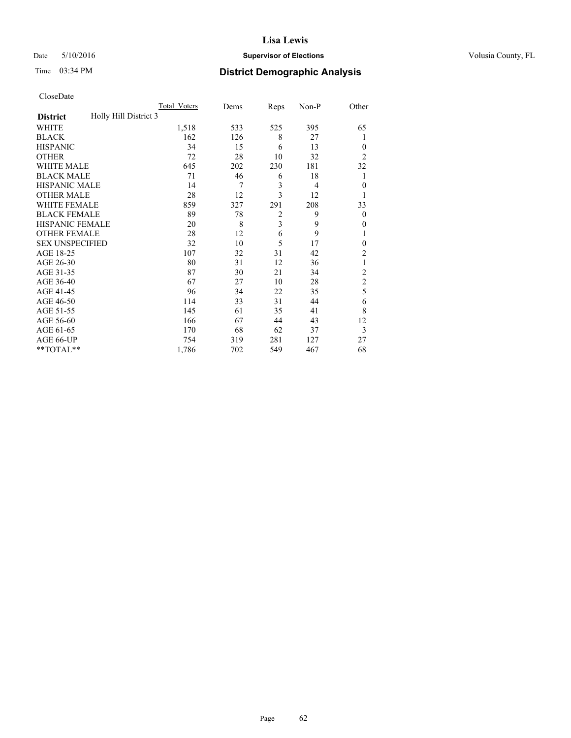### Date 5/10/2016 **Supervisor of Elections Supervisor of Elections** Volusia County, FL

| CloseDate |
|-----------|
|-----------|

|                                          | Total Voters | Dems | Reps           | Non-P | Other          |
|------------------------------------------|--------------|------|----------------|-------|----------------|
| Holly Hill District 3<br><b>District</b> |              |      |                |       |                |
| WHITE                                    | 1,518        | 533  | 525            | 395   | 65             |
| <b>BLACK</b>                             | 162          | 126  | 8              | 27    | 1              |
| <b>HISPANIC</b>                          | 34           | 15   | 6              | 13    | $\overline{0}$ |
| <b>OTHER</b>                             | 72           | 28   | 10             | 32    | $\overline{2}$ |
| <b>WHITE MALE</b>                        | 645          | 202  | 230            | 181   | 32             |
| <b>BLACK MALE</b>                        | 71           | 46   | 6              | 18    | 1              |
| <b>HISPANIC MALE</b>                     | 14           | 7    | 3              | 4     | $\theta$       |
| <b>OTHER MALE</b>                        | 28           | 12   | $\overline{3}$ | 12    | 1              |
| <b>WHITE FEMALE</b>                      | 859          | 327  | 291            | 208   | 33             |
| <b>BLACK FEMALE</b>                      | 89           | 78   | $\overline{2}$ | 9     | $\overline{0}$ |
| HISPANIC FEMALE                          | 20           | 8    | 3              | 9     | $\theta$       |
| <b>OTHER FEMALE</b>                      | 28           | 12   | 6              | 9     | 1              |
| <b>SEX UNSPECIFIED</b>                   | 32           | 10   | 5              | 17    | $\theta$       |
| AGE 18-25                                | 107          | 32   | 31             | 42    | 2              |
| AGE 26-30                                | 80           | 31   | 12             | 36    | 1              |
| AGE 31-35                                | 87           | 30   | 21             | 34    | $\overline{2}$ |
| AGE 36-40                                | 67           | 27   | 10             | 28    | $\overline{c}$ |
| AGE 41-45                                | 96           | 34   | 22             | 35    | 5              |
| AGE 46-50                                | 114          | 33   | 31             | 44    | 6              |
| AGE 51-55                                | 145          | 61   | 35             | 41    | 8              |
| AGE 56-60                                | 166          | 67   | 44             | 43    | 12             |
| AGE 61-65                                | 170          | 68   | 62             | 37    | $\mathfrak{Z}$ |
| AGE 66-UP                                | 754          | 319  | 281            | 127   | 27             |
| **TOTAL**                                | 1,786        | 702  | 549            | 467   | 68             |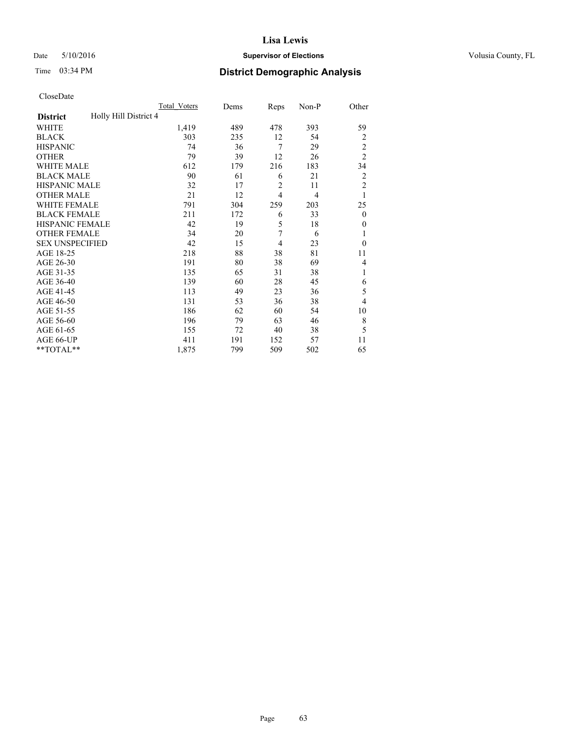### Date 5/10/2016 **Supervisor of Elections Supervisor of Elections** Volusia County, FL

# Time 03:34 PM **District Demographic Analysis**

|                                          | Total Voters | Dems | Reps           | Non-P          | Other          |
|------------------------------------------|--------------|------|----------------|----------------|----------------|
| Holly Hill District 4<br><b>District</b> |              |      |                |                |                |
| WHITE                                    | 1,419        | 489  | 478            | 393            | 59             |
| <b>BLACK</b>                             | 303          | 235  | 12             | 54             | $\overline{2}$ |
| <b>HISPANIC</b>                          | 74           | 36   | 7              | 29             | $\overline{2}$ |
| <b>OTHER</b>                             | 79           | 39   | 12             | 26             | $\overline{2}$ |
| WHITE MALE                               | 612          | 179  | 216            | 183            | 34             |
| <b>BLACK MALE</b>                        | 90           | 61   | 6              | 21             | $\overline{2}$ |
| <b>HISPANIC MALE</b>                     | 32           | 17   | $\overline{2}$ | 11             | $\overline{2}$ |
| <b>OTHER MALE</b>                        | 21           | 12   | $\overline{4}$ | $\overline{4}$ | 1              |
| WHITE FEMALE                             | 791          | 304  | 259            | 203            | 25             |
| <b>BLACK FEMALE</b>                      | 211          | 172  | 6              | 33             | $\mathbf{0}$   |
| <b>HISPANIC FEMALE</b>                   | 42           | 19   | 5              | 18             | $\Omega$       |
| <b>OTHER FEMALE</b>                      | 34           | 20   | 7              | 6              | 1              |
| <b>SEX UNSPECIFIED</b>                   | 42           | 15   | 4              | 23             | $\theta$       |
| AGE 18-25                                | 218          | 88   | 38             | 81             | 11             |
| AGE 26-30                                | 191          | 80   | 38             | 69             | $\overline{4}$ |
| AGE 31-35                                | 135          | 65   | 31             | 38             | 1              |
| AGE 36-40                                | 139          | 60   | 28             | 45             | 6              |
| AGE 41-45                                | 113          | 49   | 23             | 36             | 5              |
| AGE 46-50                                | 131          | 53   | 36             | 38             | $\overline{4}$ |
| AGE 51-55                                | 186          | 62   | 60             | 54             | 10             |
| AGE 56-60                                | 196          | 79   | 63             | 46             | 8              |
| AGE 61-65                                | 155          | 72   | 40             | 38             | 5              |
| AGE 66-UP                                | 411          | 191  | 152            | 57             | 11             |
| **TOTAL**                                | 1,875        | 799  | 509            | 502            | 65             |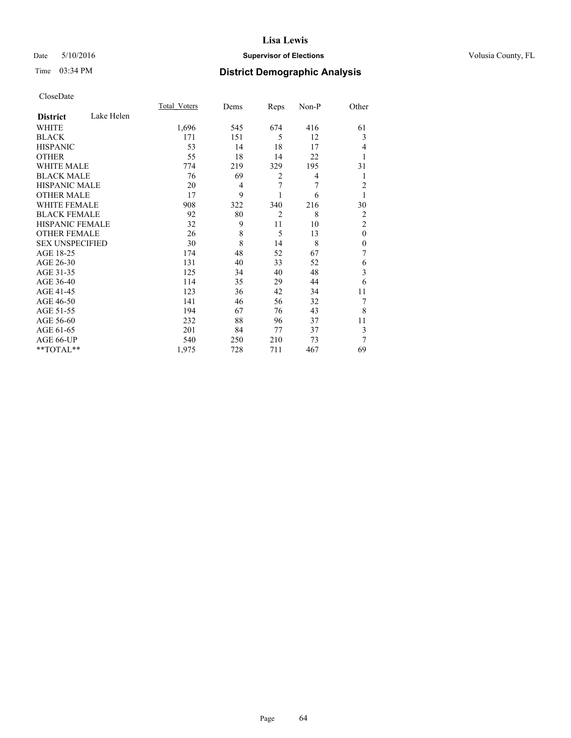### Date 5/10/2016 **Supervisor of Elections Supervisor of Elections** Volusia County, FL

# Time 03:34 PM **District Demographic Analysis**

|                        |            | <b>Total Voters</b> | Dems | Reps           | Non-P | Other          |
|------------------------|------------|---------------------|------|----------------|-------|----------------|
| <b>District</b>        | Lake Helen |                     |      |                |       |                |
| WHITE                  |            | 1,696               | 545  | 674            | 416   | 61             |
| <b>BLACK</b>           |            | 171                 | 151  | 5              | 12    | 3              |
| <b>HISPANIC</b>        |            | 53                  | 14   | 18             | 17    | 4              |
| <b>OTHER</b>           |            | 55                  | 18   | 14             | 22    | 1              |
| WHITE MALE             |            | 774                 | 219  | 329            | 195   | 31             |
| <b>BLACK MALE</b>      |            | 76                  | 69   | $\overline{2}$ | 4     | 1              |
| <b>HISPANIC MALE</b>   |            | 20                  | 4    | 7              | 7     | 2              |
| <b>OTHER MALE</b>      |            | 17                  | 9    |                | 6     | 1              |
| <b>WHITE FEMALE</b>    |            | 908                 | 322  | 340            | 216   | 30             |
| <b>BLACK FEMALE</b>    |            | 92                  | 80   | $\overline{2}$ | 8     | 2              |
| <b>HISPANIC FEMALE</b> |            | 32                  | 9    | 11             | 10    | $\overline{2}$ |
| <b>OTHER FEMALE</b>    |            | 26                  | 8    | 5              | 13    | $\theta$       |
| <b>SEX UNSPECIFIED</b> |            | 30                  | 8    | 14             | 8     | $\mathbf{0}$   |
| AGE 18-25              |            | 174                 | 48   | 52             | 67    | 7              |
| AGE 26-30              |            | 131                 | 40   | 33             | 52    | 6              |
| AGE 31-35              |            | 125                 | 34   | 40             | 48    | 3              |
| AGE 36-40              |            | 114                 | 35   | 29             | 44    | 6              |
| AGE 41-45              |            | 123                 | 36   | 42             | 34    | 11             |
| AGE 46-50              |            | 141                 | 46   | 56             | 32    | 7              |
| AGE 51-55              |            | 194                 | 67   | 76             | 43    | 8              |
| AGE 56-60              |            | 232                 | 88   | 96             | 37    | 11             |
| AGE 61-65              |            | 201                 | 84   | 77             | 37    | 3              |
| AGE 66-UP              |            | 540                 | 250  | 210            | 73    | 7              |
| **TOTAL**              |            | 1,975               | 728  | 711            | 467   | 69             |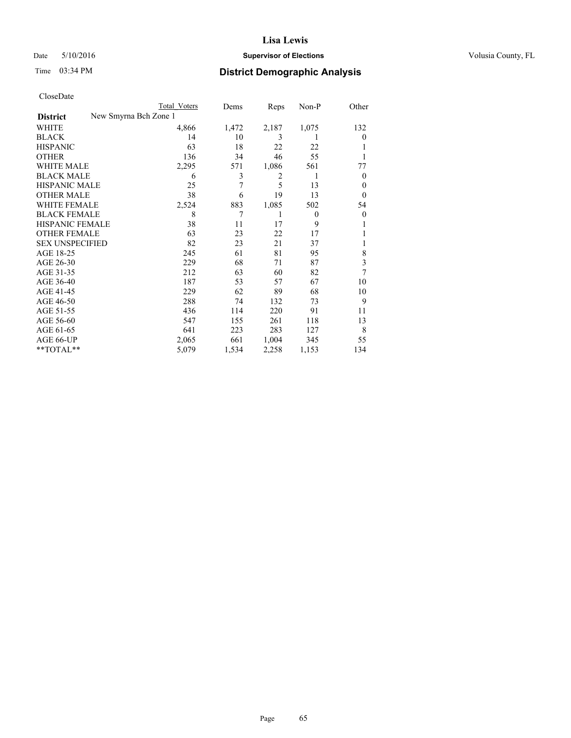### Date 5/10/2016 **Supervisor of Elections Supervisor of Elections** Volusia County, FL

|                        | Total Voters          | Dems  | Reps  | Non-P          | Other          |
|------------------------|-----------------------|-------|-------|----------------|----------------|
| <b>District</b>        | New Smyrna Bch Zone 1 |       |       |                |                |
| WHITE                  | 4,866                 | 1,472 | 2,187 | 1,075          | 132            |
| <b>BLACK</b>           | 14                    | 10    | 3     | 1              | $\theta$       |
| <b>HISPANIC</b>        | 63                    | 18    | 22    | 22             |                |
| <b>OTHER</b>           | 136                   | 34    | 46    | 55             |                |
| WHITE MALE             | 2,295                 | 571   | 1,086 | 561            | 77             |
| <b>BLACK MALE</b>      | 6                     | 3     | 2     | 1              | $\overline{0}$ |
| <b>HISPANIC MALE</b>   | 25                    | 7     | 5     | 13             | 0              |
| <b>OTHER MALE</b>      | 38                    | 6     | 19    | 13             | $\overline{0}$ |
| WHITE FEMALE           | 2,524                 | 883   | 1,085 | 502            | 54             |
| <b>BLACK FEMALE</b>    | 8                     | 7     | 1     | $\overline{0}$ | $\theta$       |
| <b>HISPANIC FEMALE</b> | 38                    | 11    | 17    | 9              |                |
| <b>OTHER FEMALE</b>    | 63                    | 23    | 22    | 17             |                |
| <b>SEX UNSPECIFIED</b> | 82                    | 23    | 21    | 37             |                |
| AGE 18-25              | 245                   | 61    | 81    | 95             | 8              |
| AGE 26-30              | 229                   | 68    | 71    | 87             | 3              |
| AGE 31-35              | 212                   | 63    | 60    | 82             | 7              |
| AGE 36-40              | 187                   | 53    | 57    | 67             | 10             |
| AGE 41-45              | 229                   | 62    | 89    | 68             | 10             |
| AGE 46-50              | 288                   | 74    | 132   | 73             | 9              |
| AGE 51-55              | 436                   | 114   | 220   | 91             | 11             |
| AGE 56-60              | 547                   | 155   | 261   | 118            | 13             |
| AGE 61-65              | 641                   | 223   | 283   | 127            | 8              |
| AGE 66-UP              | 2,065                 | 661   | 1,004 | 345            | 55             |
| **TOTAL**              | 5,079                 | 1,534 | 2,258 | 1,153          | 134            |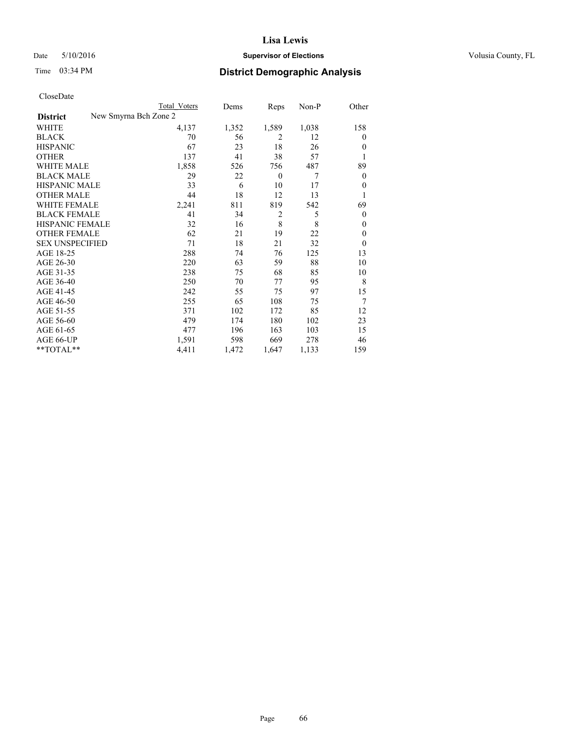### Date 5/10/2016 **Supervisor of Elections Supervisor of Elections** Volusia County, FL

| CloseDate |
|-----------|
|-----------|

|                        | <b>Total Voters</b>   | Dems  | Reps             | Non-P | Other        |
|------------------------|-----------------------|-------|------------------|-------|--------------|
| <b>District</b>        | New Smyrna Bch Zone 2 |       |                  |       |              |
| WHITE                  | 4,137                 | 1,352 | 1,589            | 1,038 | 158          |
| <b>BLACK</b>           | 70                    | 56    | $\overline{2}$   | 12    | 0            |
| <b>HISPANIC</b>        | 67                    | 23    | 18               | 26    | $\theta$     |
| <b>OTHER</b>           | 137                   | 41    | 38               | 57    | 1            |
| <b>WHITE MALE</b>      | 1,858                 | 526   | 756              | 487   | 89           |
| <b>BLACK MALE</b>      | 29                    | 22    | $\boldsymbol{0}$ | 7     | $\mathbf{0}$ |
| <b>HISPANIC MALE</b>   | 33                    | 6     | 10               | 17    | $\mathbf{0}$ |
| <b>OTHER MALE</b>      | 44                    | 18    | 12               | 13    | 1            |
| <b>WHITE FEMALE</b>    | 2,241                 | 811   | 819              | 542   | 69           |
| <b>BLACK FEMALE</b>    | 41                    | 34    | $\overline{2}$   | 5     | $\mathbf{0}$ |
| <b>HISPANIC FEMALE</b> | 32                    | 16    | 8                | 8     | $\Omega$     |
| <b>OTHER FEMALE</b>    | 62                    | 21    | 19               | 22    | $\Omega$     |
| <b>SEX UNSPECIFIED</b> | 71                    | 18    | 21               | 32    | $\theta$     |
| AGE 18-25              | 288                   | 74    | 76               | 125   | 13           |
| AGE 26-30              | 220                   | 63    | 59               | 88    | 10           |
| AGE 31-35              | 238                   | 75    | 68               | 85    | 10           |
| AGE 36-40              | 250                   | 70    | 77               | 95    | 8            |
| AGE 41-45              | 242                   | 55    | 75               | 97    | 15           |
| AGE 46-50              | 255                   | 65    | 108              | 75    | 7            |
| AGE 51-55              | 371                   | 102   | 172              | 85    | 12           |
| AGE 56-60              | 479                   | 174   | 180              | 102   | 23           |
| AGE 61-65              | 477                   | 196   | 163              | 103   | 15           |
| AGE 66-UP              | 1,591                 | 598   | 669              | 278   | 46           |
| $*$ TOTAL $**$         | 4,411                 | 1,472 | 1,647            | 1,133 | 159          |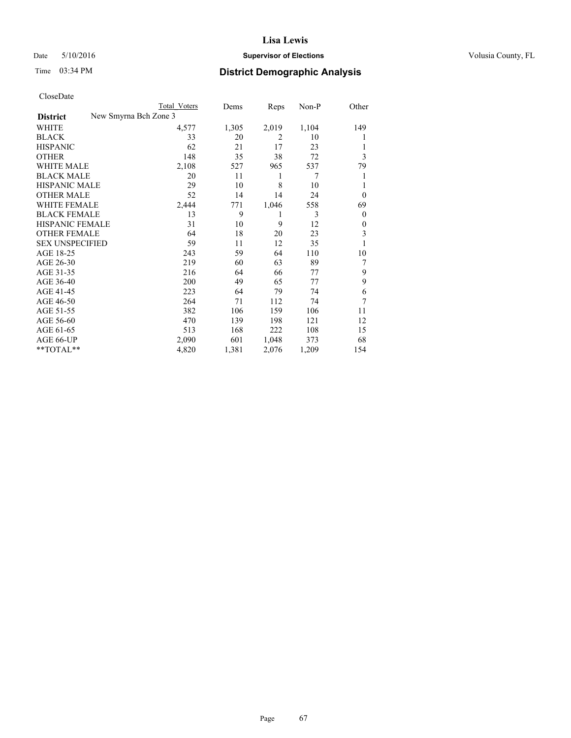### Date 5/10/2016 **Supervisor of Elections Supervisor of Elections** Volusia County, FL

| CloseDate |
|-----------|
|-----------|

|                        | <b>Total Voters</b>   | Dems  | Reps           | Non-P | Other          |
|------------------------|-----------------------|-------|----------------|-------|----------------|
| <b>District</b>        | New Smyrna Bch Zone 3 |       |                |       |                |
| WHITE                  | 4,577                 | 1,305 | 2,019          | 1,104 | 149            |
| <b>BLACK</b>           | 33                    | 20    | $\overline{2}$ | 10    |                |
| <b>HISPANIC</b>        | 62                    | 21    | 17             | 23    |                |
| <b>OTHER</b>           | 148                   | 35    | 38             | 72    | 3              |
| WHITE MALE             | 2,108                 | 527   | 965            | 537   | 79             |
| <b>BLACK MALE</b>      | 20                    | 11    | 1              | 7     | 1              |
| <b>HISPANIC MALE</b>   | 29                    | 10    | 8              | 10    |                |
| <b>OTHER MALE</b>      | 52                    | 14    | 14             | 24    | $\Omega$       |
| <b>WHITE FEMALE</b>    | 2,444                 | 771   | 1,046          | 558   | 69             |
| <b>BLACK FEMALE</b>    | 13                    | 9     | 1              | 3     | $\overline{0}$ |
| <b>HISPANIC FEMALE</b> | 31                    | 10    | 9              | 12    | $\Omega$       |
| <b>OTHER FEMALE</b>    | 64                    | 18    | 20             | 23    | 3              |
| <b>SEX UNSPECIFIED</b> | 59                    | 11    | 12             | 35    | 1              |
| AGE 18-25              | 243                   | 59    | 64             | 110   | 10             |
| AGE 26-30              | 219                   | 60    | 63             | 89    | 7              |
| AGE 31-35              | 216                   | 64    | 66             | 77    | 9              |
| AGE 36-40              | 200                   | 49    | 65             | 77    | 9              |
| AGE 41-45              | 223                   | 64    | 79             | 74    | 6              |
| AGE 46-50              | 264                   | 71    | 112            | 74    | 7              |
| AGE 51-55              | 382                   | 106   | 159            | 106   | 11             |
| AGE 56-60              | 470                   | 139   | 198            | 121   | 12             |
| AGE 61-65              | 513                   | 168   | 222            | 108   | 15             |
| AGE 66-UP              | 2,090                 | 601   | 1,048          | 373   | 68             |
| **TOTAL**              | 4,820                 | 1,381 | 2,076          | 1,209 | 154            |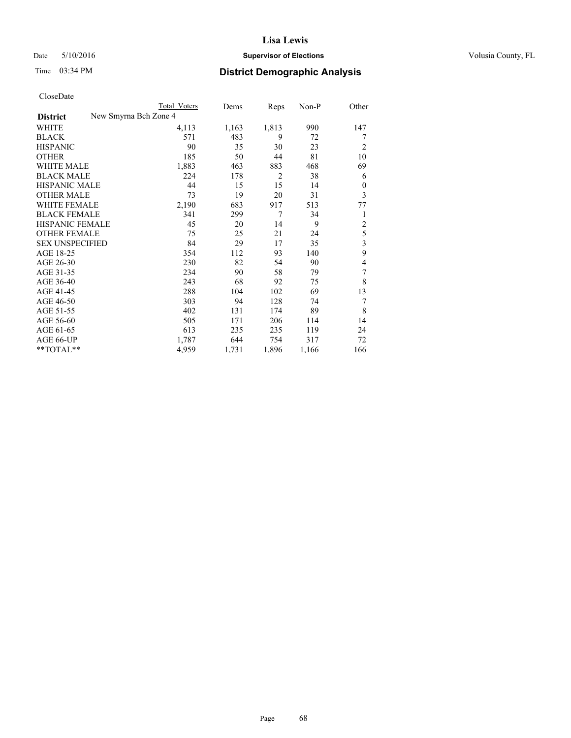### Date 5/10/2016 **Supervisor of Elections Supervisor of Elections** Volusia County, FL

| Cioscivate             |                       |              |       |                |       |                |
|------------------------|-----------------------|--------------|-------|----------------|-------|----------------|
|                        |                       | Total Voters | Dems  | Reps           | Non-P | Other          |
| <b>District</b>        | New Smyrna Bch Zone 4 |              |       |                |       |                |
| <b>WHITE</b>           |                       | 4,113        | 1,163 | 1,813          | 990   | 147            |
| <b>BLACK</b>           |                       | 571          | 483   | 9              | 72    | 7              |
| <b>HISPANIC</b>        |                       | 90           | 35    | 30             | 23    | $\overline{2}$ |
| <b>OTHER</b>           |                       | 185          | 50    | 44             | 81    | 10             |
| WHITE MALE             |                       | 1,883        | 463   | 883            | 468   | 69             |
| <b>BLACK MALE</b>      |                       | 224          | 178   | $\overline{2}$ | 38    | 6              |
| <b>HISPANIC MALE</b>   |                       | 44           | 15    | 15             | 14    | 0              |
| <b>OTHER MALE</b>      |                       | 73           | 19    | 20             | 31    | 3              |
| <b>WHITE FEMALE</b>    |                       | 2,190        | 683   | 917            | 513   | 77             |
| <b>BLACK FEMALE</b>    |                       | 341          | 299   | 7              | 34    | 1              |
| <b>HISPANIC FEMALE</b> |                       | 45           | 20    | 14             | 9     | $\overline{c}$ |
| <b>OTHER FEMALE</b>    |                       | 75           | 25    | 21             | 24    | 5              |
| <b>SEX UNSPECIFIED</b> |                       | 84           | 29    | 17             | 35    | 3              |
| AGE 18-25              |                       | 354          | 112   | 93             | 140   | 9              |
| AGE 26-30              |                       | 230          | 82    | 54             | 90    | 4              |
| AGE 31-35              |                       | 234          | 90    | 58             | 79    | 7              |
| AGE 36-40              |                       | 243          | 68    | 92             | 75    | 8              |
| AGE 41-45              |                       | 288          | 104   | 102            | 69    | 13             |
| AGE 46-50              |                       | 303          | 94    | 128            | 74    | 7              |
| AGE 51-55              |                       | 402          | 131   | 174            | 89    | 8              |
| AGE 56-60              |                       | 505          | 171   | 206            | 114   | 14             |
| AGE 61-65              |                       | 613          | 235   | 235            | 119   | 24             |
| AGE 66-UP              |                       | 1,787        | 644   | 754            | 317   | 72             |
| **TOTAL**              |                       | 4,959        | 1,731 | 1,896          | 1,166 | 166            |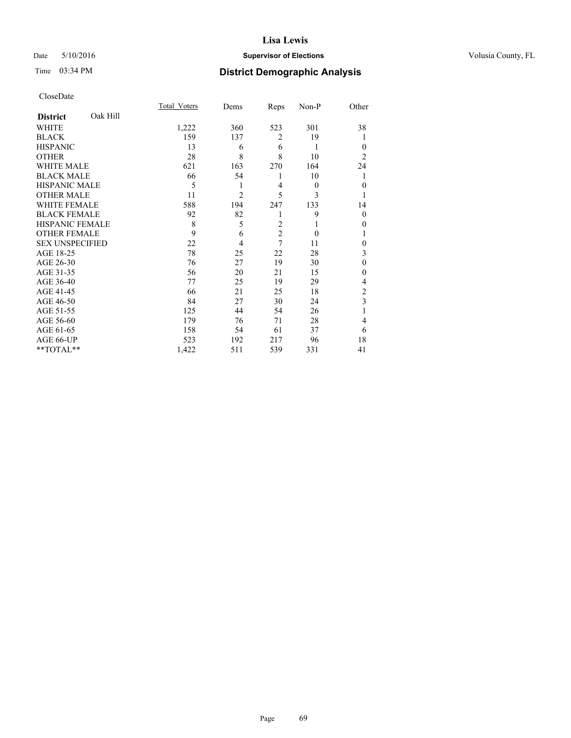### Date 5/10/2016 **Supervisor of Elections Supervisor of Elections** Volusia County, FL

# Time 03:34 PM **District Demographic Analysis**

|                        |          | Total Voters | Dems           | Reps           | Non-P    | Other          |
|------------------------|----------|--------------|----------------|----------------|----------|----------------|
| <b>District</b>        | Oak Hill |              |                |                |          |                |
| WHITE                  |          | 1,222        | 360            | 523            | 301      | 38             |
| <b>BLACK</b>           |          | 159          | 137            | $\overline{2}$ | 19       |                |
| <b>HISPANIC</b>        |          | 13           | 6              | 6              | 1        | $\theta$       |
| <b>OTHER</b>           |          | 28           | 8              | 8              | 10       | $\overline{2}$ |
| WHITE MALE             |          | 621          | 163            | 270            | 164      | 24             |
| <b>BLACK MALE</b>      |          | 66           | 54             | 1              | 10       |                |
| <b>HISPANIC MALE</b>   |          | 5            | 1              | $\overline{4}$ | $\theta$ | $\mathbf{0}$   |
| <b>OTHER MALE</b>      |          | 11           | $\overline{2}$ | 5              | 3        |                |
| <b>WHITE FEMALE</b>    |          | 588          | 194            | 247            | 133      | 14             |
| <b>BLACK FEMALE</b>    |          | 92           | 82             | 1              | 9        | $\theta$       |
| HISPANIC FEMALE        |          | 8            | 5              | $\overline{c}$ | 1        | 0              |
| <b>OTHER FEMALE</b>    |          | 9            | 6              | $\overline{c}$ | $\theta$ |                |
| <b>SEX UNSPECIFIED</b> |          | 22           | 4              | 7              | 11       | $\theta$       |
| AGE 18-25              |          | 78           | 25             | 22             | 28       | 3              |
| AGE 26-30              |          | 76           | 27             | 19             | 30       | $\mathbf{0}$   |
| AGE 31-35              |          | 56           | 20             | 21             | 15       | 0              |
| AGE 36-40              |          | 77           | 25             | 19             | 29       | 4              |
| AGE 41-45              |          | 66           | 21             | 25             | 18       | $\overline{c}$ |
| AGE 46-50              |          | 84           | 27             | 30             | 24       | 3              |
| AGE 51-55              |          | 125          | 44             | 54             | 26       | 1              |
| AGE 56-60              |          | 179          | 76             | 71             | 28       | 4              |
| AGE 61-65              |          | 158          | 54             | 61             | 37       | 6              |
| AGE 66-UP              |          | 523          | 192            | 217            | 96       | 18             |
| **TOTAL**              |          | 1,422        | 511            | 539            | 331      | 41             |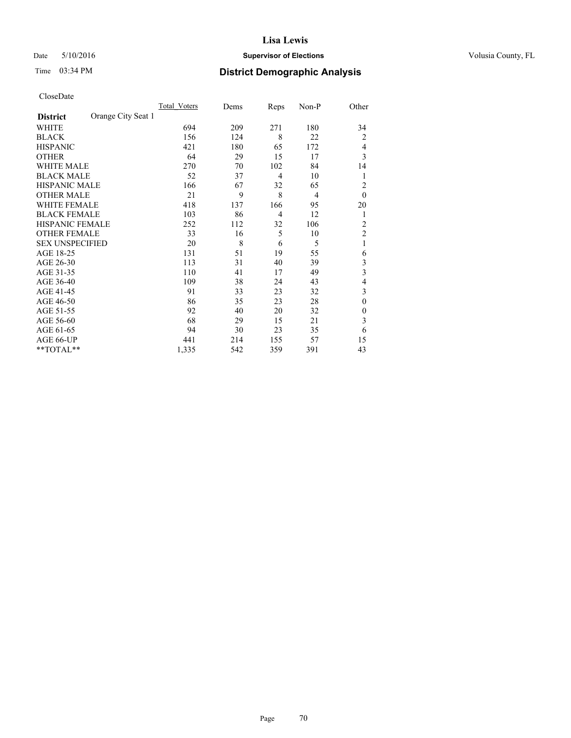### Date 5/10/2016 **Supervisor of Elections Supervisor of Elections** Volusia County, FL

# Time 03:34 PM **District Demographic Analysis**

|                        |                    | Total Voters | Dems | Reps           | Non-P | Other                   |
|------------------------|--------------------|--------------|------|----------------|-------|-------------------------|
| <b>District</b>        | Orange City Seat 1 |              |      |                |       |                         |
| WHITE                  |                    | 694          | 209  | 271            | 180   | 34                      |
| <b>BLACK</b>           |                    | 156          | 124  | 8              | 22    | $\overline{c}$          |
| <b>HISPANIC</b>        |                    | 421          | 180  | 65             | 172   | 4                       |
| <b>OTHER</b>           |                    | 64           | 29   | 15             | 17    | 3                       |
| WHITE MALE             |                    | 270          | 70   | 102            | 84    | 14                      |
| <b>BLACK MALE</b>      |                    | 52           | 37   | $\overline{4}$ | 10    | 1                       |
| <b>HISPANIC MALE</b>   |                    | 166          | 67   | 32             | 65    | 2                       |
| <b>OTHER MALE</b>      |                    | 21           | 9    | 8              | 4     | $\mathbf{0}$            |
| WHITE FEMALE           |                    | 418          | 137  | 166            | 95    | 20                      |
| <b>BLACK FEMALE</b>    |                    | 103          | 86   | $\overline{4}$ | 12    | 1                       |
| <b>HISPANIC FEMALE</b> |                    | 252          | 112  | 32             | 106   | $\overline{2}$          |
| <b>OTHER FEMALE</b>    |                    | 33           | 16   | 5              | 10    | $\overline{c}$          |
| <b>SEX UNSPECIFIED</b> |                    | 20           | 8    | 6              | 5     | 1                       |
| AGE 18-25              |                    | 131          | 51   | 19             | 55    | 6                       |
| AGE 26-30              |                    | 113          | 31   | 40             | 39    | 3                       |
| AGE 31-35              |                    | 110          | 41   | 17             | 49    | $\overline{\mathbf{3}}$ |
| AGE 36-40              |                    | 109          | 38   | 24             | 43    | 4                       |
| AGE 41-45              |                    | 91           | 33   | 23             | 32    | 3                       |
| AGE 46-50              |                    | 86           | 35   | 23             | 28    | $\theta$                |
| AGE 51-55              |                    | 92           | 40   | 20             | 32    | $\theta$                |
| AGE 56-60              |                    | 68           | 29   | 15             | 21    | 3                       |
| AGE 61-65              |                    | 94           | 30   | 23             | 35    | 6                       |
| AGE 66-UP              |                    | 441          | 214  | 155            | 57    | 15                      |
| $**TOTAL**$            |                    | 1,335        | 542  | 359            | 391   | 43                      |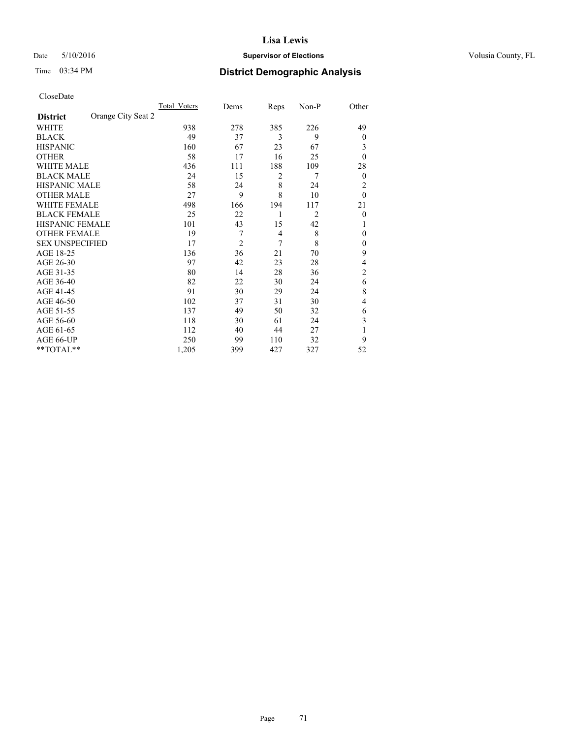### Date 5/10/2016 **Supervisor of Elections Supervisor of Elections** Volusia County, FL

# Time 03:34 PM **District Demographic Analysis**

|                        |                    | Total Voters | Dems           | Reps | Non-P          | Other          |
|------------------------|--------------------|--------------|----------------|------|----------------|----------------|
| <b>District</b>        | Orange City Seat 2 |              |                |      |                |                |
| WHITE                  |                    | 938          | 278            | 385  | 226            | 49             |
| <b>BLACK</b>           |                    | 49           | 37             | 3    | 9              | $\overline{0}$ |
| <b>HISPANIC</b>        |                    | 160          | 67             | 23   | 67             | 3              |
| <b>OTHER</b>           |                    | 58           | 17             | 16   | 25             | $\theta$       |
| WHITE MALE             |                    | 436          | 111            | 188  | 109            | 28             |
| <b>BLACK MALE</b>      |                    | 24           | 15             | 2    | 7              | $\overline{0}$ |
| <b>HISPANIC MALE</b>   |                    | 58           | 24             | 8    | 24             | 2              |
| <b>OTHER MALE</b>      |                    | 27           | 9              | 8    | 10             | $\theta$       |
| WHITE FEMALE           |                    | 498          | 166            | 194  | 117            | 21             |
| <b>BLACK FEMALE</b>    |                    | 25           | 22             | 1    | $\overline{2}$ | $\theta$       |
| <b>HISPANIC FEMALE</b> |                    | 101          | 43             | 15   | 42             | 1              |
| <b>OTHER FEMALE</b>    |                    | 19           | 7              | 4    | 8              | $\theta$       |
| <b>SEX UNSPECIFIED</b> |                    | 17           | $\overline{2}$ | 7    | 8              | $\mathbf{0}$   |
| AGE 18-25              |                    | 136          | 36             | 21   | 70             | 9              |
| AGE 26-30              |                    | 97           | 42             | 23   | 28             | 4              |
| AGE 31-35              |                    | 80           | 14             | 28   | 36             | $\overline{2}$ |
| AGE 36-40              |                    | 82           | 22             | 30   | 24             | 6              |
| AGE 41-45              |                    | 91           | 30             | 29   | 24             | 8              |
| AGE 46-50              |                    | 102          | 37             | 31   | 30             | 4              |
| AGE 51-55              |                    | 137          | 49             | 50   | 32             | 6              |
| AGE 56-60              |                    | 118          | 30             | 61   | 24             | 3              |
| AGE 61-65              |                    | 112          | 40             | 44   | 27             | 1              |
| AGE 66-UP              |                    | 250          | 99             | 110  | 32             | 9              |
| $*$ TOTAL $**$         |                    | 1,205        | 399            | 427  | 327            | 52             |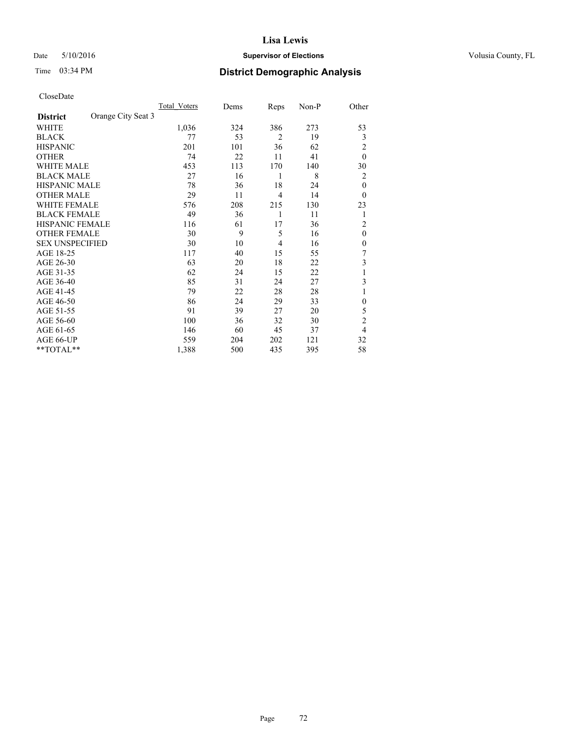### Date 5/10/2016 **Supervisor of Elections Supervisor of Elections** Volusia County, FL

# Time 03:34 PM **District Demographic Analysis**

|                        |                    | Total Voters | Dems | Reps           | Non-P | Other          |
|------------------------|--------------------|--------------|------|----------------|-------|----------------|
| <b>District</b>        | Orange City Seat 3 |              |      |                |       |                |
| WHITE                  |                    | 1,036        | 324  | 386            | 273   | 53             |
| <b>BLACK</b>           |                    | 77           | 53   | $\overline{2}$ | 19    | 3              |
| <b>HISPANIC</b>        |                    | 201          | 101  | 36             | 62    | 2              |
| <b>OTHER</b>           |                    | 74           | 22   | 11             | 41    | $\theta$       |
| WHITE MALE             |                    | 453          | 113  | 170            | 140   | 30             |
| <b>BLACK MALE</b>      |                    | 27           | 16   | 1              | 8     | 2              |
| <b>HISPANIC MALE</b>   |                    | 78           | 36   | 18             | 24    | $\theta$       |
| <b>OTHER MALE</b>      |                    | 29           | 11   | 4              | 14    | $\theta$       |
| WHITE FEMALE           |                    | 576          | 208  | 215            | 130   | 23             |
| <b>BLACK FEMALE</b>    |                    | 49           | 36   | 1              | 11    | 1              |
| <b>HISPANIC FEMALE</b> |                    | 116          | 61   | 17             | 36    | $\overline{2}$ |
| <b>OTHER FEMALE</b>    |                    | 30           | 9    | 5              | 16    | $\theta$       |
| <b>SEX UNSPECIFIED</b> |                    | 30           | 10   | 4              | 16    | $\theta$       |
| AGE 18-25              |                    | 117          | 40   | 15             | 55    | 7              |
| AGE 26-30              |                    | 63           | 20   | 18             | 22    | 3              |
| AGE 31-35              |                    | 62           | 24   | 15             | 22    | 1              |
| AGE 36-40              |                    | 85           | 31   | 24             | 27    | 3              |
| AGE 41-45              |                    | 79           | 22   | 28             | 28    | 1              |
| AGE 46-50              |                    | 86           | 24   | 29             | 33    | $\mathbf{0}$   |
| AGE 51-55              |                    | 91           | 39   | 27             | 20    | 5              |
| AGE 56-60              |                    | 100          | 36   | 32             | 30    | $\overline{2}$ |
| AGE 61-65              |                    | 146          | 60   | 45             | 37    | $\overline{4}$ |
| AGE 66-UP              |                    | 559          | 204  | 202            | 121   | 32             |
| $*$ TOTAL $*$          |                    | 1,388        | 500  | 435            | 395   | 58             |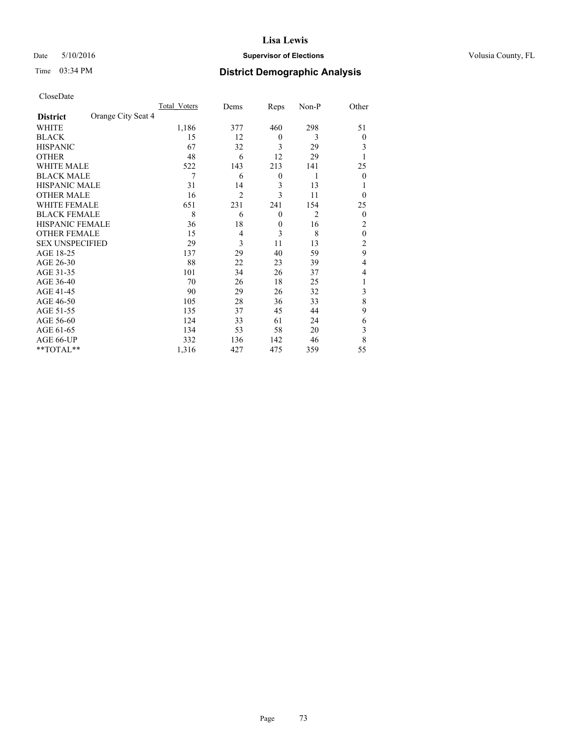# Date 5/10/2016 **Supervisor of Elections Supervisor of Elections** Volusia County, FL

# Time 03:34 PM **District Demographic Analysis**

|                        |                    | Total Voters | Dems           | Reps             | Non-P          | Other          |
|------------------------|--------------------|--------------|----------------|------------------|----------------|----------------|
| <b>District</b>        | Orange City Seat 4 |              |                |                  |                |                |
| WHITE                  |                    | 1,186        | 377            | 460              | 298            | 51             |
| <b>BLACK</b>           |                    | 15           | 12             | $\overline{0}$   | 3              | $\theta$       |
| <b>HISPANIC</b>        |                    | 67           | 32             | 3                | 29             | 3              |
| <b>OTHER</b>           |                    | 48           | 6              | 12               | 29             |                |
| WHITE MALE             |                    | 522          | 143            | 213              | 141            | 25             |
| <b>BLACK MALE</b>      |                    | 7            | 6              | $\boldsymbol{0}$ | 1              | $\overline{0}$ |
| <b>HISPANIC MALE</b>   |                    | 31           | 14             | 3                | 13             |                |
| <b>OTHER MALE</b>      |                    | 16           | $\overline{2}$ | 3                | 11             | $\theta$       |
| <b>WHITE FEMALE</b>    |                    | 651          | 231            | 241              | 154            | 25             |
| <b>BLACK FEMALE</b>    |                    | 8            | 6              | $\mathbf{0}$     | $\overline{2}$ | $\overline{0}$ |
| <b>HISPANIC FEMALE</b> |                    | 36           | 18             | $\mathbf{0}$     | 16             | $\overline{c}$ |
| <b>OTHER FEMALE</b>    |                    | 15           | 4              | 3                | 8              | $\theta$       |
| <b>SEX UNSPECIFIED</b> |                    | 29           | 3              | 11               | 13             | $\overline{c}$ |
| AGE 18-25              |                    | 137          | 29             | 40               | 59             | 9              |
| AGE 26-30              |                    | 88           | 22             | 23               | 39             | 4              |
| AGE 31-35              |                    | 101          | 34             | 26               | 37             | 4              |
| AGE 36-40              |                    | 70           | 26             | 18               | 25             | 1              |
| AGE 41-45              |                    | 90           | 29             | 26               | 32             | 3              |
| AGE 46-50              |                    | 105          | 28             | 36               | 33             | 8              |
| AGE 51-55              |                    | 135          | 37             | 45               | 44             | 9              |
| AGE 56-60              |                    | 124          | 33             | 61               | 24             | 6              |
| AGE 61-65              |                    | 134          | 53             | 58               | 20             | 3              |
| AGE 66-UP              |                    | 332          | 136            | 142              | 46             | 8              |
| **TOTAL**              |                    | 1,316        | 427            | 475              | 359            | 55             |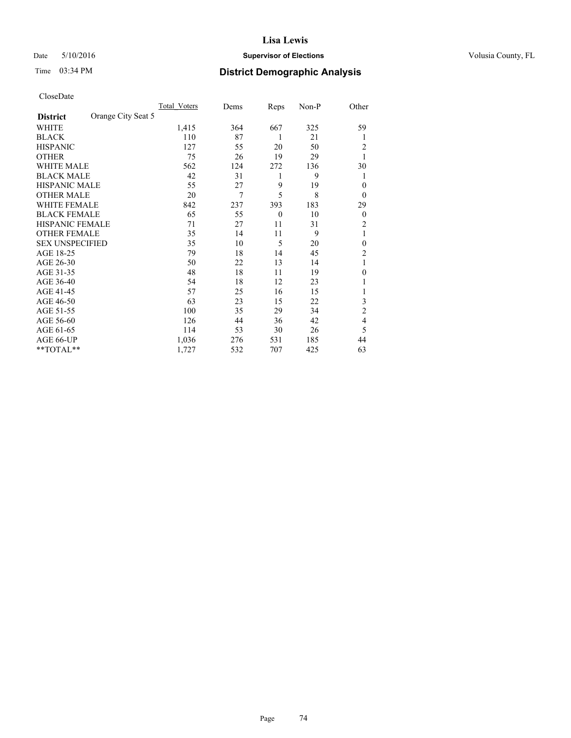# Date 5/10/2016 **Supervisor of Elections Supervisor of Elections** Volusia County, FL

# Time 03:34 PM **District Demographic Analysis**

|                        |                    | Total Voters | Dems | Reps         | Non-P | Other            |
|------------------------|--------------------|--------------|------|--------------|-------|------------------|
| <b>District</b>        | Orange City Seat 5 |              |      |              |       |                  |
| WHITE                  |                    | 1,415        | 364  | 667          | 325   | 59               |
| <b>BLACK</b>           |                    | 110          | 87   | 1            | 21    | 1                |
| <b>HISPANIC</b>        |                    | 127          | 55   | 20           | 50    | 2                |
| <b>OTHER</b>           |                    | 75           | 26   | 19           | 29    | 1                |
| WHITE MALE             |                    | 562          | 124  | 272          | 136   | 30               |
| <b>BLACK MALE</b>      |                    | 42           | 31   | 1            | 9     | 1                |
| <b>HISPANIC MALE</b>   |                    | 55           | 27   | 9            | 19    | $\theta$         |
| <b>OTHER MALE</b>      |                    | 20           | 7    | 5            | 8     | $\theta$         |
| WHITE FEMALE           |                    | 842          | 237  | 393          | 183   | 29               |
| <b>BLACK FEMALE</b>    |                    | 65           | 55   | $\mathbf{0}$ | 10    | $\boldsymbol{0}$ |
| <b>HISPANIC FEMALE</b> |                    | 71           | 27   | 11           | 31    | 2                |
| <b>OTHER FEMALE</b>    |                    | 35           | 14   | 11           | 9     | 1                |
| <b>SEX UNSPECIFIED</b> |                    | 35           | 10   | 5            | 20    | $\mathbf{0}$     |
| AGE 18-25              |                    | 79           | 18   | 14           | 45    | $\overline{2}$   |
| AGE 26-30              |                    | 50           | 22   | 13           | 14    | 1                |
| AGE 31-35              |                    | 48           | 18   | 11           | 19    | $\boldsymbol{0}$ |
| AGE 36-40              |                    | 54           | 18   | 12           | 23    | 1                |
| AGE 41-45              |                    | 57           | 25   | 16           | 15    |                  |
| AGE 46-50              |                    | 63           | 23   | 15           | 22    | 3                |
| AGE 51-55              |                    | 100          | 35   | 29           | 34    | $\overline{2}$   |
| AGE 56-60              |                    | 126          | 44   | 36           | 42    | 4                |
| AGE 61-65              |                    | 114          | 53   | 30           | 26    | 5                |
| AGE 66-UP              |                    | 1,036        | 276  | 531          | 185   | 44               |
| **TOTAL**              |                    | 1,727        | 532  | 707          | 425   | 63               |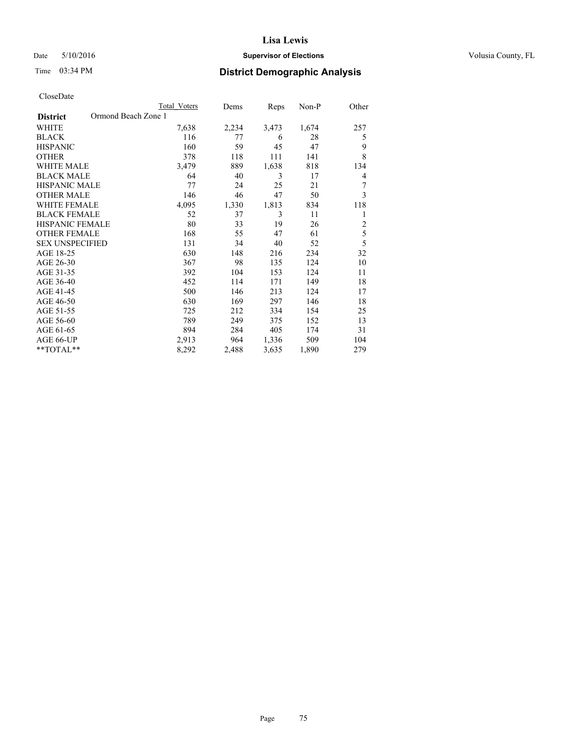# Date 5/10/2016 **Supervisor of Elections Supervisor of Elections** Volusia County, FL

# Time 03:34 PM **District Demographic Analysis**

|                                        | Total Voters | Dems  | Reps  | Non-P | Other          |
|----------------------------------------|--------------|-------|-------|-------|----------------|
| Ormond Beach Zone 1<br><b>District</b> |              |       |       |       |                |
| WHITE                                  | 7,638        | 2,234 | 3,473 | 1,674 | 257            |
| <b>BLACK</b>                           | 116          | 77    | 6     | 28    | 5              |
| <b>HISPANIC</b>                        | 160          | 59    | 45    | 47    | 9              |
| <b>OTHER</b>                           | 378          | 118   | 111   | 141   | 8              |
| <b>WHITE MALE</b>                      | 3,479        | 889   | 1,638 | 818   | 134            |
| <b>BLACK MALE</b>                      | 64           | 40    | 3     | 17    | 4              |
| <b>HISPANIC MALE</b>                   | 77           | 24    | 25    | 21    | 7              |
| <b>OTHER MALE</b>                      | 146          | 46    | 47    | 50    | 3              |
| <b>WHITE FEMALE</b>                    | 4,095        | 1,330 | 1,813 | 834   | 118            |
| <b>BLACK FEMALE</b>                    | 52           | 37    | 3     | 11    | 1              |
| <b>HISPANIC FEMALE</b>                 | 80           | 33    | 19    | 26    | $\overline{c}$ |
| <b>OTHER FEMALE</b>                    | 168          | 55    | 47    | 61    | 5              |
| <b>SEX UNSPECIFIED</b>                 | 131          | 34    | 40    | 52    | 5              |
| AGE 18-25                              | 630          | 148   | 216   | 234   | 32             |
| AGE 26-30                              | 367          | 98    | 135   | 124   | 10             |
| AGE 31-35                              | 392          | 104   | 153   | 124   | 11             |
| AGE 36-40                              | 452          | 114   | 171   | 149   | 18             |
| AGE 41-45                              | 500          | 146   | 213   | 124   | 17             |
| AGE 46-50                              | 630          | 169   | 297   | 146   | 18             |
| AGE 51-55                              | 725          | 212   | 334   | 154   | 25             |
| AGE 56-60                              | 789          | 249   | 375   | 152   | 13             |
| AGE 61-65                              | 894          | 284   | 405   | 174   | 31             |
| AGE 66-UP                              | 2,913        | 964   | 1,336 | 509   | 104            |
| **TOTAL**                              | 8,292        | 2,488 | 3,635 | 1,890 | 279            |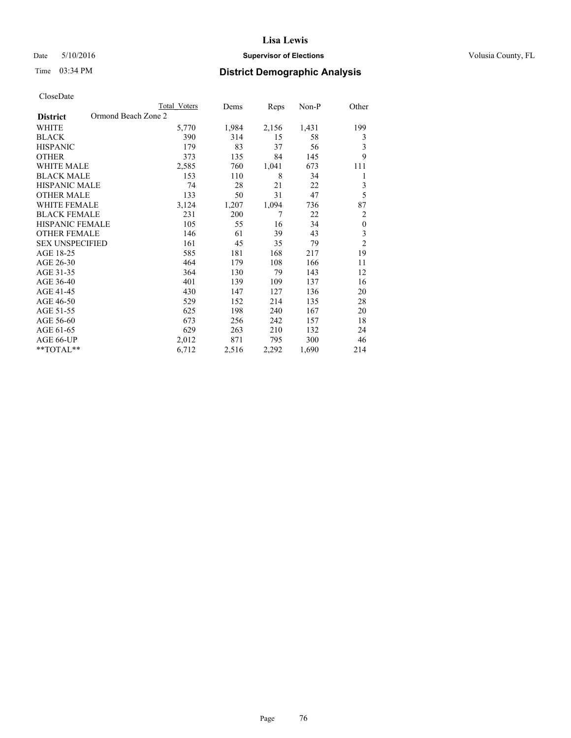# Date 5/10/2016 **Supervisor of Elections Supervisor of Elections** Volusia County, FL

# Time 03:34 PM **District Demographic Analysis**

|                                        | <b>Total Voters</b> | Dems  | Reps  | Non-P | Other            |
|----------------------------------------|---------------------|-------|-------|-------|------------------|
| Ormond Beach Zone 2<br><b>District</b> |                     |       |       |       |                  |
| <b>WHITE</b>                           | 5,770               | 1,984 | 2,156 | 1,431 | 199              |
| <b>BLACK</b>                           | 390                 | 314   | 15    | 58    | 3                |
| <b>HISPANIC</b>                        | 179                 | 83    | 37    | 56    | 3                |
| <b>OTHER</b>                           | 373                 | 135   | 84    | 145   | 9                |
| <b>WHITE MALE</b>                      | 2,585               | 760   | 1,041 | 673   | 111              |
| <b>BLACK MALE</b>                      | 153                 | 110   | 8     | 34    | 1                |
| HISPANIC MALE                          | 74                  | 28    | 21    | 22    | 3                |
| <b>OTHER MALE</b>                      | 133                 | 50    | 31    | 47    | 5                |
| <b>WHITE FEMALE</b>                    | 3,124               | 1,207 | 1,094 | 736   | 87               |
| <b>BLACK FEMALE</b>                    | 231                 | 200   | 7     | 22    | $\overline{2}$   |
| <b>HISPANIC FEMALE</b>                 | 105                 | 55    | 16    | 34    | $\boldsymbol{0}$ |
| <b>OTHER FEMALE</b>                    | 146                 | 61    | 39    | 43    | 3                |
| <b>SEX UNSPECIFIED</b>                 | 161                 | 45    | 35    | 79    | $\overline{c}$   |
| AGE 18-25                              | 585                 | 181   | 168   | 217   | 19               |
| AGE 26-30                              | 464                 | 179   | 108   | 166   | 11               |
| AGE 31-35                              | 364                 | 130   | 79    | 143   | 12               |
| AGE 36-40                              | 401                 | 139   | 109   | 137   | 16               |
| AGE 41-45                              | 430                 | 147   | 127   | 136   | 20               |
| AGE 46-50                              | 529                 | 152   | 214   | 135   | 28               |
| AGE 51-55                              | 625                 | 198   | 240   | 167   | 20               |
| AGE 56-60                              | 673                 | 256   | 242   | 157   | 18               |
| AGE 61-65                              | 629                 | 263   | 210   | 132   | 24               |
| AGE 66-UP                              | 2,012               | 871   | 795   | 300   | 46               |
| **TOTAL**                              | 6,712               | 2,516 | 2,292 | 1,690 | 214              |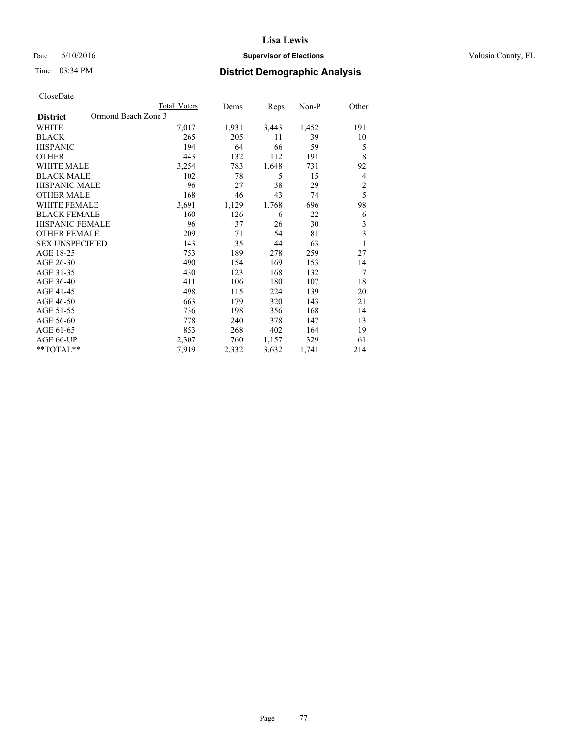# Date 5/10/2016 **Supervisor of Elections Supervisor of Elections** Volusia County, FL

# Time 03:34 PM **District Demographic Analysis**

| CloseDate |
|-----------|
|-----------|

|                        | Total Voters        | Dems  | Reps  | Non-P | Other                   |
|------------------------|---------------------|-------|-------|-------|-------------------------|
| <b>District</b>        | Ormond Beach Zone 3 |       |       |       |                         |
| WHITE                  | 7,017               | 1,931 | 3,443 | 1,452 | 191                     |
| <b>BLACK</b>           | 265                 | 205   | 11    | 39    | 10                      |
| <b>HISPANIC</b>        | 194                 | 64    | 66    | 59    | 5                       |
| <b>OTHER</b>           | 443                 | 132   | 112   | 191   | 8                       |
| <b>WHITE MALE</b>      | 3,254               | 783   | 1,648 | 731   | 92                      |
| <b>BLACK MALE</b>      | 102                 | 78    | 5     | 15    | 4                       |
| <b>HISPANIC MALE</b>   | 96                  | 27    | 38    | 29    | $\overline{2}$          |
| <b>OTHER MALE</b>      | 168                 | 46    | 43    | 74    | 5                       |
| <b>WHITE FEMALE</b>    | 3,691               | 1,129 | 1,768 | 696   | 98                      |
| <b>BLACK FEMALE</b>    | 160                 | 126   | 6     | 22    | 6                       |
| HISPANIC FEMALE        | 96                  | 37    | 26    | 30    | $\mathfrak{Z}$          |
| <b>OTHER FEMALE</b>    | 209                 | 71    | 54    | 81    | $\overline{\mathbf{3}}$ |
| <b>SEX UNSPECIFIED</b> | 143                 | 35    | 44    | 63    | 1                       |
| AGE 18-25              | 753                 | 189   | 278   | 259   | 27                      |
| AGE 26-30              | 490                 | 154   | 169   | 153   | 14                      |
| AGE 31-35              | 430                 | 123   | 168   | 132   | 7                       |
| AGE 36-40              | 411                 | 106   | 180   | 107   | 18                      |
| AGE 41-45              | 498                 | 115   | 224   | 139   | 20                      |
| AGE 46-50              | 663                 | 179   | 320   | 143   | 21                      |
| AGE 51-55              | 736                 | 198   | 356   | 168   | 14                      |
| AGE 56-60              | 778                 | 240   | 378   | 147   | 13                      |
| AGE 61-65              | 853                 | 268   | 402   | 164   | 19                      |
| AGE 66-UP              | 2,307               | 760   | 1,157 | 329   | 61                      |
| **TOTAL**              | 7,919               | 2,332 | 3,632 | 1,741 | 214                     |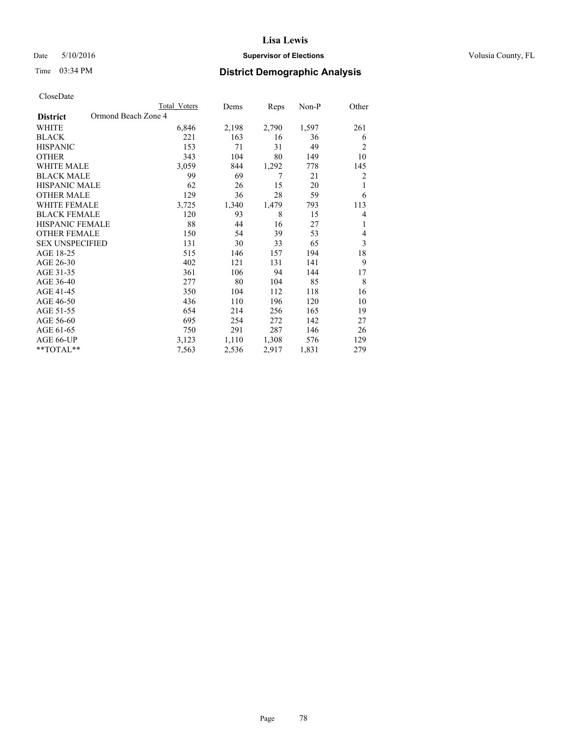# Date 5/10/2016 **Supervisor of Elections Supervisor of Elections** Volusia County, FL

# Time 03:34 PM **District Demographic Analysis**

|                                        | Total Voters | Dems  | Reps  | Non-P | Other |
|----------------------------------------|--------------|-------|-------|-------|-------|
| Ormond Beach Zone 4<br><b>District</b> |              |       |       |       |       |
| WHITE                                  | 6,846        | 2,198 | 2,790 | 1,597 | 261   |
| <b>BLACK</b>                           | 221          | 163   | 16    | 36    | 6     |
| <b>HISPANIC</b>                        | 153          | 71    | 31    | 49    | 2     |
| <b>OTHER</b>                           | 343          | 104   | 80    | 149   | 10    |
| WHITE MALE                             | 3,059        | 844   | 1,292 | 778   | 145   |
| <b>BLACK MALE</b>                      | 99           | 69    | 7     | 21    | 2     |
| <b>HISPANIC MALE</b>                   | 62           | 26    | 15    | 20    | 1     |
| <b>OTHER MALE</b>                      | 129          | 36    | 28    | 59    | 6     |
| <b>WHITE FEMALE</b>                    | 3,725        | 1,340 | 1,479 | 793   | 113   |
| <b>BLACK FEMALE</b>                    | 120          | 93    | 8     | 15    | 4     |
| <b>HISPANIC FEMALE</b>                 | 88           | 44    | 16    | 27    | 1     |
| <b>OTHER FEMALE</b>                    | 150          | 54    | 39    | 53    | 4     |
| <b>SEX UNSPECIFIED</b>                 | 131          | 30    | 33    | 65    | 3     |
| AGE 18-25                              | 515          | 146   | 157   | 194   | 18    |
| AGE 26-30                              | 402          | 121   | 131   | 141   | 9     |
| AGE 31-35                              | 361          | 106   | 94    | 144   | 17    |
| AGE 36-40                              | 277          | 80    | 104   | 85    | 8     |
| AGE 41-45                              | 350          | 104   | 112   | 118   | 16    |
| AGE 46-50                              | 436          | 110   | 196   | 120   | 10    |
| AGE 51-55                              | 654          | 214   | 256   | 165   | 19    |
| AGE 56-60                              | 695          | 254   | 272   | 142   | 27    |
| AGE 61-65                              | 750          | 291   | 287   | 146   | 26    |
| AGE 66-UP                              | 3,123        | 1,110 | 1,308 | 576   | 129   |
| **TOTAL**                              | 7,563        | 2,536 | 2,917 | 1,831 | 279   |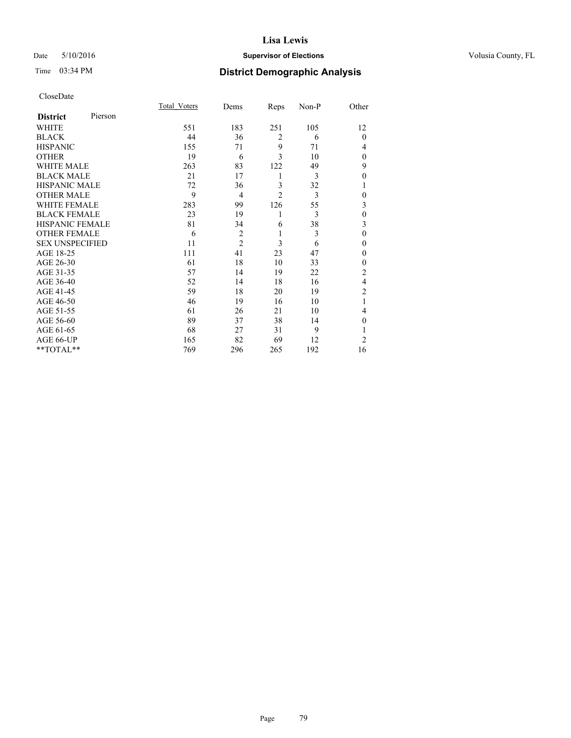# Date 5/10/2016 **Supervisor of Elections Supervisor of Elections** Volusia County, FL

# Time 03:34 PM **District Demographic Analysis**

|                        |         | <b>Total Voters</b> | Dems           | Reps           | Non-P | Other          |
|------------------------|---------|---------------------|----------------|----------------|-------|----------------|
| <b>District</b>        | Pierson |                     |                |                |       |                |
| WHITE                  |         | 551                 | 183            | 251            | 105   | 12             |
| <b>BLACK</b>           |         | 44                  | 36             | $\overline{2}$ | 6     | $\mathbf{0}$   |
| <b>HISPANIC</b>        |         | 155                 | 71             | 9              | 71    | 4              |
| <b>OTHER</b>           |         | 19                  | 6              | 3              | 10    | $\Omega$       |
| WHITE MALE             |         | 263                 | 83             | 122            | 49    | 9              |
| <b>BLACK MALE</b>      |         | 21                  | 17             | 1              | 3     | $\theta$       |
| <b>HISPANIC MALE</b>   |         | 72                  | 36             | 3              | 32    | 1              |
| <b>OTHER MALE</b>      |         | 9                   | $\overline{4}$ | $\overline{2}$ | 3     | $\mathbf{0}$   |
| <b>WHITE FEMALE</b>    |         | 283                 | 99             | 126            | 55    | 3              |
| <b>BLACK FEMALE</b>    |         | 23                  | 19             | 1              | 3     | $\theta$       |
| <b>HISPANIC FEMALE</b> |         | 81                  | 34             | 6              | 38    | 3              |
| <b>OTHER FEMALE</b>    |         | 6                   | $\overline{c}$ | 1              | 3     | $\theta$       |
| <b>SEX UNSPECIFIED</b> |         | 11                  | $\overline{2}$ | 3              | 6     | $\theta$       |
| AGE 18-25              |         | 111                 | 41             | 23             | 47    | $\Omega$       |
| AGE 26-30              |         | 61                  | 18             | 10             | 33    | $\mathbf{0}$   |
| AGE 31-35              |         | 57                  | 14             | 19             | 22    | $\overline{c}$ |
| AGE 36-40              |         | 52                  | 14             | 18             | 16    | $\overline{4}$ |
| AGE 41-45              |         | 59                  | 18             | 20             | 19    | $\overline{c}$ |
| AGE 46-50              |         | 46                  | 19             | 16             | 10    | 1              |
| AGE 51-55              |         | 61                  | 26             | 21             | 10    | 4              |
| AGE 56-60              |         | 89                  | 37             | 38             | 14    | $\Omega$       |
| AGE 61-65              |         | 68                  | 27             | 31             | 9     |                |
| AGE 66-UP              |         | 165                 | 82             | 69             | 12    | $\overline{2}$ |
| **TOTAL**              |         | 769                 | 296            | 265            | 192   | 16             |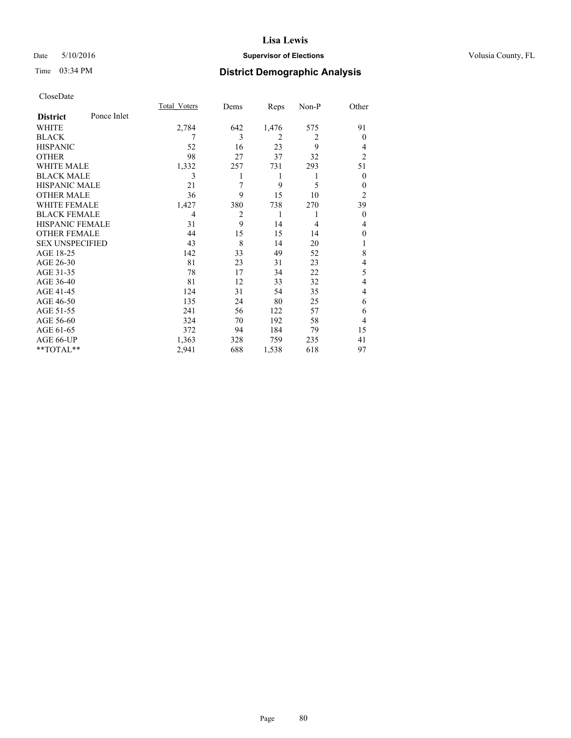# Date 5/10/2016 **Supervisor of Elections Supervisor of Elections** Volusia County, FL

# Time 03:34 PM **District Demographic Analysis**

|                        |             | <b>Total Voters</b> | Dems           | Reps           | Non-P          | Other          |
|------------------------|-------------|---------------------|----------------|----------------|----------------|----------------|
| <b>District</b>        | Ponce Inlet |                     |                |                |                |                |
| WHITE                  |             | 2,784               | 642            | 1,476          | 575            | 91             |
| <b>BLACK</b>           |             | 7                   | 3              | $\overline{2}$ | $\overline{2}$ | $\theta$       |
| <b>HISPANIC</b>        |             | 52                  | 16             | 23             | 9              | 4              |
| <b>OTHER</b>           |             | 98                  | 27             | 37             | 32             | $\overline{2}$ |
| WHITE MALE             |             | 1,332               | 257            | 731            | 293            | 51             |
| <b>BLACK MALE</b>      |             | 3                   |                | 1              | 1              | $\overline{0}$ |
| <b>HISPANIC MALE</b>   |             | 21                  | 7              | 9              | 5              | $\theta$       |
| <b>OTHER MALE</b>      |             | 36                  | 9              | 15             | 10             | $\overline{c}$ |
| WHITE FEMALE           |             | 1,427               | 380            | 738            | 270            | 39             |
| <b>BLACK FEMALE</b>    |             | 4                   | $\overline{c}$ | 1              | 1              | $\theta$       |
| <b>HISPANIC FEMALE</b> |             | 31                  | 9              | 14             | 4              | 4              |
| <b>OTHER FEMALE</b>    |             | 44                  | 15             | 15             | 14             | 0              |
| <b>SEX UNSPECIFIED</b> |             | 43                  | 8              | 14             | 20             |                |
| AGE 18-25              |             | 142                 | 33             | 49             | 52             | 8              |
| AGE 26-30              |             | 81                  | 23             | 31             | 23             | 4              |
| AGE 31-35              |             | 78                  | 17             | 34             | 22             | 5              |
| AGE 36-40              |             | 81                  | 12             | 33             | 32             | 4              |
| AGE 41-45              |             | 124                 | 31             | 54             | 35             | 4              |
| AGE 46-50              |             | 135                 | 24             | 80             | 25             | 6              |
| AGE 51-55              |             | 241                 | 56             | 122            | 57             | 6              |
| AGE 56-60              |             | 324                 | 70             | 192            | 58             | 4              |
| AGE 61-65              |             | 372                 | 94             | 184            | 79             | 15             |
| AGE 66-UP              |             | 1,363               | 328            | 759            | 235            | 41             |
| **TOTAL**              |             | 2,941               | 688            | 1,538          | 618            | 97             |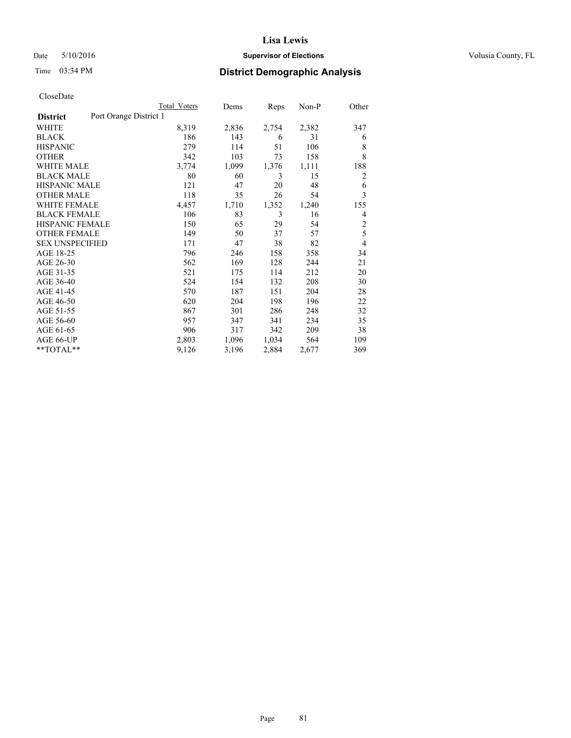## Date 5/10/2016 **Supervisor of Elections Supervisor of Elections** Volusia County, FL

# Time 03:34 PM **District Demographic Analysis**

|                        |                        | <b>Total Voters</b> | Dems  | Reps  | Non-P | Other          |
|------------------------|------------------------|---------------------|-------|-------|-------|----------------|
| <b>District</b>        | Port Orange District 1 |                     |       |       |       |                |
| WHITE                  |                        | 8,319               | 2,836 | 2,754 | 2,382 | 347            |
| <b>BLACK</b>           |                        | 186                 | 143   | 6     | 31    | 6              |
| <b>HISPANIC</b>        |                        | 279                 | 114   | 51    | 106   | 8              |
| <b>OTHER</b>           |                        | 342                 | 103   | 73    | 158   | 8              |
| <b>WHITE MALE</b>      |                        | 3,774               | 1,099 | 1,376 | 1,111 | 188            |
| <b>BLACK MALE</b>      |                        | 80                  | 60    | 3     | 15    | 2              |
| <b>HISPANIC MALE</b>   |                        | 121                 | 47    | 20    | 48    | 6              |
| <b>OTHER MALE</b>      |                        | 118                 | 35    | 26    | 54    | 3              |
| <b>WHITE FEMALE</b>    |                        | 4,457               | 1,710 | 1,352 | 1,240 | 155            |
| <b>BLACK FEMALE</b>    |                        | 106                 | 83    | 3     | 16    | 4              |
| <b>HISPANIC FEMALE</b> |                        | 150                 | 65    | 29    | 54    | $\overline{c}$ |
| <b>OTHER FEMALE</b>    |                        | 149                 | 50    | 37    | 57    | 5              |
| <b>SEX UNSPECIFIED</b> |                        | 171                 | 47    | 38    | 82    | $\overline{4}$ |
| AGE 18-25              |                        | 796                 | 246   | 158   | 358   | 34             |
| AGE 26-30              |                        | 562                 | 169   | 128   | 244   | 21             |
| AGE 31-35              |                        | 521                 | 175   | 114   | 212   | 20             |
| AGE 36-40              |                        | 524                 | 154   | 132   | 208   | 30             |
| AGE 41-45              |                        | 570                 | 187   | 151   | 204   | 28             |
| AGE 46-50              |                        | 620                 | 204   | 198   | 196   | 22             |
| AGE 51-55              |                        | 867                 | 301   | 286   | 248   | 32             |
| AGE 56-60              |                        | 957                 | 347   | 341   | 234   | 35             |
| AGE 61-65              |                        | 906                 | 317   | 342   | 209   | 38             |
| AGE 66-UP              |                        | 2,803               | 1,096 | 1,034 | 564   | 109            |
| **TOTAL**              |                        | 9,126               | 3,196 | 2,884 | 2,677 | 369            |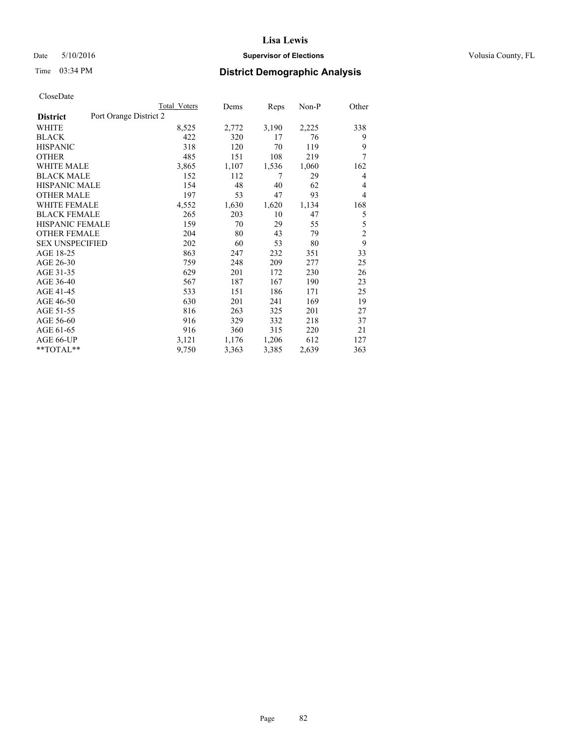# Date 5/10/2016 **Supervisor of Elections Supervisor of Elections** Volusia County, FL

# Time 03:34 PM **District Demographic Analysis**

|                        |                        | Total Voters | Dems  | Reps  | Non-P | Other          |
|------------------------|------------------------|--------------|-------|-------|-------|----------------|
| <b>District</b>        | Port Orange District 2 |              |       |       |       |                |
| WHITE                  |                        | 8,525        | 2,772 | 3,190 | 2,225 | 338            |
| <b>BLACK</b>           |                        | 422          | 320   | 17    | 76    | 9              |
| <b>HISPANIC</b>        |                        | 318          | 120   | 70    | 119   | 9              |
| <b>OTHER</b>           |                        | 485          | 151   | 108   | 219   | 7              |
| WHITE MALE             |                        | 3,865        | 1,107 | 1,536 | 1,060 | 162            |
| <b>BLACK MALE</b>      |                        | 152          | 112   | 7     | 29    | 4              |
| <b>HISPANIC MALE</b>   |                        | 154          | 48    | 40    | 62    | 4              |
| <b>OTHER MALE</b>      |                        | 197          | 53    | 47    | 93    | 4              |
| WHITE FEMALE           |                        | 4,552        | 1,630 | 1,620 | 1,134 | 168            |
| <b>BLACK FEMALE</b>    |                        | 265          | 203   | 10    | 47    | 5              |
| HISPANIC FEMALE        |                        | 159          | 70    | 29    | 55    | 5              |
| <b>OTHER FEMALE</b>    |                        | 204          | 80    | 43    | 79    | $\overline{c}$ |
| <b>SEX UNSPECIFIED</b> |                        | 202          | 60    | 53    | 80    | 9              |
| AGE 18-25              |                        | 863          | 247   | 232   | 351   | 33             |
| AGE 26-30              |                        | 759          | 248   | 209   | 277   | 25             |
| AGE 31-35              |                        | 629          | 201   | 172   | 230   | 26             |
| AGE 36-40              |                        | 567          | 187   | 167   | 190   | 23             |
| AGE 41-45              |                        | 533          | 151   | 186   | 171   | 25             |
| AGE 46-50              |                        | 630          | 201   | 241   | 169   | 19             |
| AGE 51-55              |                        | 816          | 263   | 325   | 201   | 27             |
| AGE 56-60              |                        | 916          | 329   | 332   | 218   | 37             |
| AGE 61-65              |                        | 916          | 360   | 315   | 220   | 21             |
| AGE 66-UP              |                        | 3,121        | 1,176 | 1,206 | 612   | 127            |
| **TOTAL**              |                        | 9,750        | 3,363 | 3,385 | 2,639 | 363            |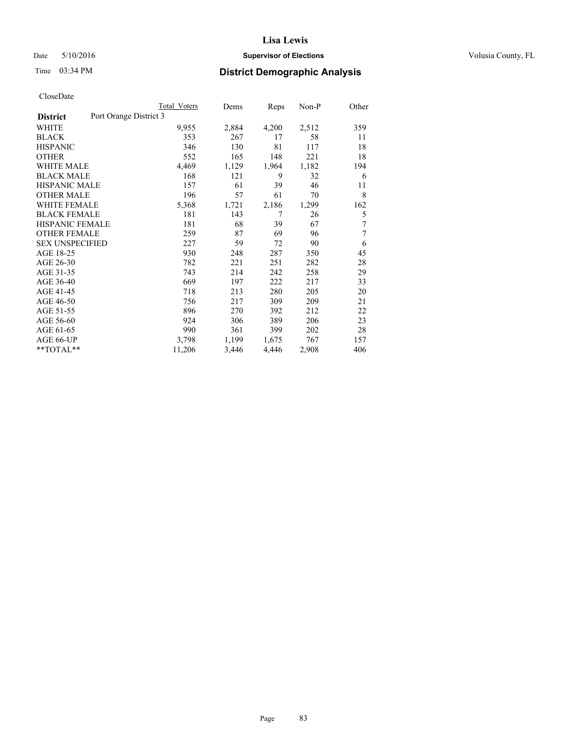## Date 5/10/2016 **Supervisor of Elections Supervisor of Elections** Volusia County, FL

# Time 03:34 PM **District Demographic Analysis**

|                        |                        | <b>Total Voters</b> | Dems  | Reps  | Non-P | Other |
|------------------------|------------------------|---------------------|-------|-------|-------|-------|
| <b>District</b>        | Port Orange District 3 |                     |       |       |       |       |
| WHITE                  |                        | 9,955               | 2,884 | 4,200 | 2,512 | 359   |
| <b>BLACK</b>           |                        | 353                 | 267   | 17    | 58    | 11    |
| <b>HISPANIC</b>        |                        | 346                 | 130   | 81    | 117   | 18    |
| <b>OTHER</b>           |                        | 552                 | 165   | 148   | 221   | 18    |
| WHITE MALE             |                        | 4,469               | 1,129 | 1,964 | 1,182 | 194   |
| <b>BLACK MALE</b>      |                        | 168                 | 121   | 9     | 32    | 6     |
| <b>HISPANIC MALE</b>   |                        | 157                 | 61    | 39    | 46    | 11    |
| <b>OTHER MALE</b>      |                        | 196                 | 57    | 61    | 70    | 8     |
| <b>WHITE FEMALE</b>    |                        | 5,368               | 1,721 | 2,186 | 1,299 | 162   |
| <b>BLACK FEMALE</b>    |                        | 181                 | 143   | 7     | 26    | 5     |
| <b>HISPANIC FEMALE</b> |                        | 181                 | 68    | 39    | 67    | 7     |
| <b>OTHER FEMALE</b>    |                        | 259                 | 87    | 69    | 96    | 7     |
| <b>SEX UNSPECIFIED</b> |                        | 227                 | 59    | 72    | 90    | 6     |
| AGE 18-25              |                        | 930                 | 248   | 287   | 350   | 45    |
| AGE 26-30              |                        | 782                 | 221   | 251   | 282   | 28    |
| AGE 31-35              |                        | 743                 | 214   | 242   | 258   | 29    |
| AGE 36-40              |                        | 669                 | 197   | 222   | 217   | 33    |
| AGE 41-45              |                        | 718                 | 213   | 280   | 205   | 20    |
| AGE 46-50              |                        | 756                 | 217   | 309   | 209   | 21    |
| AGE 51-55              |                        | 896                 | 270   | 392   | 212   | 22    |
| AGE 56-60              |                        | 924                 | 306   | 389   | 206   | 23    |
| AGE 61-65              |                        | 990                 | 361   | 399   | 202   | 28    |
| AGE 66-UP              |                        | 3,798               | 1,199 | 1,675 | 767   | 157   |
| **TOTAL**              |                        | 11,206              | 3,446 | 4,446 | 2,908 | 406   |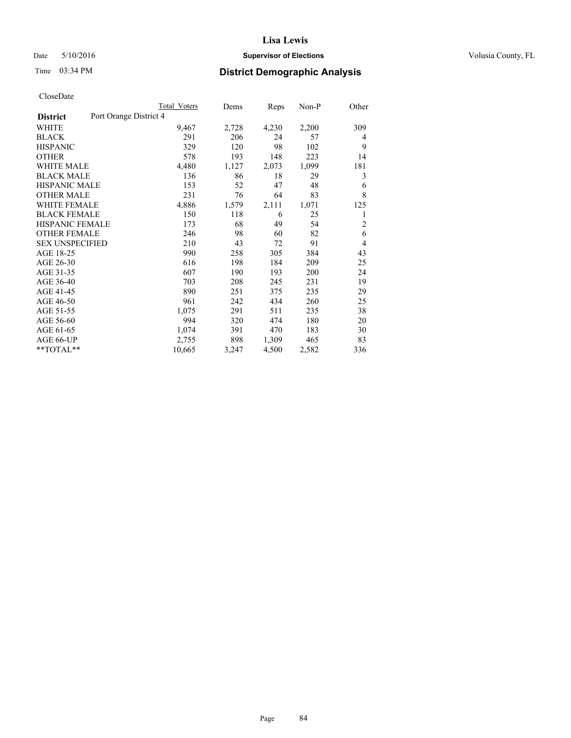# Date 5/10/2016 **Supervisor of Elections Supervisor of Elections** Volusia County, FL

# Time 03:34 PM **District Demographic Analysis**

|                        | Total Voters           | Dems  | Reps  | Non-P | Other          |
|------------------------|------------------------|-------|-------|-------|----------------|
| <b>District</b>        | Port Orange District 4 |       |       |       |                |
| WHITE                  | 9,467                  | 2,728 | 4,230 | 2,200 | 309            |
| <b>BLACK</b>           | 291                    | 206   | 24    | 57    | 4              |
| <b>HISPANIC</b>        | 329                    | 120   | 98    | 102   | 9              |
| <b>OTHER</b>           | 578                    | 193   | 148   | 223   | 14             |
| <b>WHITE MALE</b>      | 4,480                  | 1,127 | 2,073 | 1,099 | 181            |
| <b>BLACK MALE</b>      | 136                    | 86    | 18    | 29    | 3              |
| <b>HISPANIC MALE</b>   | 153                    | 52    | 47    | 48    | 6              |
| <b>OTHER MALE</b>      | 231                    | 76    | 64    | 83    | 8              |
| <b>WHITE FEMALE</b>    | 4,886                  | 1,579 | 2,111 | 1,071 | 125            |
| <b>BLACK FEMALE</b>    | 150                    | 118   | 6     | 25    | 1              |
| <b>HISPANIC FEMALE</b> | 173                    | 68    | 49    | 54    | $\overline{2}$ |
| <b>OTHER FEMALE</b>    | 246                    | 98    | 60    | 82    | 6              |
| <b>SEX UNSPECIFIED</b> | 210                    | 43    | 72    | 91    | 4              |
| AGE 18-25              | 990                    | 258   | 305   | 384   | 43             |
| AGE 26-30              | 616                    | 198   | 184   | 209   | 25             |
| AGE 31-35              | 607                    | 190   | 193   | 200   | 24             |
| AGE 36-40              | 703                    | 208   | 245   | 231   | 19             |
| AGE 41-45              | 890                    | 251   | 375   | 235   | 29             |
| AGE 46-50              | 961                    | 242   | 434   | 260   | 25             |
| AGE 51-55              | 1,075                  | 291   | 511   | 235   | 38             |
| AGE 56-60              | 994                    | 320   | 474   | 180   | 20             |
| AGE 61-65              | 1,074                  | 391   | 470   | 183   | 30             |
| AGE 66-UP              | 2,755                  | 898   | 1,309 | 465   | 83             |
| **TOTAL**              | 10,665                 | 3,247 | 4,500 | 2,582 | 336            |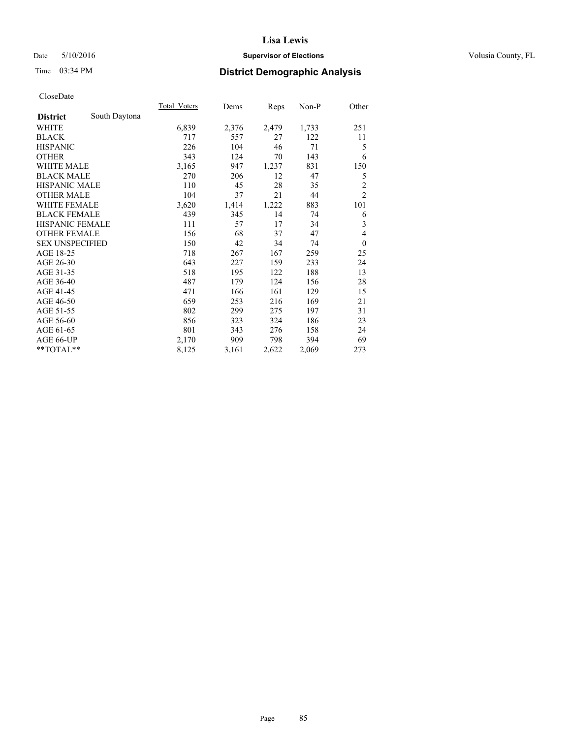# Date 5/10/2016 **Supervisor of Elections Supervisor of Elections** Volusia County, FL

# Time 03:34 PM **District Demographic Analysis**

|                        |               | <b>Total Voters</b> | Dems  | Reps  | Non-P | Other          |
|------------------------|---------------|---------------------|-------|-------|-------|----------------|
| <b>District</b>        | South Daytona |                     |       |       |       |                |
| WHITE                  |               | 6,839               | 2,376 | 2,479 | 1,733 | 251            |
| <b>BLACK</b>           |               | 717                 | 557   | 27    | 122   | 11             |
| <b>HISPANIC</b>        |               | 226                 | 104   | 46    | 71    | 5              |
| <b>OTHER</b>           |               | 343                 | 124   | 70    | 143   | 6              |
| <b>WHITE MALE</b>      |               | 3,165               | 947   | 1,237 | 831   | 150            |
| <b>BLACK MALE</b>      |               | 270                 | 206   | 12    | 47    | 5              |
| <b>HISPANIC MALE</b>   |               | 110                 | 45    | 28    | 35    | $\overline{c}$ |
| <b>OTHER MALE</b>      |               | 104                 | 37    | 21    | 44    | $\overline{c}$ |
| <b>WHITE FEMALE</b>    |               | 3,620               | 1,414 | 1,222 | 883   | 101            |
| <b>BLACK FEMALE</b>    |               | 439                 | 345   | 14    | 74    | 6              |
| <b>HISPANIC FEMALE</b> |               | 111                 | 57    | 17    | 34    | 3              |
| <b>OTHER FEMALE</b>    |               | 156                 | 68    | 37    | 47    | 4              |
| <b>SEX UNSPECIFIED</b> |               | 150                 | 42    | 34    | 74    | $\mathbf{0}$   |
| AGE 18-25              |               | 718                 | 267   | 167   | 259   | 25             |
| AGE 26-30              |               | 643                 | 227   | 159   | 233   | 24             |
| AGE 31-35              |               | 518                 | 195   | 122   | 188   | 13             |
| AGE 36-40              |               | 487                 | 179   | 124   | 156   | 28             |
| AGE 41-45              |               | 471                 | 166   | 161   | 129   | 15             |
| AGE 46-50              |               | 659                 | 253   | 216   | 169   | 21             |
| AGE 51-55              |               | 802                 | 299   | 275   | 197   | 31             |
| AGE 56-60              |               | 856                 | 323   | 324   | 186   | 23             |
| AGE 61-65              |               | 801                 | 343   | 276   | 158   | 24             |
| AGE 66-UP              |               | 2,170               | 909   | 798   | 394   | 69             |
| **TOTAL**              |               | 8,125               | 3,161 | 2,622 | 2,069 | 273            |